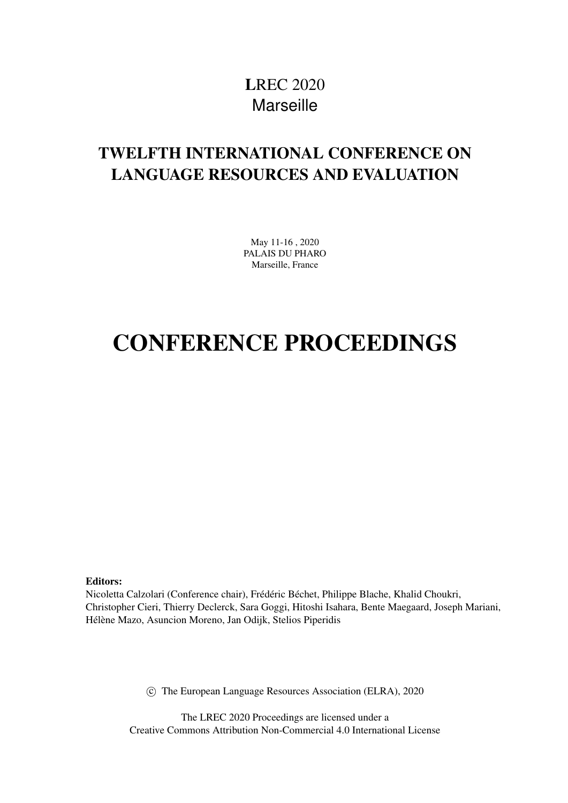# LREC 2020 **Marseille**

# <span id="page-0-0"></span>TWELFTH INTERNATIONAL CONFERENCE ON LANGUAGE RESOURCES AND EVALUATION

May 11-16 , 2020 PALAIS DU PHARO Marseille, France

# CONFERENCE PROCEEDINGS

Editors:

Nicoletta Calzolari (Conference chair), Frédéric Béchet, Philippe Blache, Khalid Choukri, Christopher Cieri, Thierry Declerck, Sara Goggi, Hitoshi Isahara, Bente Maegaard, Joseph Mariani, Hélène Mazo, Asuncion Moreno, Jan Odijk, Stelios Piperidis

c The European Language Resources Association (ELRA), 2020

The LREC 2020 Proceedings are licensed under a Creative Commons Attribution Non-Commercial 4.0 International License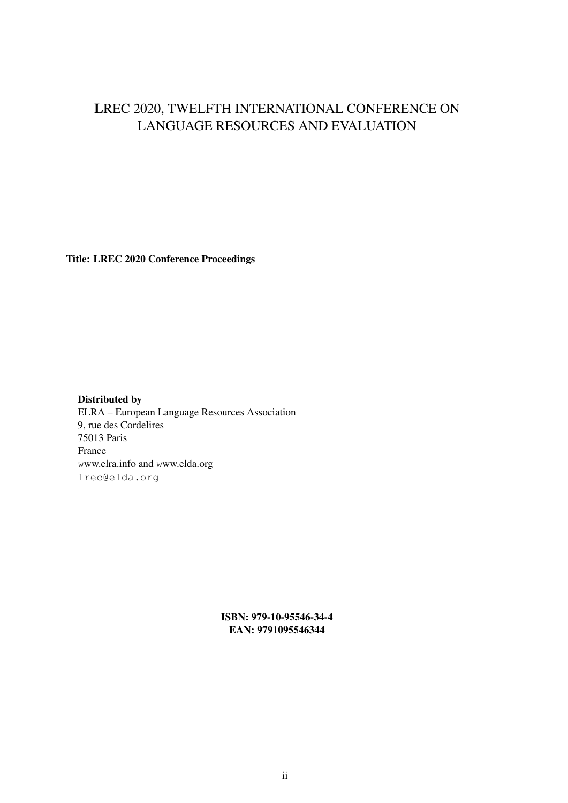## LREC 2020, TWELFTH INTERNATIONAL CONFERENCE ON LANGUAGE RESOURCES AND EVALUATION

Title: LREC 2020 Conference Proceedings

Distributed by ELRA – European Language Resources Association 9, rue des Cordelires 75013 Paris France www.elra.info and www.elda.org lrec@elda.org

> ISBN: 979-10-95546-34-4 EAN: 9791095546344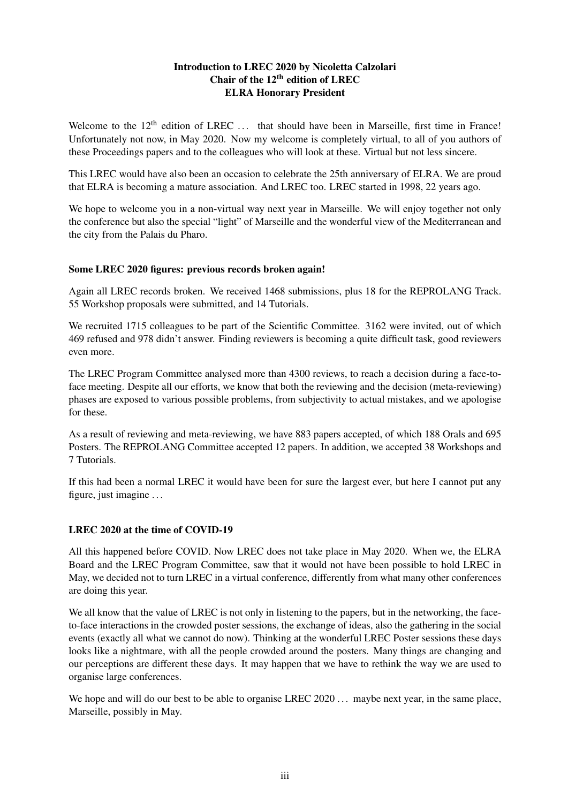#### Introduction to LREC 2020 by Nicoletta Calzolari Chair of the  $12<sup>th</sup>$  edition of LREC ELRA Honorary President

Welcome to the 12<sup>th</sup> edition of LREC ... that should have been in Marseille, first time in France! Unfortunately not now, in May 2020. Now my welcome is completely virtual, to all of you authors of these Proceedings papers and to the colleagues who will look at these. Virtual but not less sincere.

This LREC would have also been an occasion to celebrate the 25th anniversary of ELRA. We are proud that ELRA is becoming a mature association. And LREC too. LREC started in 1998, 22 years ago.

We hope to welcome you in a non-virtual way next year in Marseille. We will enjoy together not only the conference but also the special "light" of Marseille and the wonderful view of the Mediterranean and the city from the Palais du Pharo.

#### Some LREC 2020 figures: previous records broken again!

Again all LREC records broken. We received 1468 submissions, plus 18 for the REPROLANG Track. 55 Workshop proposals were submitted, and 14 Tutorials.

We recruited 1715 colleagues to be part of the Scientific Committee. 3162 were invited, out of which 469 refused and 978 didn't answer. Finding reviewers is becoming a quite difficult task, good reviewers even more.

The LREC Program Committee analysed more than 4300 reviews, to reach a decision during a face-toface meeting. Despite all our efforts, we know that both the reviewing and the decision (meta-reviewing) phases are exposed to various possible problems, from subjectivity to actual mistakes, and we apologise for these.

As a result of reviewing and meta-reviewing, we have 883 papers accepted, of which 188 Orals and 695 Posters. The REPROLANG Committee accepted 12 papers. In addition, we accepted 38 Workshops and 7 Tutorials.

If this had been a normal LREC it would have been for sure the largest ever, but here I cannot put any figure, just imagine . . .

#### LREC 2020 at the time of COVID-19

All this happened before COVID. Now LREC does not take place in May 2020. When we, the ELRA Board and the LREC Program Committee, saw that it would not have been possible to hold LREC in May, we decided not to turn LREC in a virtual conference, differently from what many other conferences are doing this year.

We all know that the value of LREC is not only in listening to the papers, but in the networking, the faceto-face interactions in the crowded poster sessions, the exchange of ideas, also the gathering in the social events (exactly all what we cannot do now). Thinking at the wonderful LREC Poster sessions these days looks like a nightmare, with all the people crowded around the posters. Many things are changing and our perceptions are different these days. It may happen that we have to rethink the way we are used to organise large conferences.

We hope and will do our best to be able to organise LREC 2020 . . . maybe next year, in the same place, Marseille, possibly in May.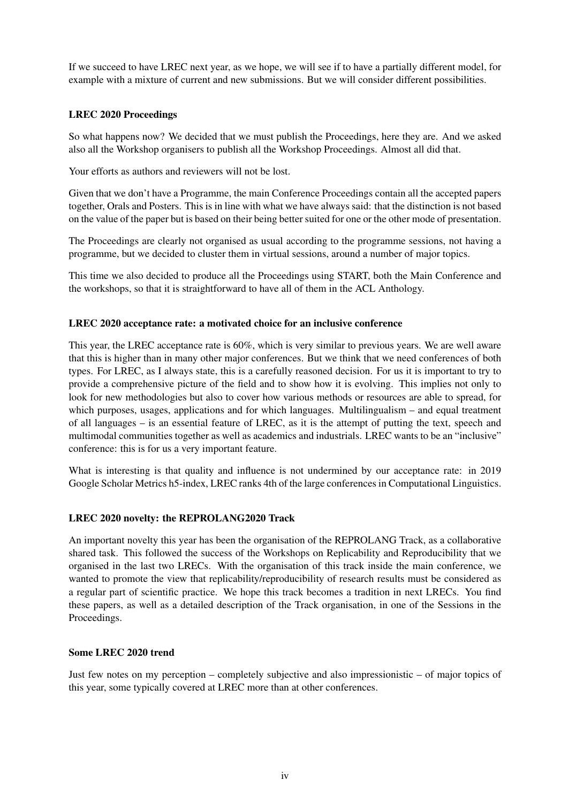If we succeed to have LREC next year, as we hope, we will see if to have a partially different model, for example with a mixture of current and new submissions. But we will consider different possibilities.

#### LREC 2020 Proceedings

So what happens now? We decided that we must publish the Proceedings, here they are. And we asked also all the Workshop organisers to publish all the Workshop Proceedings. Almost all did that.

Your efforts as authors and reviewers will not be lost.

Given that we don't have a Programme, the main Conference Proceedings contain all the accepted papers together, Orals and Posters. This is in line with what we have always said: that the distinction is not based on the value of the paper but is based on their being better suited for one or the other mode of presentation.

The Proceedings are clearly not organised as usual according to the programme sessions, not having a programme, but we decided to cluster them in virtual sessions, around a number of major topics.

This time we also decided to produce all the Proceedings using START, both the Main Conference and the workshops, so that it is straightforward to have all of them in the ACL Anthology.

#### LREC 2020 acceptance rate: a motivated choice for an inclusive conference

This year, the LREC acceptance rate is 60%, which is very similar to previous years. We are well aware that this is higher than in many other major conferences. But we think that we need conferences of both types. For LREC, as I always state, this is a carefully reasoned decision. For us it is important to try to provide a comprehensive picture of the field and to show how it is evolving. This implies not only to look for new methodologies but also to cover how various methods or resources are able to spread, for which purposes, usages, applications and for which languages. Multilingualism – and equal treatment of all languages – is an essential feature of LREC, as it is the attempt of putting the text, speech and multimodal communities together as well as academics and industrials. LREC wants to be an "inclusive" conference: this is for us a very important feature.

What is interesting is that quality and influence is not undermined by our acceptance rate: in 2019 Google Scholar Metrics h5-index, LREC ranks 4th of the large conferences in Computational Linguistics.

#### LREC 2020 novelty: the REPROLANG2020 Track

An important novelty this year has been the organisation of the REPROLANG Track, as a collaborative shared task. This followed the success of the Workshops on Replicability and Reproducibility that we organised in the last two LRECs. With the organisation of this track inside the main conference, we wanted to promote the view that replicability/reproducibility of research results must be considered as a regular part of scientific practice. We hope this track becomes a tradition in next LRECs. You find these papers, as well as a detailed description of the Track organisation, in one of the Sessions in the Proceedings.

#### Some LREC 2020 trend

Just few notes on my perception – completely subjective and also impressionistic – of major topics of this year, some typically covered at LREC more than at other conferences.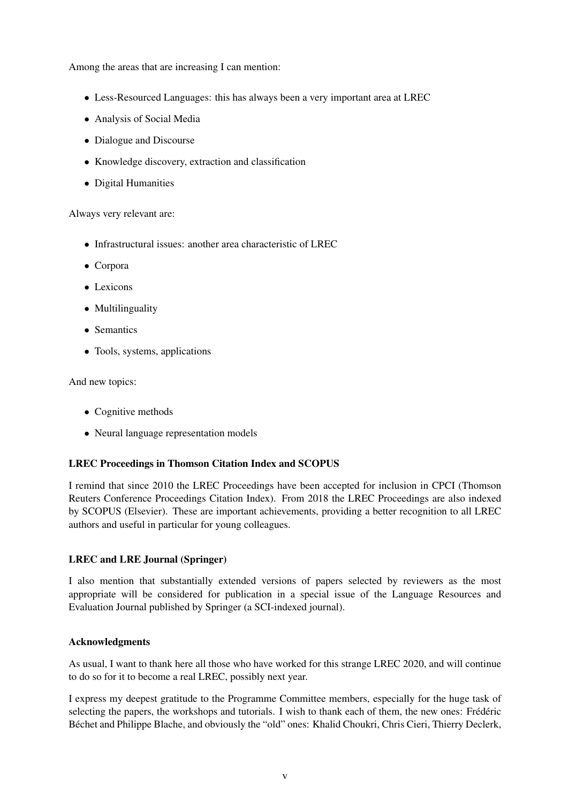Among the areas that are increasing I can mention:

- Less-Resourced Languages: this has always been a very important area at LREC
- Analysis of Social Media
- Dialogue and Discourse
- Knowledge discovery, extraction and classification
- Digital Humanities

Always very relevant are:

- Infrastructural issues: another area characteristic of LREC
- Corpora
- Lexicons
- Multilinguality
- Semantics
- Tools, systems, applications

And new topics:

- Cognitive methods
- Neural language representation models

#### LREC Proceedings in Thomson Citation Index and SCOPUS

I remind that since 2010 the LREC Proceedings have been accepted for inclusion in CPCI (Thomson Reuters Conference Proceedings Citation Index). From 2018 the LREC Proceedings are also indexed by SCOPUS (Elsevier). These are important achievements, providing a better recognition to all LREC authors and useful in particular for young colleagues.

#### LREC and LRE Journal (Springer)

I also mention that substantially extended versions of papers selected by reviewers as the most appropriate will be considered for publication in a special issue of the Language Resources and Evaluation Journal published by Springer (a SCI-indexed journal).

#### Acknowledgments

As usual, I want to thank here all those who have worked for this strange LREC 2020, and will continue to do so for it to become a real LREC, possibly next year.

I express my deepest gratitude to the Programme Committee members, especially for the huge task of selecting the papers, the workshops and tutorials. I wish to thank each of them, the new ones: Frédéric Béchet and Philippe Blache, and obviously the "old" ones: Khalid Choukri, Chris Cieri, Thierry Declerk,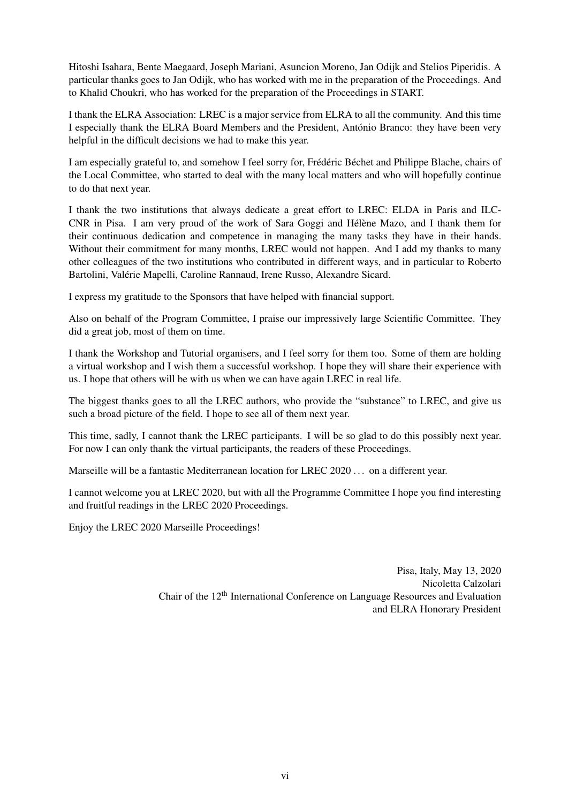Hitoshi Isahara, Bente Maegaard, Joseph Mariani, Asuncion Moreno, Jan Odijk and Stelios Piperidis. A particular thanks goes to Jan Odijk, who has worked with me in the preparation of the Proceedings. And to Khalid Choukri, who has worked for the preparation of the Proceedings in START.

I thank the ELRA Association: LREC is a major service from ELRA to all the community. And this time I especially thank the ELRA Board Members and the President, António Branco: they have been very helpful in the difficult decisions we had to make this year.

I am especially grateful to, and somehow I feel sorry for, Frédéric Béchet and Philippe Blache, chairs of the Local Committee, who started to deal with the many local matters and who will hopefully continue to do that next year.

I thank the two institutions that always dedicate a great effort to LREC: ELDA in Paris and ILC-CNR in Pisa. I am very proud of the work of Sara Goggi and Hélène Mazo, and I thank them for their continuous dedication and competence in managing the many tasks they have in their hands. Without their commitment for many months, LREC would not happen. And I add my thanks to many other colleagues of the two institutions who contributed in different ways, and in particular to Roberto Bartolini, Valérie Mapelli, Caroline Rannaud, Irene Russo, Alexandre Sicard.

I express my gratitude to the Sponsors that have helped with financial support.

Also on behalf of the Program Committee, I praise our impressively large Scientific Committee. They did a great job, most of them on time.

I thank the Workshop and Tutorial organisers, and I feel sorry for them too. Some of them are holding a virtual workshop and I wish them a successful workshop. I hope they will share their experience with us. I hope that others will be with us when we can have again LREC in real life.

The biggest thanks goes to all the LREC authors, who provide the "substance" to LREC, and give us such a broad picture of the field. I hope to see all of them next year.

This time, sadly, I cannot thank the LREC participants. I will be so glad to do this possibly next year. For now I can only thank the virtual participants, the readers of these Proceedings.

Marseille will be a fantastic Mediterranean location for LREC 2020 . . . on a different year.

I cannot welcome you at LREC 2020, but with all the Programme Committee I hope you find interesting and fruitful readings in the LREC 2020 Proceedings.

Enjoy the LREC 2020 Marseille Proceedings!

Pisa, Italy, May 13, 2020 Nicoletta Calzolari Chair of the 12th International Conference on Language Resources and Evaluation and ELRA Honorary President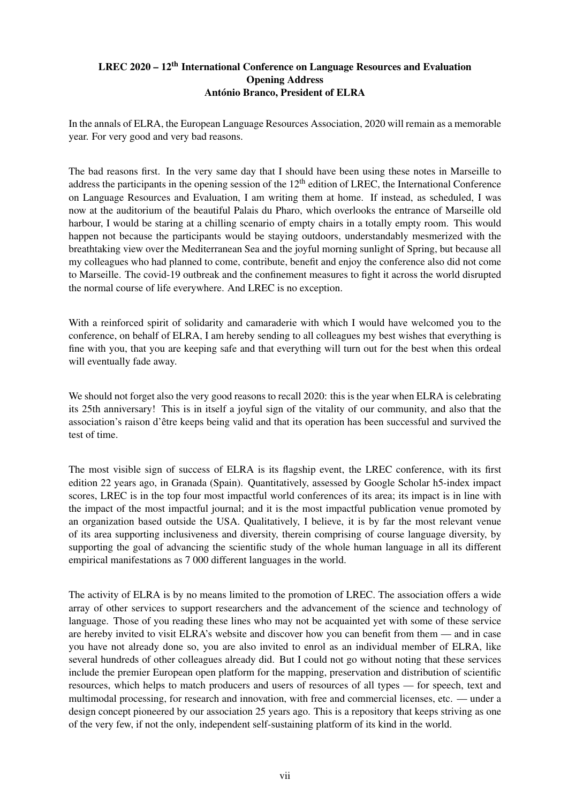#### LREC 2020 – 12<sup>th</sup> International Conference on Language Resources and Evaluation Opening Address António Branco, President of ELRA

In the annals of ELRA, the European Language Resources Association, 2020 will remain as a memorable year. For very good and very bad reasons.

The bad reasons first. In the very same day that I should have been using these notes in Marseille to address the participants in the opening session of the  $12<sup>th</sup>$  edition of LREC, the International Conference on Language Resources and Evaluation, I am writing them at home. If instead, as scheduled, I was now at the auditorium of the beautiful Palais du Pharo, which overlooks the entrance of Marseille old harbour, I would be staring at a chilling scenario of empty chairs in a totally empty room. This would happen not because the participants would be staying outdoors, understandably mesmerized with the breathtaking view over the Mediterranean Sea and the joyful morning sunlight of Spring, but because all my colleagues who had planned to come, contribute, benefit and enjoy the conference also did not come to Marseille. The covid-19 outbreak and the confinement measures to fight it across the world disrupted the normal course of life everywhere. And LREC is no exception.

With a reinforced spirit of solidarity and camaraderie with which I would have welcomed you to the conference, on behalf of ELRA, I am hereby sending to all colleagues my best wishes that everything is fine with you, that you are keeping safe and that everything will turn out for the best when this ordeal will eventually fade away.

We should not forget also the very good reasons to recall 2020: this is the year when ELRA is celebrating its 25th anniversary! This is in itself a joyful sign of the vitality of our community, and also that the association's raison d'être keeps being valid and that its operation has been successful and survived the test of time.

The most visible sign of success of ELRA is its flagship event, the LREC conference, with its first edition 22 years ago, in Granada (Spain). Quantitatively, assessed by Google Scholar h5-index impact scores, LREC is in the top four most impactful world conferences of its area; its impact is in line with the impact of the most impactful journal; and it is the most impactful publication venue promoted by an organization based outside the USA. Qualitatively, I believe, it is by far the most relevant venue of its area supporting inclusiveness and diversity, therein comprising of course language diversity, by supporting the goal of advancing the scientific study of the whole human language in all its different empirical manifestations as 7 000 different languages in the world.

The activity of ELRA is by no means limited to the promotion of LREC. The association offers a wide array of other services to support researchers and the advancement of the science and technology of language. Those of you reading these lines who may not be acquainted yet with some of these service are hereby invited to visit ELRA's website and discover how you can benefit from them — and in case you have not already done so, you are also invited to enrol as an individual member of ELRA, like several hundreds of other colleagues already did. But I could not go without noting that these services include the premier European open platform for the mapping, preservation and distribution of scientific resources, which helps to match producers and users of resources of all types — for speech, text and multimodal processing, for research and innovation, with free and commercial licenses, etc. — under a design concept pioneered by our association 25 years ago. This is a repository that keeps striving as one of the very few, if not the only, independent self-sustaining platform of its kind in the world.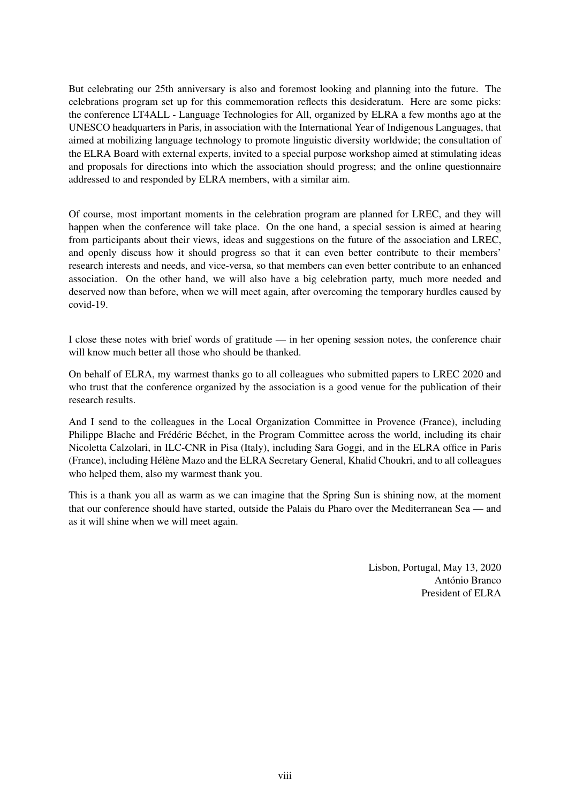But celebrating our 25th anniversary is also and foremost looking and planning into the future. The celebrations program set up for this commemoration reflects this desideratum. Here are some picks: the conference LT4ALL - Language Technologies for All, organized by ELRA a few months ago at the UNESCO headquarters in Paris, in association with the International Year of Indigenous Languages, that aimed at mobilizing language technology to promote linguistic diversity worldwide; the consultation of the ELRA Board with external experts, invited to a special purpose workshop aimed at stimulating ideas and proposals for directions into which the association should progress; and the online questionnaire addressed to and responded by ELRA members, with a similar aim.

Of course, most important moments in the celebration program are planned for LREC, and they will happen when the conference will take place. On the one hand, a special session is aimed at hearing from participants about their views, ideas and suggestions on the future of the association and LREC, and openly discuss how it should progress so that it can even better contribute to their members' research interests and needs, and vice-versa, so that members can even better contribute to an enhanced association. On the other hand, we will also have a big celebration party, much more needed and deserved now than before, when we will meet again, after overcoming the temporary hurdles caused by covid-19.

I close these notes with brief words of gratitude — in her opening session notes, the conference chair will know much better all those who should be thanked.

On behalf of ELRA, my warmest thanks go to all colleagues who submitted papers to LREC 2020 and who trust that the conference organized by the association is a good venue for the publication of their research results.

And I send to the colleagues in the Local Organization Committee in Provence (France), including Philippe Blache and Frédéric Béchet, in the Program Committee across the world, including its chair Nicoletta Calzolari, in ILC-CNR in Pisa (Italy), including Sara Goggi, and in the ELRA office in Paris (France), including Hélène Mazo and the ELRA Secretary General, Khalid Choukri, and to all colleagues who helped them, also my warmest thank you.

This is a thank you all as warm as we can imagine that the Spring Sun is shining now, at the moment that our conference should have started, outside the Palais du Pharo over the Mediterranean Sea — and as it will shine when we will meet again.

> Lisbon, Portugal, May 13, 2020 António Branco President of ELRA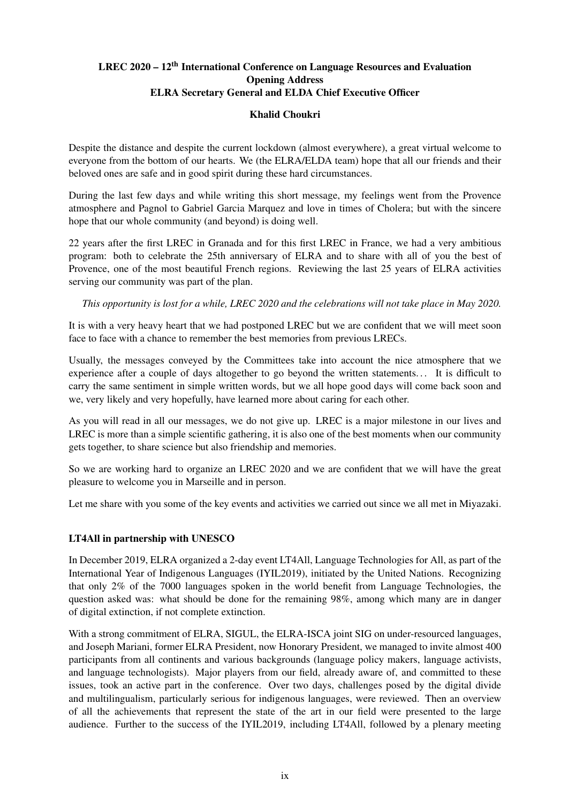## LREC 2020 – 12<sup>th</sup> International Conference on Language Resources and Evaluation Opening Address ELRA Secretary General and ELDA Chief Executive Officer

#### Khalid Choukri

Despite the distance and despite the current lockdown (almost everywhere), a great virtual welcome to everyone from the bottom of our hearts. We (the ELRA/ELDA team) hope that all our friends and their beloved ones are safe and in good spirit during these hard circumstances.

During the last few days and while writing this short message, my feelings went from the Provence atmosphere and Pagnol to Gabriel Garcia Marquez and love in times of Cholera; but with the sincere hope that our whole community (and beyond) is doing well.

22 years after the first LREC in Granada and for this first LREC in France, we had a very ambitious program: both to celebrate the 25th anniversary of ELRA and to share with all of you the best of Provence, one of the most beautiful French regions. Reviewing the last 25 years of ELRA activities serving our community was part of the plan.

*This opportunity is lost for a while, LREC 2020 and the celebrations will not take place in May 2020.*

It is with a very heavy heart that we had postponed LREC but we are confident that we will meet soon face to face with a chance to remember the best memories from previous LRECs.

Usually, the messages conveyed by the Committees take into account the nice atmosphere that we experience after a couple of days altogether to go beyond the written statements... It is difficult to carry the same sentiment in simple written words, but we all hope good days will come back soon and we, very likely and very hopefully, have learned more about caring for each other.

As you will read in all our messages, we do not give up. LREC is a major milestone in our lives and LREC is more than a simple scientific gathering, it is also one of the best moments when our community gets together, to share science but also friendship and memories.

So we are working hard to organize an LREC 2020 and we are confident that we will have the great pleasure to welcome you in Marseille and in person.

Let me share with you some of the key events and activities we carried out since we all met in Miyazaki.

#### LT4All in partnership with UNESCO

In December 2019, ELRA organized a 2-day event LT4All, Language Technologies for All, as part of the International Year of Indigenous Languages (IYIL2019), initiated by the United Nations. Recognizing that only 2% of the 7000 languages spoken in the world benefit from Language Technologies, the question asked was: what should be done for the remaining 98%, among which many are in danger of digital extinction, if not complete extinction.

With a strong commitment of ELRA, SIGUL, the ELRA-ISCA joint SIG on under-resourced languages, and Joseph Mariani, former ELRA President, now Honorary President, we managed to invite almost 400 participants from all continents and various backgrounds (language policy makers, language activists, and language technologists). Major players from our field, already aware of, and committed to these issues, took an active part in the conference. Over two days, challenges posed by the digital divide and multilingualism, particularly serious for indigenous languages, were reviewed. Then an overview of all the achievements that represent the state of the art in our field were presented to the large audience. Further to the success of the IYIL2019, including LT4All, followed by a plenary meeting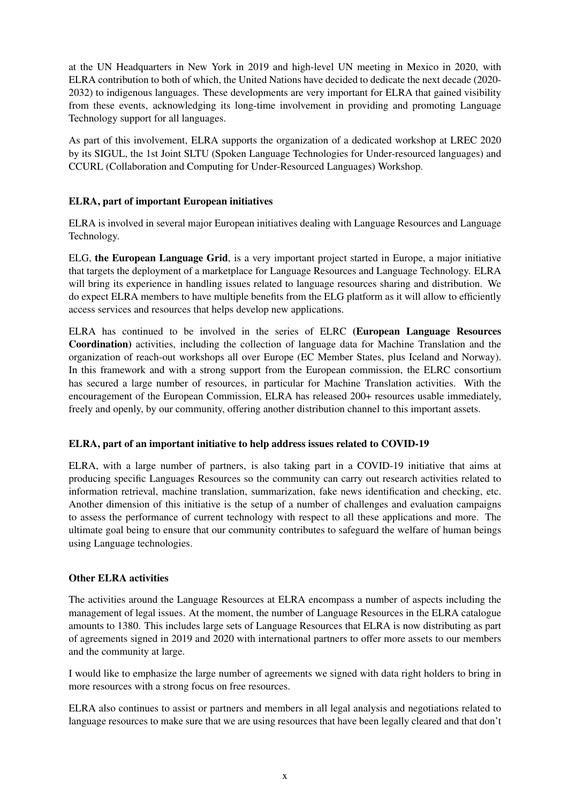at the UN Headquarters in New York in 2019 and high-level UN meeting in Mexico in 2020, with ELRA contribution to both of which, the United Nations have decided to dedicate the next decade (2020- 2032) to indigenous languages. These developments are very important for ELRA that gained visibility from these events, acknowledging its long-time involvement in providing and promoting Language Technology support for all languages.

As part of this involvement, ELRA supports the organization of a dedicated workshop at LREC 2020 by its SIGUL, the 1st Joint SLTU (Spoken Language Technologies for Under-resourced languages) and CCURL (Collaboration and Computing for Under-Resourced Languages) Workshop.

#### ELRA, part of important European initiatives

ELRA is involved in several major European initiatives dealing with Language Resources and Language Technology.

ELG, the European Language Grid, is a very important project started in Europe, a major initiative that targets the deployment of a marketplace for Language Resources and Language Technology. ELRA will bring its experience in handling issues related to language resources sharing and distribution. We do expect ELRA members to have multiple benefits from the ELG platform as it will allow to efficiently access services and resources that helps develop new applications.

ELRA has continued to be involved in the series of ELRC (European Language Resources Coordination) activities, including the collection of language data for Machine Translation and the organization of reach-out workshops all over Europe (EC Member States, plus Iceland and Norway). In this framework and with a strong support from the European commission, the ELRC consortium has secured a large number of resources, in particular for Machine Translation activities. With the encouragement of the European Commission, ELRA has released 200+ resources usable immediately, freely and openly, by our community, offering another distribution channel to this important assets.

#### ELRA, part of an important initiative to help address issues related to COVID-19

ELRA, with a large number of partners, is also taking part in a COVID-19 initiative that aims at producing specific Languages Resources so the community can carry out research activities related to information retrieval, machine translation, summarization, fake news identification and checking, etc. Another dimension of this initiative is the setup of a number of challenges and evaluation campaigns to assess the performance of current technology with respect to all these applications and more. The ultimate goal being to ensure that our community contributes to safeguard the welfare of human beings using Language technologies.

#### Other ELRA activities

The activities around the Language Resources at ELRA encompass a number of aspects including the management of legal issues. At the moment, the number of Language Resources in the ELRA catalogue amounts to 1380. This includes large sets of Language Resources that ELRA is now distributing as part of agreements signed in 2019 and 2020 with international partners to offer more assets to our members and the community at large.

I would like to emphasize the large number of agreements we signed with data right holders to bring in more resources with a strong focus on free resources.

ELRA also continues to assist or partners and members in all legal analysis and negotiations related to language resources to make sure that we are using resources that have been legally cleared and that don't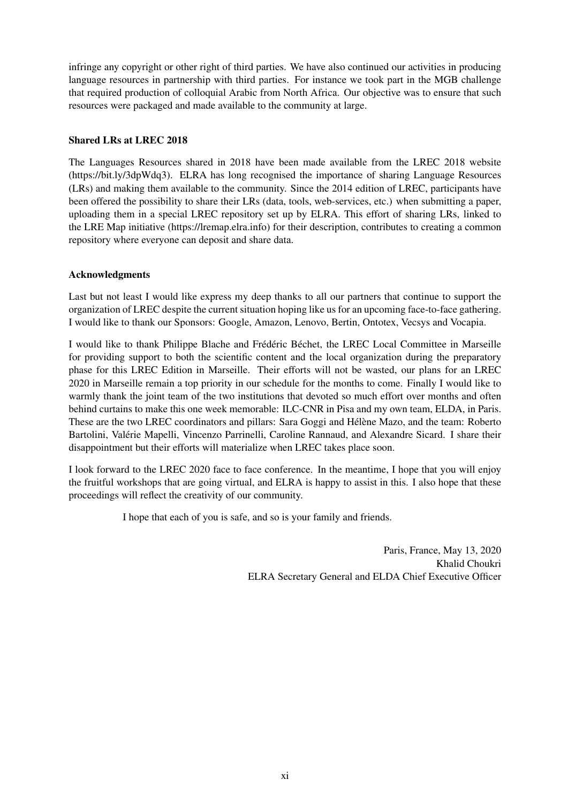infringe any copyright or other right of third parties. We have also continued our activities in producing language resources in partnership with third parties. For instance we took part in the MGB challenge that required production of colloquial Arabic from North Africa. Our objective was to ensure that such resources were packaged and made available to the community at large.

#### Shared LRs at LREC 2018

The Languages Resources shared in 2018 have been made available from the LREC 2018 website (https://bit.ly/3dpWdq3). ELRA has long recognised the importance of sharing Language Resources (LRs) and making them available to the community. Since the 2014 edition of LREC, participants have been offered the possibility to share their LRs (data, tools, web-services, etc.) when submitting a paper, uploading them in a special LREC repository set up by ELRA. This effort of sharing LRs, linked to the LRE Map initiative (https://lremap.elra.info) for their description, contributes to creating a common repository where everyone can deposit and share data.

#### Acknowledgments

Last but not least I would like express my deep thanks to all our partners that continue to support the organization of LREC despite the current situation hoping like us for an upcoming face-to-face gathering. I would like to thank our Sponsors: Google, Amazon, Lenovo, Bertin, Ontotex, Vecsys and Vocapia.

I would like to thank Philippe Blache and Frédéric Béchet, the LREC Local Committee in Marseille for providing support to both the scientific content and the local organization during the preparatory phase for this LREC Edition in Marseille. Their efforts will not be wasted, our plans for an LREC 2020 in Marseille remain a top priority in our schedule for the months to come. Finally I would like to warmly thank the joint team of the two institutions that devoted so much effort over months and often behind curtains to make this one week memorable: ILC-CNR in Pisa and my own team, ELDA, in Paris. These are the two LREC coordinators and pillars: Sara Goggi and Hélène Mazo, and the team: Roberto Bartolini, Valérie Mapelli, Vincenzo Parrinelli, Caroline Rannaud, and Alexandre Sicard. I share their disappointment but their efforts will materialize when LREC takes place soon.

I look forward to the LREC 2020 face to face conference. In the meantime, I hope that you will enjoy the fruitful workshops that are going virtual, and ELRA is happy to assist in this. I also hope that these proceedings will reflect the creativity of our community.

I hope that each of you is safe, and so is your family and friends.

Paris, France, May 13, 2020 Khalid Choukri ELRA Secretary General and ELDA Chief Executive Officer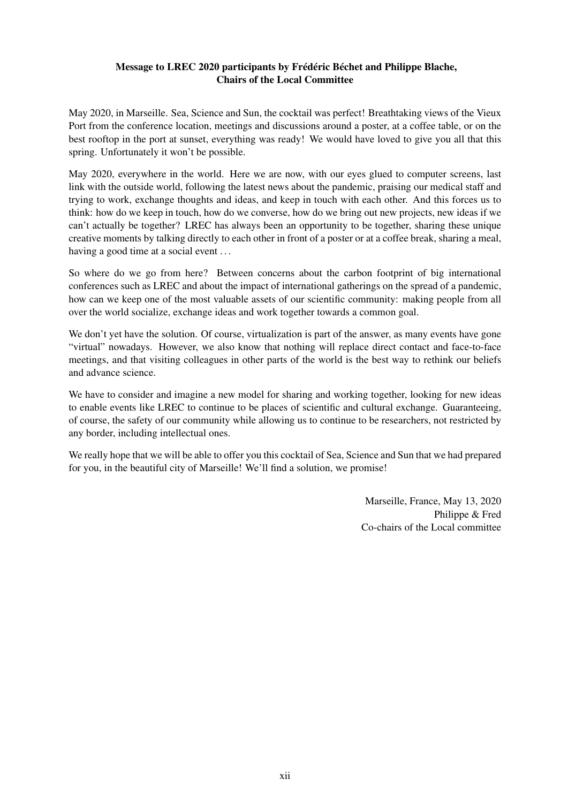#### Message to LREC 2020 participants by Frédéric Béchet and Philippe Blache, Chairs of the Local Committee

May 2020, in Marseille. Sea, Science and Sun, the cocktail was perfect! Breathtaking views of the Vieux Port from the conference location, meetings and discussions around a poster, at a coffee table, or on the best rooftop in the port at sunset, everything was ready! We would have loved to give you all that this spring. Unfortunately it won't be possible.

May 2020, everywhere in the world. Here we are now, with our eyes glued to computer screens, last link with the outside world, following the latest news about the pandemic, praising our medical staff and trying to work, exchange thoughts and ideas, and keep in touch with each other. And this forces us to think: how do we keep in touch, how do we converse, how do we bring out new projects, new ideas if we can't actually be together? LREC has always been an opportunity to be together, sharing these unique creative moments by talking directly to each other in front of a poster or at a coffee break, sharing a meal, having a good time at a social event ...

So where do we go from here? Between concerns about the carbon footprint of big international conferences such as LREC and about the impact of international gatherings on the spread of a pandemic, how can we keep one of the most valuable assets of our scientific community: making people from all over the world socialize, exchange ideas and work together towards a common goal.

We don't yet have the solution. Of course, virtualization is part of the answer, as many events have gone "virtual" nowadays. However, we also know that nothing will replace direct contact and face-to-face meetings, and that visiting colleagues in other parts of the world is the best way to rethink our beliefs and advance science.

We have to consider and imagine a new model for sharing and working together, looking for new ideas to enable events like LREC to continue to be places of scientific and cultural exchange. Guaranteeing, of course, the safety of our community while allowing us to continue to be researchers, not restricted by any border, including intellectual ones.

We really hope that we will be able to offer you this cocktail of Sea. Science and Sun that we had prepared for you, in the beautiful city of Marseille! We'll find a solution, we promise!

> Marseille, France, May 13, 2020 Philippe & Fred Co-chairs of the Local committee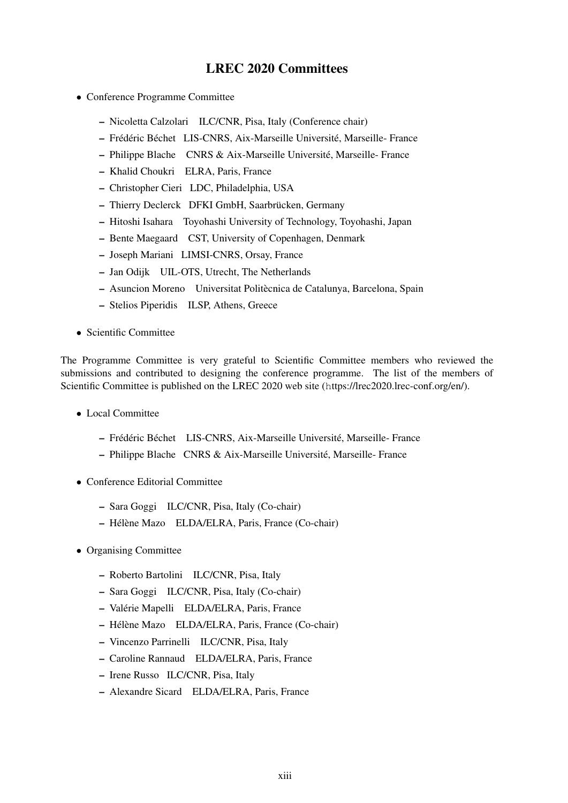## LREC 2020 Committees

- Conference Programme Committee
	- Nicoletta Calzolari ILC/CNR, Pisa, Italy (Conference chair)
	- Frédéric Béchet LIS-CNRS, Aix-Marseille Université, Marseille- France
	- Philippe Blache CNRS & Aix-Marseille Université, Marseille- France
	- Khalid Choukri ELRA, Paris, France
	- Christopher Cieri LDC, Philadelphia, USA
	- Thierry Declerck DFKI GmbH, Saarbrücken, Germany
	- Hitoshi Isahara Toyohashi University of Technology, Toyohashi, Japan
	- Bente Maegaard CST, University of Copenhagen, Denmark
	- Joseph Mariani LIMSI-CNRS, Orsay, France
	- Jan Odijk UIL-OTS, Utrecht, The Netherlands
	- Asuncion Moreno Universitat Politècnica de Catalunya, Barcelona, Spain
	- Stelios Piperidis ILSP, Athens, Greece
- Scientific Committee

The Programme Committee is very grateful to Scientific Committee members who reviewed the submissions and contributed to designing the conference programme. The list of the members of Scientific Committee is published on the LREC 2020 web site (https://lrec2020.lrec-conf.org/en/).

- Local Committee
	- Frédéric Béchet LIS-CNRS, Aix-Marseille Université, Marseille- France
	- Philippe Blache CNRS & Aix-Marseille Université, Marseille- France
- Conference Editorial Committee
	- Sara Goggi ILC/CNR, Pisa, Italy (Co-chair)
	- Hélène Mazo ELDA/ELRA, Paris, France (Co-chair)
- Organising Committee
	- Roberto Bartolini ILC/CNR, Pisa, Italy
	- Sara Goggi ILC/CNR, Pisa, Italy (Co-chair)
	- Valérie Mapelli ELDA/ELRA, Paris, France
	- Hélène Mazo ELDA/ELRA, Paris, France (Co-chair)
	- Vincenzo Parrinelli ILC/CNR, Pisa, Italy
	- Caroline Rannaud ELDA/ELRA, Paris, France
	- Irene Russo ILC/CNR, Pisa, Italy
	- Alexandre Sicard ELDA/ELRA, Paris, France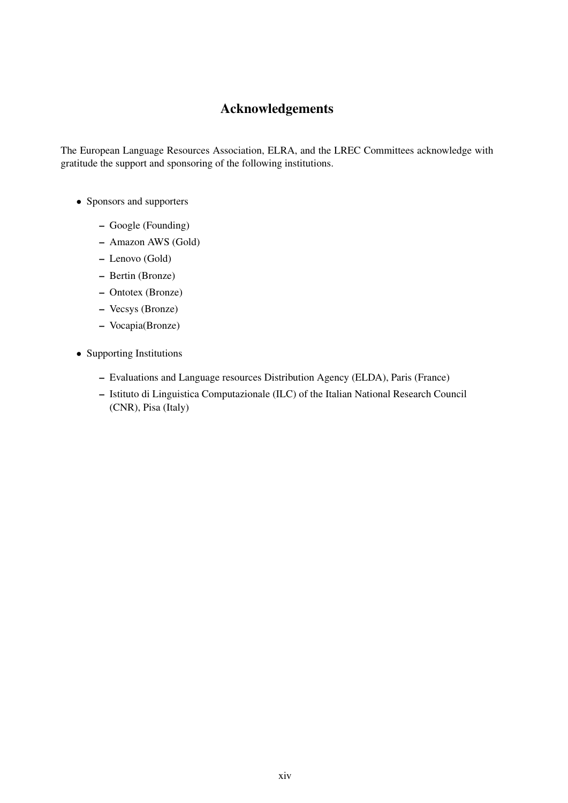## Acknowledgements

The European Language Resources Association, ELRA, and the LREC Committees acknowledge with gratitude the support and sponsoring of the following institutions.

- Sponsors and supporters
	- Google (Founding)
	- Amazon AWS (Gold)
	- Lenovo (Gold)
	- Bertin (Bronze)
	- Ontotex (Bronze)
	- Vecsys (Bronze)
	- Vocapia(Bronze)
- Supporting Institutions
	- Evaluations and Language resources Distribution Agency (ELDA), Paris (France)
	- Istituto di Linguistica Computazionale (ILC) of the Italian National Research Council (CNR), Pisa (Italy)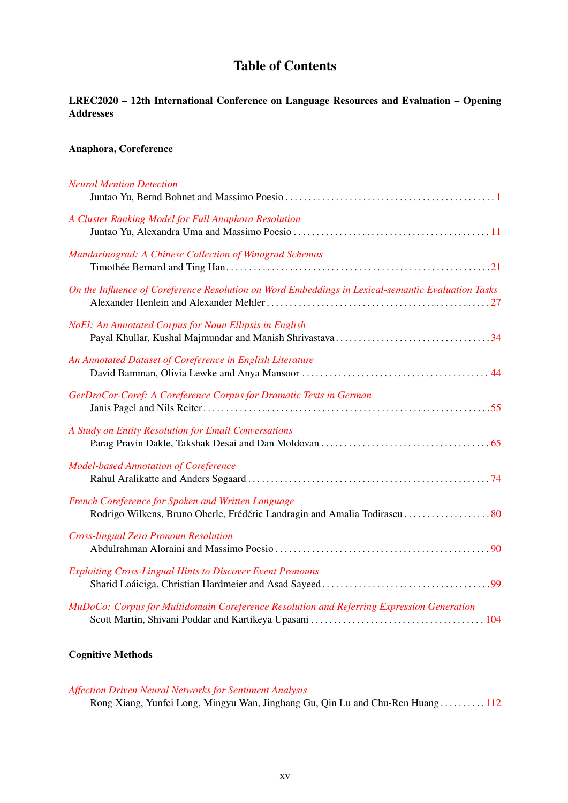## Table of Contents

## LREC2020 – 12th International Conference on Language Resources and Evaluation – Opening Addresses

#### Anaphora, Coreference

| <b>Neural Mention Detection</b>                                                                    |
|----------------------------------------------------------------------------------------------------|
| A Cluster Ranking Model for Full Anaphora Resolution                                               |
| Mandarinograd: A Chinese Collection of Winograd Schemas                                            |
| On the Influence of Coreference Resolution on Word Embeddings in Lexical-semantic Evaluation Tasks |
| <b>NoEl: An Annotated Corpus for Noun Ellipsis in English</b>                                      |
| An Annotated Dataset of Coreference in English Literature                                          |
| GerDraCor-Coref: A Coreference Corpus for Dramatic Texts in German                                 |
| A Study on Entity Resolution for Email Conversations                                               |
| <b>Model-based Annotation of Coreference</b>                                                       |
| French Coreference for Spoken and Written Language                                                 |
| <b>Cross-lingual Zero Pronoun Resolution</b>                                                       |
| <b>Exploiting Cross-Lingual Hints to Discover Event Pronouns</b>                                   |
| MuDoCo: Corpus for Multidomain Coreference Resolution and Referring Expression Generation          |

## Cognitive Methods

#### *[Affection Driven Neural Networks for Sentiment Analysis](#page-0-0)*

Rong Xiang, Yunfei Long, Mingyu Wan, Jinghang Gu, Qin Lu and Chu-Ren Huang . . . . . . . . . . [112](#page-0-0)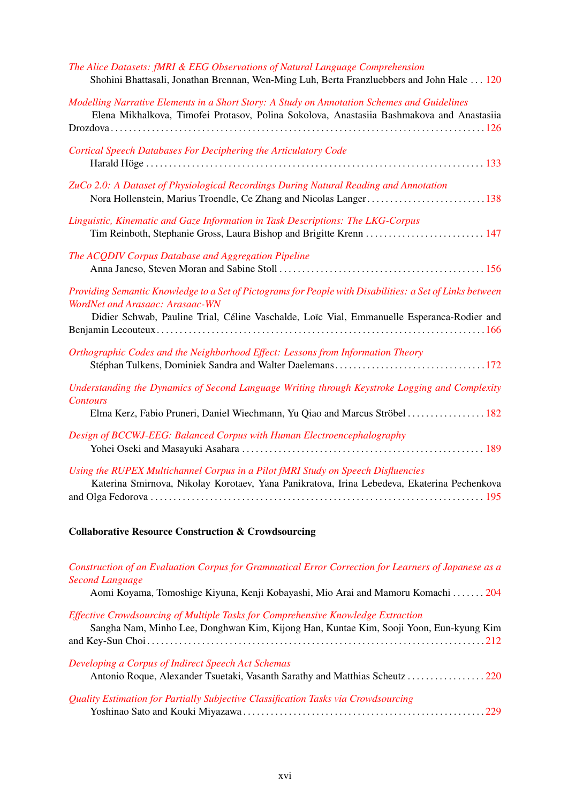| The Alice Datasets: fMRI & EEG Observations of Natural Language Comprehension<br>Shohini Bhattasali, Jonathan Brennan, Wen-Ming Luh, Berta Franzluebbers and John Hale  120                                                               |
|-------------------------------------------------------------------------------------------------------------------------------------------------------------------------------------------------------------------------------------------|
| Modelling Narrative Elements in a Short Story: A Study on Annotation Schemes and Guidelines<br>Elena Mikhalkova, Timofei Protasov, Polina Sokolova, Anastasiia Bashmakova and Anastasiia                                                  |
| <b>Cortical Speech Databases For Deciphering the Articulatory Code</b>                                                                                                                                                                    |
| ZuCo 2.0: A Dataset of Physiological Recordings During Natural Reading and Annotation                                                                                                                                                     |
| Linguistic, Kinematic and Gaze Information in Task Descriptions: The LKG-Corpus                                                                                                                                                           |
| The ACQDIV Corpus Database and Aggregation Pipeline                                                                                                                                                                                       |
| Providing Semantic Knowledge to a Set of Pictograms for People with Disabilities: a Set of Links between<br>WordNet and Arasaac: Arasaac-WN<br>Didier Schwab, Pauline Trial, Céline Vaschalde, Loïc Vial, Emmanuelle Esperanca-Rodier and |
| Orthographic Codes and the Neighborhood Effect: Lessons from Information Theory                                                                                                                                                           |
| Understanding the Dynamics of Second Language Writing through Keystroke Logging and Complexity<br><b>Contours</b><br>Elma Kerz, Fabio Pruneri, Daniel Wiechmann, Yu Qiao and Marcus Ströbel 182                                           |
| Design of BCCWJ-EEG: Balanced Corpus with Human Electroencephalography                                                                                                                                                                    |
| Using the RUPEX Multichannel Corpus in a Pilot fMRI Study on Speech Disfluencies<br>Katerina Smirnova, Nikolay Korotaev, Yana Panikratova, Irina Lebedeva, Ekaterina Pechenkova                                                           |

## Collaborative Resource Construction & Crowdsourcing

| Construction of an Evaluation Corpus for Grammatical Error Correction for Learners of Japanese as a |
|-----------------------------------------------------------------------------------------------------|
| <b>Second Language</b>                                                                              |
| Aomi Koyama, Tomoshige Kiyuna, Kenji Kobayashi, Mio Arai and Mamoru Komachi  204                    |
| Effective Crowdsourcing of Multiple Tasks for Comprehensive Knowledge Extraction                    |
| Sangha Nam, Minho Lee, Donghwan Kim, Kijong Han, Kuntae Kim, Sooji Yoon, Eun-kyung Kim              |
|                                                                                                     |
| Developing a Corpus of Indirect Speech Act Schemas                                                  |
|                                                                                                     |
| Quality Estimation for Partially Subjective Classification Tasks via Crowdsourcing                  |
|                                                                                                     |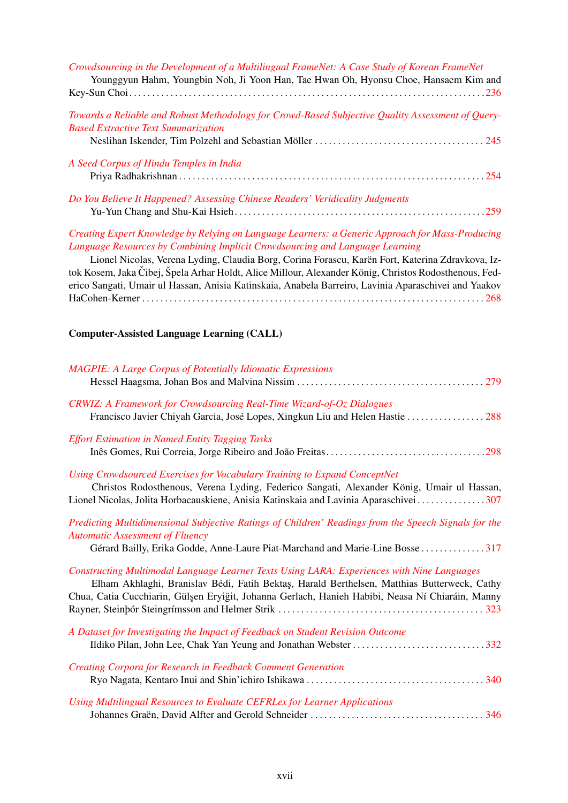| Crowdsourcing in the Development of a Multilingual FrameNet: A Case Study of Korean FrameNet<br>Younggyun Hahm, Youngbin Noh, Ji Yoon Han, Tae Hwan Oh, Hyonsu Choe, Hansaem Kim and |  |  |  |  |  |
|--------------------------------------------------------------------------------------------------------------------------------------------------------------------------------------|--|--|--|--|--|
|                                                                                                                                                                                      |  |  |  |  |  |
| Towards a Reliable and Robust Methodology for Crowd-Based Subjective Quality Assessment of Query-<br><b>Based Extractive Text Summarization</b>                                      |  |  |  |  |  |
|                                                                                                                                                                                      |  |  |  |  |  |
| A Seed Corpus of Hindu Temples in India                                                                                                                                              |  |  |  |  |  |
|                                                                                                                                                                                      |  |  |  |  |  |
| Do You Believe It Happened? Assessing Chinese Readers' Veridicality Judgments                                                                                                        |  |  |  |  |  |
|                                                                                                                                                                                      |  |  |  |  |  |
| Creating Expert Knowledge by Relying on Language Learners: a Generic Approach for Mass-Producing                                                                                     |  |  |  |  |  |

*[Creating Expert Knowledge by Relying on Language Learners: a Generic Approach for Mass-Producing](#page-0-0) [Language Resources by Combining Implicit Crowdsourcing and Language Learning](#page-0-0)*

Lionel Nicolas, Verena Lyding, Claudia Borg, Corina Forascu, Karën Fort, Katerina Zdravkova, Iztok Kosem, Jaka Čibej, Špela Arhar Holdt, Alice Millour, Alexander König, Christos Rodosthenous, Federico Sangati, Umair ul Hassan, Anisia Katinskaia, Anabela Barreiro, Lavinia Aparaschivei and Yaakov HaCohen-Kerner . . . . . . . . . . . . . . . . . . . . . . . . . . . . . . . . . . . . . . . . . . . . . . . . . . . . . . . . . . . . . . . . . . . . . . . . . . . [268](#page-0-0)

#### Computer-Assisted Language Learning (CALL)

| <b>MAGPIE: A Large Corpus of Potentially Idiomatic Expressions</b>                                                                                                                                                                                                                            |
|-----------------------------------------------------------------------------------------------------------------------------------------------------------------------------------------------------------------------------------------------------------------------------------------------|
| CRWIZ: A Framework for Crowdsourcing Real-Time Wizard-of-Oz Dialogues<br>Francisco Javier Chiyah Garcia, José Lopes, Xingkun Liu and Helen Hastie  288                                                                                                                                        |
| <b>Effort Estimation in Named Entity Tagging Tasks</b>                                                                                                                                                                                                                                        |
| Using Crowdsourced Exercises for Vocabulary Training to Expand ConceptNet<br>Christos Rodosthenous, Verena Lyding, Federico Sangati, Alexander König, Umair ul Hassan,<br>Lionel Nicolas, Jolita Horbacauskiene, Anisia Katinskaia and Lavinia Aparaschivei307                                |
| Predicting Multidimensional Subjective Ratings of Children' Readings from the Speech Signals for the<br><b>Automatic Assessment of Fluency</b><br>Gérard Bailly, Erika Godde, Anne-Laure Piat-Marchand and Marie-Line Bosse 317                                                               |
| Constructing Multimodal Language Learner Texts Using LARA: Experiences with Nine Languages<br>Elham Akhlaghi, Branislav Bédi, Fatih Bektaş, Harald Berthelsen, Matthias Butterweck, Cathy<br>Chua, Catia Cucchiarin, Gülşen Eryiğit, Johanna Gerlach, Hanieh Habibi, Neasa Ní Chiaráin, Manny |
| A Dataset for Investigating the Impact of Feedback on Student Revision Outcome<br>Ildiko Pilan, John Lee, Chak Yan Yeung and Jonathan Webster332                                                                                                                                              |
| Creating Corpora for Research in Feedback Comment Generation                                                                                                                                                                                                                                  |
| Using Multilingual Resources to Evaluate CEFRLex for Learner Applications                                                                                                                                                                                                                     |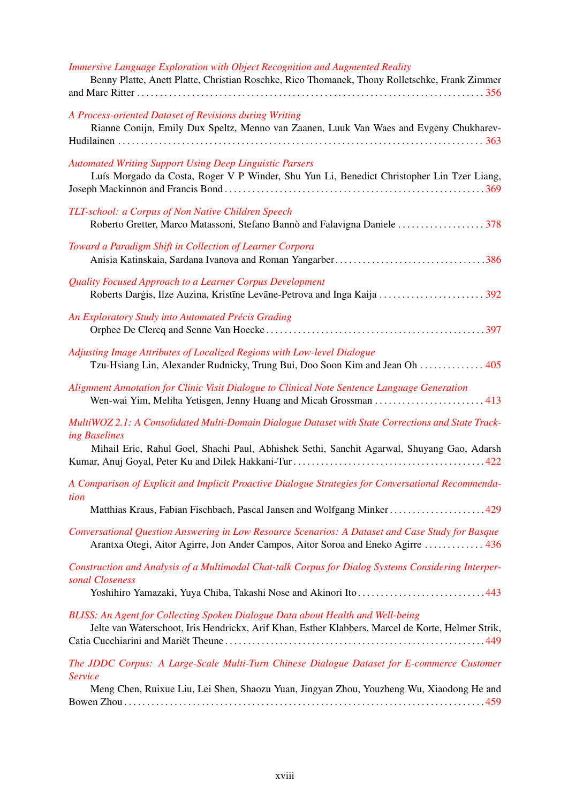| Immersive Language Exploration with Object Recognition and Augmented Reality<br>Benny Platte, Anett Platte, Christian Roschke, Rico Thomanek, Thony Rolletschke, Frank Zimmer                     |
|---------------------------------------------------------------------------------------------------------------------------------------------------------------------------------------------------|
| A Process-oriented Dataset of Revisions during Writing<br>Rianne Conijn, Emily Dux Speltz, Menno van Zaanen, Luuk Van Waes and Evgeny Chukharev-                                                  |
| <b>Automated Writing Support Using Deep Linguistic Parsers</b><br>Luís Morgado da Costa, Roger V P Winder, Shu Yun Li, Benedict Christopher Lin Tzer Liang,                                       |
| TLT-school: a Corpus of Non Native Children Speech<br>Roberto Gretter, Marco Matassoni, Stefano Bannò and Falavigna Daniele 378                                                                   |
| Toward a Paradigm Shift in Collection of Learner Corpora                                                                                                                                          |
| Quality Focused Approach to a Learner Corpus Development                                                                                                                                          |
| An Exploratory Study into Automated Précis Grading                                                                                                                                                |
| Adjusting Image Attributes of Localized Regions with Low-level Dialogue<br>Tzu-Hsiang Lin, Alexander Rudnicky, Trung Bui, Doo Soon Kim and Jean Oh  405                                           |
| Alignment Annotation for Clinic Visit Dialogue to Clinical Note Sentence Language Generation<br>Wen-wai Yim, Meliha Yetisgen, Jenny Huang and Micah Grossman  413                                 |
| MultiWOZ 2.1: A Consolidated Multi-Domain Dialogue Dataset with State Corrections and State Track-<br>ing Baselines                                                                               |
| Mihail Eric, Rahul Goel, Shachi Paul, Abhishek Sethi, Sanchit Agarwal, Shuyang Gao, Adarsh                                                                                                        |
| A Comparison of Explicit and Implicit Proactive Dialogue Strategies for Conversational Recommenda-                                                                                                |
| tion<br>Matthias Kraus, Fabian Fischbach, Pascal Jansen and Wolfgang Minker429                                                                                                                    |
| Conversational Question Answering in Low Resource Scenarios: A Dataset and Case Study for Basque<br>Arantxa Otegi, Aitor Agirre, Jon Ander Campos, Aitor Soroa and Eneko Agirre  436              |
| Construction and Analysis of a Multimodal Chat-talk Corpus for Dialog Systems Considering Interper-<br>sonal Closeness<br>Yoshihiro Yamazaki, Yuya Chiba, Takashi Nose and Akinori Ito443         |
| BLISS: An Agent for Collecting Spoken Dialogue Data about Health and Well-being<br>Jelte van Waterschoot, Iris Hendrickx, Arif Khan, Esther Klabbers, Marcel de Korte, Helmer Strik,              |
| The JDDC Corpus: A Large-Scale Multi-Turn Chinese Dialogue Dataset for E-commerce Customer<br>Service<br>Meng Chen, Ruixue Liu, Lei Shen, Shaozu Yuan, Jingyan Zhou, Youzheng Wu, Xiaodong He and |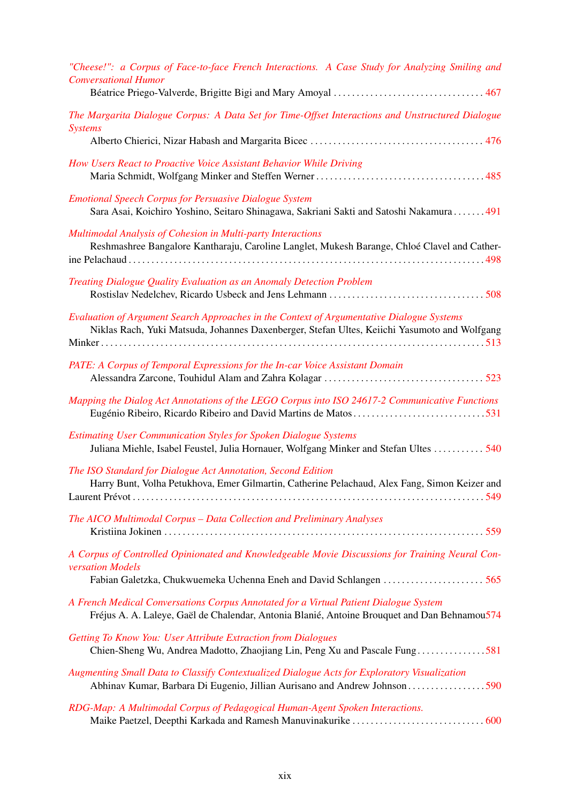| "Cheese!": a Corpus of Face-to-face French Interactions. A Case Study for Analyzing Smiling and<br><b>Conversational Humor</b>                                                            |
|-------------------------------------------------------------------------------------------------------------------------------------------------------------------------------------------|
|                                                                                                                                                                                           |
| The Margarita Dialogue Corpus: A Data Set for Time-Offset Interactions and Unstructured Dialogue<br><b>Systems</b>                                                                        |
|                                                                                                                                                                                           |
| How Users React to Proactive Voice Assistant Behavior While Driving                                                                                                                       |
| <b>Emotional Speech Corpus for Persuasive Dialogue System</b><br>Sara Asai, Koichiro Yoshino, Seitaro Shinagawa, Sakriani Sakti and Satoshi Nakamura 491                                  |
| Multimodal Analysis of Cohesion in Multi-party Interactions<br>Reshmashree Bangalore Kantharaju, Caroline Langlet, Mukesh Barange, Chloé Clavel and Cather-                               |
| Treating Dialogue Quality Evaluation as an Anomaly Detection Problem                                                                                                                      |
|                                                                                                                                                                                           |
| Evaluation of Argument Search Approaches in the Context of Argumentative Dialogue Systems<br>Niklas Rach, Yuki Matsuda, Johannes Daxenberger, Stefan Ultes, Keiichi Yasumoto and Wolfgang |
|                                                                                                                                                                                           |
| PATE: A Corpus of Temporal Expressions for the In-car Voice Assistant Domain                                                                                                              |
| Mapping the Dialog Act Annotations of the LEGO Corpus into ISO 24617-2 Communicative Functions                                                                                            |
| <b>Estimating User Communication Styles for Spoken Dialogue Systems</b><br>Juliana Miehle, Isabel Feustel, Julia Hornauer, Wolfgang Minker and Stefan Ultes  540                          |
| The ISO Standard for Dialogue Act Annotation, Second Edition                                                                                                                              |
| Harry Bunt, Volha Petukhova, Emer Gilmartin, Catherine Pelachaud, Alex Fang, Simon Keizer and                                                                                             |
| The AICO Multimodal Corpus - Data Collection and Preliminary Analyses                                                                                                                     |
| A Corpus of Controlled Opinionated and Knowledgeable Movie Discussions for Training Neural Con-<br>versation Models                                                                       |
| Fabian Galetzka, Chukwuemeka Uchenna Eneh and David Schlangen  565                                                                                                                        |
| A French Medical Conversations Corpus Annotated for a Virtual Patient Dialogue System<br>Fréjus A. A. Laleye, Gaël de Chalendar, Antonia Blanié, Antoine Brouquet and Dan Behnamou574     |
| Getting To Know You: User Attribute Extraction from Dialogues<br>Chien-Sheng Wu, Andrea Madotto, Zhaojiang Lin, Peng Xu and Pascale Fung581                                               |
| Augmenting Small Data to Classify Contextualized Dialogue Acts for Exploratory Visualization<br>Abhinav Kumar, Barbara Di Eugenio, Jillian Aurisano and Andrew Johnson 590                |
| RDG-Map: A Multimodal Corpus of Pedagogical Human-Agent Spoken Interactions.                                                                                                              |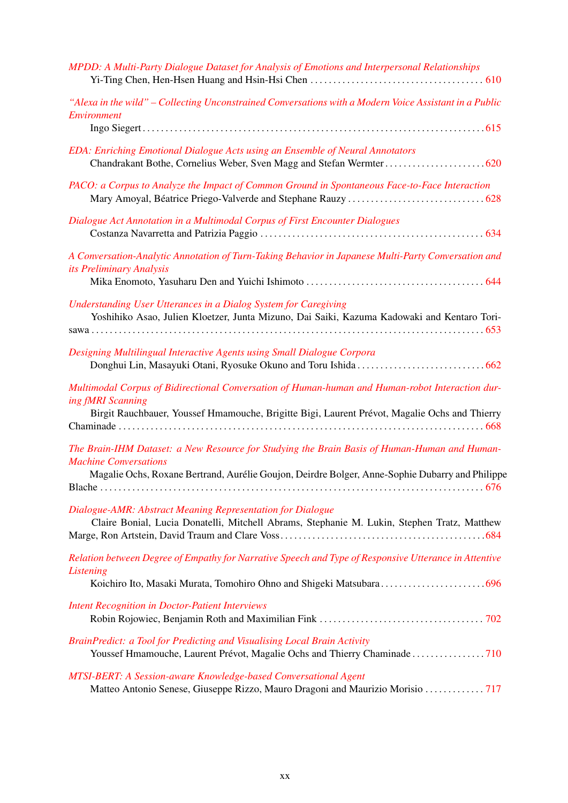| MPDD: A Multi-Party Dialogue Dataset for Analysis of Emotions and Interpersonal Relationships                                                                                                                                   |
|---------------------------------------------------------------------------------------------------------------------------------------------------------------------------------------------------------------------------------|
| "Alexa in the wild" - Collecting Unconstrained Conversations with a Modern Voice Assistant in a Public<br>Environment                                                                                                           |
| EDA: Enriching Emotional Dialogue Acts using an Ensemble of Neural Annotators                                                                                                                                                   |
| PACO: a Corpus to Analyze the Impact of Common Ground in Spontaneous Face-to-Face Interaction                                                                                                                                   |
| Dialogue Act Annotation in a Multimodal Corpus of First Encounter Dialogues                                                                                                                                                     |
| A Conversation-Analytic Annotation of Turn-Taking Behavior in Japanese Multi-Party Conversation and<br>its Preliminary Analysis                                                                                                 |
| <b>Understanding User Utterances in a Dialog System for Caregiving</b><br>Yoshihiko Asao, Julien Kloetzer, Junta Mizuno, Dai Saiki, Kazuma Kadowaki and Kentaro Tori-                                                           |
| Designing Multilingual Interactive Agents using Small Dialogue Corpora                                                                                                                                                          |
| Multimodal Corpus of Bidirectional Conversation of Human-human and Human-robot Interaction dur-<br>ing fMRI Scanning<br>Birgit Rauchbauer, Youssef Hmamouche, Brigitte Bigi, Laurent Prévot, Magalie Ochs and Thierry           |
| The Brain-IHM Dataset: a New Resource for Studying the Brain Basis of Human-Human and Human-<br><b>Machine Conversations</b><br>Magalie Ochs, Roxane Bertrand, Aurélie Goujon, Deirdre Bolger, Anne-Sophie Dubarry and Philippe |
| Dialogue-AMR: Abstract Meaning Representation for Dialogue<br>Claire Bonial, Lucia Donatelli, Mitchell Abrams, Stephanie M. Lukin, Stephen Tratz, Matthew                                                                       |
| Relation between Degree of Empathy for Narrative Speech and Type of Responsive Utterance in Attentive<br>Listening                                                                                                              |
| <b>Intent Recognition in Doctor-Patient Interviews</b>                                                                                                                                                                          |
| BrainPredict: a Tool for Predicting and Visualising Local Brain Activity<br>Youssef Hmamouche, Laurent Prévot, Magalie Ochs and Thierry Chaminade 710                                                                           |
| <b>MTSI-BERT: A Session-aware Knowledge-based Conversational Agent</b><br>Matteo Antonio Senese, Giuseppe Rizzo, Mauro Dragoni and Maurizio Morisio  717                                                                        |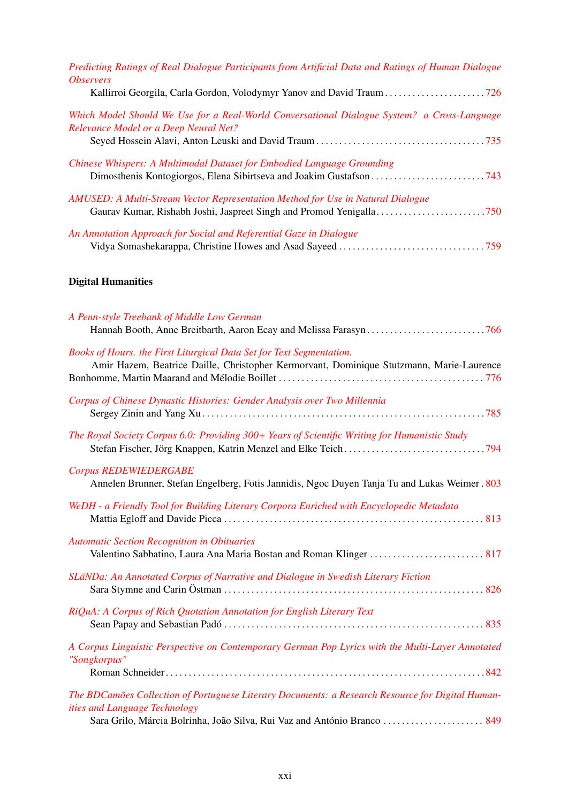| Predicting Ratings of Real Dialogue Participants from Artificial Data and Ratings of Human Dialogue<br><i><b>Observers</b></i>              |
|---------------------------------------------------------------------------------------------------------------------------------------------|
| Which Model Should We Use for a Real-World Conversational Dialogue System? a Cross-Language<br><b>Relevance Model or a Deep Neural Net?</b> |
| Chinese Whispers: A Multimodal Dataset for Embodied Language Grounding                                                                      |
| AMUSED: A Multi-Stream Vector Representation Method for Use in Natural Dialogue                                                             |
| An Annotation Approach for Social and Referential Gaze in Dialogue                                                                          |
| <b>Digital Humanities</b>                                                                                                                   |
| A Penn-style Treebank of Middle Low German                                                                                                  |

| Books of Hours. the First Liturgical Data Set for Text Segmentation. |  |  |  |  |                                                                                          |  |  |  |  |
|----------------------------------------------------------------------|--|--|--|--|------------------------------------------------------------------------------------------|--|--|--|--|
|                                                                      |  |  |  |  | Amir Hazem, Beatrice Daille, Christopher Kermorvant, Dominique Stutzmann, Marie-Laurence |  |  |  |  |

| Corpus of Chinese Dynastic Histories: Gender Analysis over Two Millennia                                                     |  |
|------------------------------------------------------------------------------------------------------------------------------|--|
| The Royal Society Corpus 6.0: Providing 300+ Years of Scientific Writing for Humanistic Study                                |  |
| <b>Corpus REDEWIEDERGABE</b><br>Annelen Brunner, Stefan Engelberg, Fotis Jannidis, Ngoc Duyen Tanja Tu and Lukas Weimer. 803 |  |
| WeDH - a Friendly Tool for Building Literary Corpora Enriched with Encyclopedic Metadata                                     |  |
| <b>Automatic Section Recognition in Obituaries</b>                                                                           |  |

| SLäNDa: An Annotated Corpus of Narrative and Dialogue in Swedish Literary Fiction |  |
|-----------------------------------------------------------------------------------|--|
| RiQuA: A Corpus of Rich Quotation Annotation for English Literary Text            |  |

| A Corpus Linguistic Perspective on Contemporary German Pop Lyrics with the Multi-Layer Annotated |  |  |  |
|--------------------------------------------------------------------------------------------------|--|--|--|
| "Songkorpus"                                                                                     |  |  |  |
|                                                                                                  |  |  |  |

*[The BDCamões Collection of Portuguese Literary Documents: a Research Resource for Digital Human](#page-0-0)[ities and Language Technology](#page-0-0)*

Sara Grilo, Márcia Bolrinha, João Silva, Rui Vaz and António Branco . . . . . . . . . . . . . . . . . . . . . . [849](#page-0-0)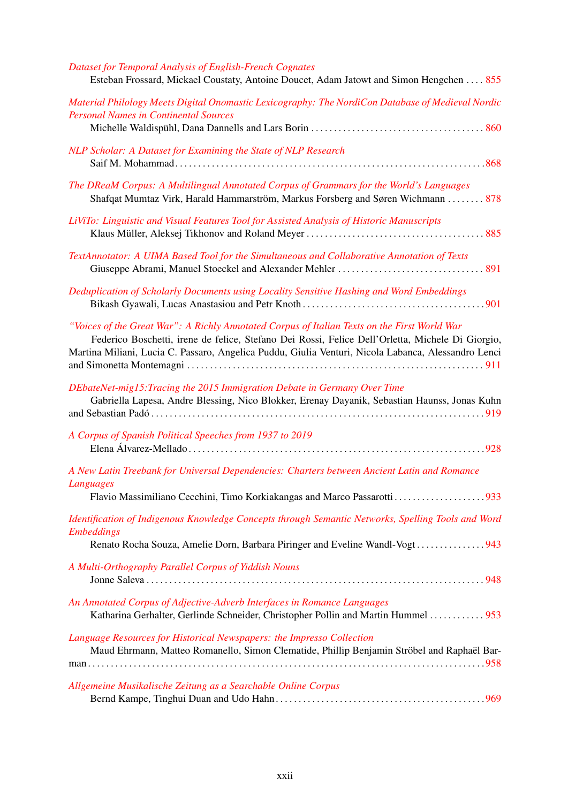| Dataset for Temporal Analysis of English-French Cognates<br>Esteban Frossard, Mickael Coustaty, Antoine Doucet, Adam Jatowt and Simon Hengchen 855                                                                                                                                                      |
|---------------------------------------------------------------------------------------------------------------------------------------------------------------------------------------------------------------------------------------------------------------------------------------------------------|
| Material Philology Meets Digital Onomastic Lexicography: The NordiCon Database of Medieval Nordic<br><b>Personal Names in Continental Sources</b>                                                                                                                                                       |
| NLP Scholar: A Dataset for Examining the State of NLP Research                                                                                                                                                                                                                                          |
| The DReaM Corpus: A Multilingual Annotated Corpus of Grammars for the World's Languages<br>Shafqat Mumtaz Virk, Harald Hammarström, Markus Forsberg and Søren Wichmann  878                                                                                                                             |
| LiViTo: Linguistic and Visual Features Tool for Assisted Analysis of Historic Manuscripts                                                                                                                                                                                                               |
| TextAnnotator: A UIMA Based Tool for the Simultaneous and Collaborative Annotation of Texts                                                                                                                                                                                                             |
| Deduplication of Scholarly Documents using Locality Sensitive Hashing and Word Embeddings                                                                                                                                                                                                               |
| "Voices of the Great War": A Richly Annotated Corpus of Italian Texts on the First World War<br>Federico Boschetti, irene de felice, Stefano Dei Rossi, Felice Dell'Orletta, Michele Di Giorgio,<br>Martina Miliani, Lucia C. Passaro, Angelica Puddu, Giulia Venturi, Nicola Labanca, Alessandro Lenci |
| DEbateNet-mig15: Tracing the 2015 Immigration Debate in Germany Over Time<br>Gabriella Lapesa, Andre Blessing, Nico Blokker, Erenay Dayanik, Sebastian Haunss, Jonas Kuhn                                                                                                                               |
| A Corpus of Spanish Political Speeches from 1937 to 2019                                                                                                                                                                                                                                                |
| A New Latin Treebank for Universal Dependencies: Charters between Ancient Latin and Romance<br>Languages<br>Flavio Massimiliano Cecchini, Timo Korkiakangas and Marco Passarotti933                                                                                                                     |
| Identification of Indigenous Knowledge Concepts through Semantic Networks, Spelling Tools and Word<br><b>Embeddings</b>                                                                                                                                                                                 |
| Renato Rocha Souza, Amelie Dorn, Barbara Piringer and Eveline Wandl-Vogt943                                                                                                                                                                                                                             |
| A Multi-Orthography Parallel Corpus of Yiddish Nouns                                                                                                                                                                                                                                                    |
| An Annotated Corpus of Adjective-Adverb Interfaces in Romance Languages<br>Katharina Gerhalter, Gerlinde Schneider, Christopher Pollin and Martin Hummel  953                                                                                                                                           |
| Language Resources for Historical Newspapers: the Impresso Collection<br>Maud Ehrmann, Matteo Romanello, Simon Clematide, Phillip Benjamin Ströbel and Raphaël Bar-                                                                                                                                     |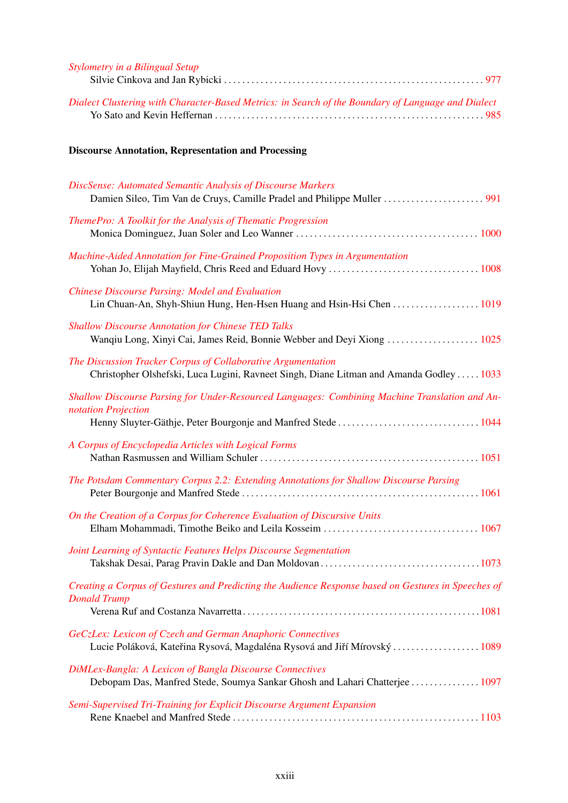| <b>Stylometry in a Bilingual Setup</b>                                                                                                                  |
|---------------------------------------------------------------------------------------------------------------------------------------------------------|
| Dialect Clustering with Character-Based Metrics: in Search of the Boundary of Language and Dialect                                                      |
| <b>Discourse Annotation, Representation and Processing</b>                                                                                              |
| DiscSense: Automated Semantic Analysis of Discourse Markers                                                                                             |
| ThemePro: A Toolkit for the Analysis of Thematic Progression                                                                                            |
| Machine-Aided Annotation for Fine-Grained Proposition Types in Argumentation                                                                            |
| <b>Chinese Discourse Parsing: Model and Evaluation</b><br>Lin Chuan-An, Shyh-Shiun Hung, Hen-Hsen Huang and Hsin-Hsi Chen 1019                          |
| <b>Shallow Discourse Annotation for Chinese TED Talks</b><br>Wanqiu Long, Xinyi Cai, James Reid, Bonnie Webber and Deyi Xiong  1025                     |
| The Discussion Tracker Corpus of Collaborative Argumentation<br>Christopher Olshefski, Luca Lugini, Ravneet Singh, Diane Litman and Amanda Godley  1033 |
| Shallow Discourse Parsing for Under-Resourced Languages: Combining Machine Translation and An-<br>notation Projection                                   |
| A Corpus of Encyclopedia Articles with Logical Forms                                                                                                    |
| The Potsdam Commentary Corpus 2.2: Extending Annotations for Shallow Discourse Parsing                                                                  |
| On the Creation of a Corpus for Coherence Evaluation of Discursive Units                                                                                |
| Joint Learning of Syntactic Features Helps Discourse Segmentation                                                                                       |
| Creating a Corpus of Gestures and Predicting the Audience Response based on Gestures in Speeches of<br><b>Donald Trump</b>                              |
| GeCzLex: Lexicon of Czech and German Anaphoric Connectives<br>Lucie Poláková, Kateřina Rysová, Magdaléna Rysová and Jiří Mírovský  1089                 |
| <b>DiMLex-Bangla: A Lexicon of Bangla Discourse Connectives</b><br>Debopam Das, Manfred Stede, Soumya Sankar Ghosh and Lahari Chatterjee  1097          |
| Semi-Supervised Tri-Training for Explicit Discourse Argument Expansion                                                                                  |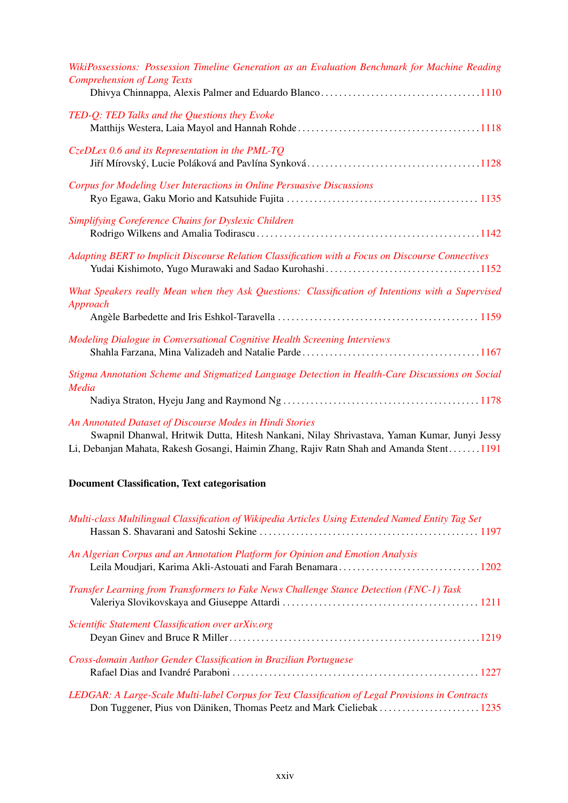| WikiPossessions: Possession Timeline Generation as an Evaluation Benchmark for Machine Reading<br><b>Comprehension of Long Texts</b> |
|--------------------------------------------------------------------------------------------------------------------------------------|
| TED-Q: TED Talks and the Questions they Evoke                                                                                        |
| $CzeDLex 0.6$ and its Representation in the PML-TQ                                                                                   |
| Corpus for Modeling User Interactions in Online Persuasive Discussions                                                               |
| Simplifying Coreference Chains for Dyslexic Children                                                                                 |
| Adapting BERT to Implicit Discourse Relation Classification with a Focus on Discourse Connectives                                    |
| What Speakers really Mean when they Ask Questions: Classification of Intentions with a Supervised<br>Approach                        |
| Modeling Dialogue in Conversational Cognitive Health Screening Interviews                                                            |
| Stigma Annotation Scheme and Stigmatized Language Detection in Health-Care Discussions on Social<br>Media                            |
| An Annotated Dataset of Discourse Modes in Hindi Stories                                                                             |

Swapnil Dhanwal, Hritwik Dutta, Hitesh Nankani, Nilay Shrivastava, Yaman Kumar, Junyi Jessy Li, Debanjan Mahata, Rakesh Gosangi, Haimin Zhang, Rajiv Ratn Shah and Amanda Stent. . . . . . .[1191](#page-0-0)

#### Document Classification, Text categorisation

| Multi-class Multilingual Classification of Wikipedia Articles Using Extended Named Entity Tag Set |
|---------------------------------------------------------------------------------------------------|
| An Algerian Corpus and an Annotation Platform for Opinion and Emotion Analysis                    |
| Transfer Learning from Transformers to Fake News Challenge Stance Detection (FNC-1) Task          |
| Scientific Statement Classification over arXiv.org                                                |
| Cross-domain Author Gender Classification in Brazilian Portuguese                                 |
| LEDGAR: A Large-Scale Multi-label Corpus for Text Classification of Legal Provisions in Contracts |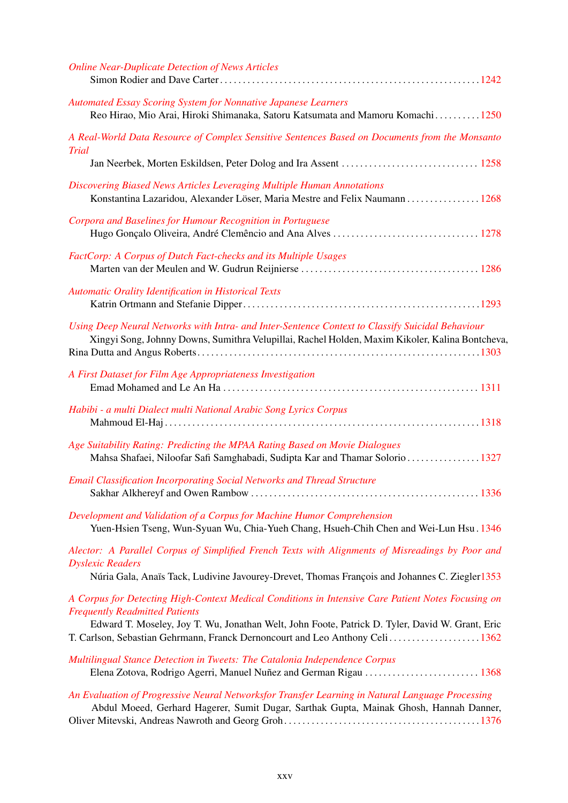| <b>Online Near-Duplicate Detection of News Articles</b>                                                                                                                                                                                        |
|------------------------------------------------------------------------------------------------------------------------------------------------------------------------------------------------------------------------------------------------|
| <b>Automated Essay Scoring System for Nonnative Japanese Learners</b>                                                                                                                                                                          |
| Reo Hirao, Mio Arai, Hiroki Shimanaka, Satoru Katsumata and Mamoru Komachi 1250                                                                                                                                                                |
| A Real-World Data Resource of Complex Sensitive Sentences Based on Documents from the Monsanto<br>Trial                                                                                                                                        |
|                                                                                                                                                                                                                                                |
| Discovering Biased News Articles Leveraging Multiple Human Annotations<br>Konstantina Lazaridou, Alexander Löser, Maria Mestre and Felix Naumann 1268                                                                                          |
| Corpora and Baselines for Humour Recognition in Portuguese                                                                                                                                                                                     |
| FactCorp: A Corpus of Dutch Fact-checks and its Multiple Usages                                                                                                                                                                                |
|                                                                                                                                                                                                                                                |
| Automatic Orality Identification in Historical Texts                                                                                                                                                                                           |
| Using Deep Neural Networks with Intra- and Inter-Sentence Context to Classify Suicidal Behaviour<br>Xingyi Song, Johnny Downs, Sumithra Velupillai, Rachel Holden, Maxim Kikoler, Kalina Bontcheva,                                            |
| A First Dataset for Film Age Appropriateness Investigation                                                                                                                                                                                     |
| Habibi - a multi Dialect multi National Arabic Song Lyrics Corpus                                                                                                                                                                              |
| Age Suitability Rating: Predicting the MPAA Rating Based on Movie Dialogues<br>Mahsa Shafaei, Niloofar Safi Samghabadi, Sudipta Kar and Thamar Solorio 1327                                                                                    |
| <b>Email Classification Incorporating Social Networks and Thread Structure</b>                                                                                                                                                                 |
| Development and Validation of a Corpus for Machine Humor Comprehension<br>Yuen-Hsien Tseng, Wun-Syuan Wu, Chia-Yueh Chang, Hsueh-Chih Chen and Wei-Lun Hsu. 1346                                                                               |
| Alector: A Parallel Corpus of Simplified French Texts with Alignments of Misreadings by Poor and<br><b>Dyslexic Readers</b>                                                                                                                    |
| Núria Gala, Anaïs Tack, Ludivine Javourey-Drevet, Thomas François and Johannes C. Ziegler1353                                                                                                                                                  |
| A Corpus for Detecting High-Context Medical Conditions in Intensive Care Patient Notes Focusing on<br><b>Frequently Readmitted Patients</b><br>Edward T. Moseley, Joy T. Wu, Jonathan Welt, John Foote, Patrick D. Tyler, David W. Grant, Eric |
|                                                                                                                                                                                                                                                |
| Multilingual Stance Detection in Tweets: The Catalonia Independence Corpus<br>Elena Zotova, Rodrigo Agerri, Manuel Nuñez and German Rigau  1368                                                                                                |
| An Evaluation of Progressive Neural Networksfor Transfer Learning in Natural Language Processing<br>Abdul Moeed, Gerhard Hagerer, Sumit Dugar, Sarthak Gupta, Mainak Ghosh, Hannah Danner,                                                     |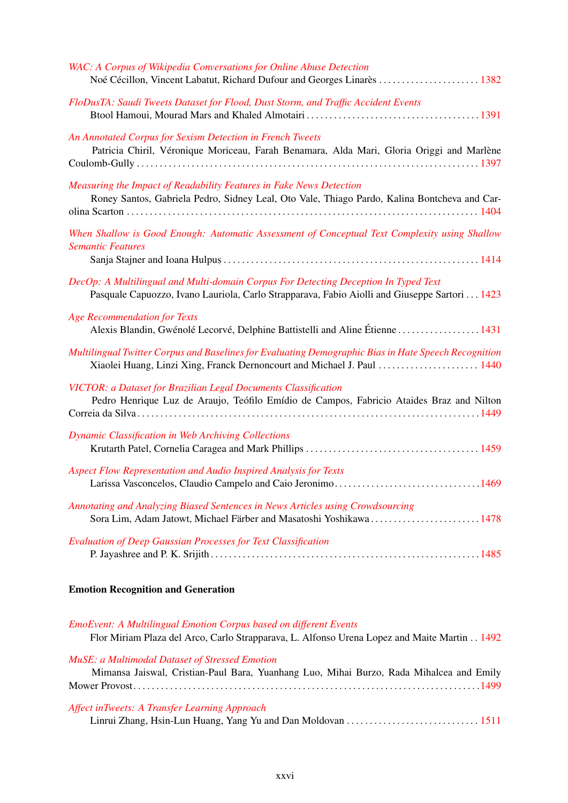## Emotion Recognition and Generation

| <b>EmoEvent: A Multilingual Emotion Corpus based on different Events</b>                    |
|---------------------------------------------------------------------------------------------|
| Flor Miriam Plaza del Arco, Carlo Strapparava, L. Alfonso Urena Lopez and Maite Martin 1492 |
| <b>MuSE:</b> a Multimodal Dataset of Stressed Emotion                                       |
|                                                                                             |
| Mimansa Jaiswal, Cristian-Paul Bara, Yuanhang Luo, Mihai Burzo, Rada Mihalcea and Emily     |
|                                                                                             |
|                                                                                             |
| Affect inTweets: A Transfer Learning Approach                                               |
|                                                                                             |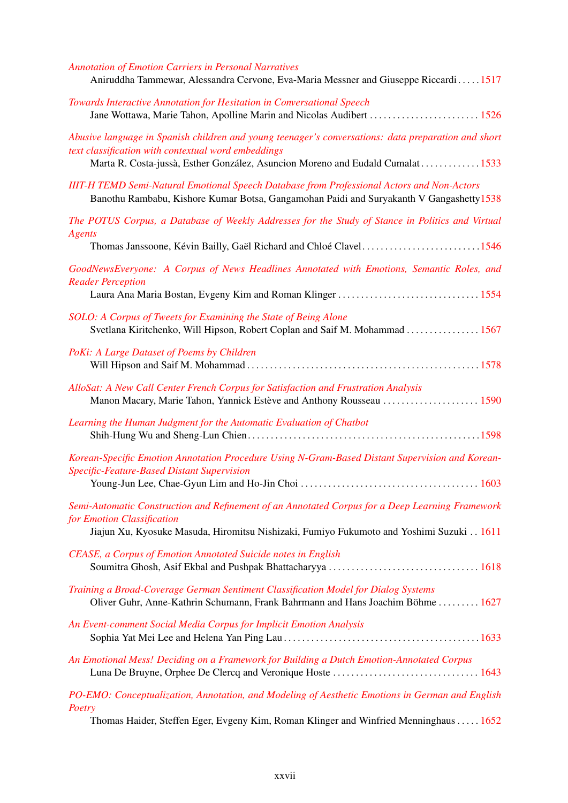| <b>Annotation of Emotion Carriers in Personal Narratives</b><br>Aniruddha Tammewar, Alessandra Cervone, Eva-Maria Messner and Giuseppe Riccardi1517                                                                                          |
|----------------------------------------------------------------------------------------------------------------------------------------------------------------------------------------------------------------------------------------------|
| Towards Interactive Annotation for Hesitation in Conversational Speech<br>Jane Wottawa, Marie Tahon, Apolline Marin and Nicolas Audibert  1526                                                                                               |
| Abusive language in Spanish children and young teenager's conversations: data preparation and short<br>text classification with contextual word embeddings<br>Marta R. Costa-jussà, Esther González, Asuncion Moreno and Eudald Cumalat 1533 |
| <b>IIIT-H TEMD Semi-Natural Emotional Speech Database from Professional Actors and Non-Actors</b><br>Banothu Rambabu, Kishore Kumar Botsa, Gangamohan Paidi and Suryakanth V Gangashetty 1538                                                |
| The POTUS Corpus, a Database of Weekly Addresses for the Study of Stance in Politics and Virtual<br><b>Agents</b>                                                                                                                            |
| Thomas Janssoone, Kévin Bailly, Gaël Richard and Chloé Clavel1546                                                                                                                                                                            |
| GoodNewsEveryone: A Corpus of News Headlines Annotated with Emotions, Semantic Roles, and<br><b>Reader Perception</b>                                                                                                                        |
|                                                                                                                                                                                                                                              |
| SOLO: A Corpus of Tweets for Examining the State of Being Alone<br>Svetlana Kiritchenko, Will Hipson, Robert Coplan and Saif M. Mohammad  1567                                                                                               |
| PoKi: A Large Dataset of Poems by Children                                                                                                                                                                                                   |
| AlloSat: A New Call Center French Corpus for Satisfaction and Frustration Analysis<br>Manon Macary, Marie Tahon, Yannick Estève and Anthony Rousseau  1590                                                                                   |
| Learning the Human Judgment for the Automatic Evaluation of Chatbot                                                                                                                                                                          |
| Korean-Specific Emotion Annotation Procedure Using N-Gram-Based Distant Supervision and Korean-<br>Specific-Feature-Based Distant Supervision                                                                                                |
|                                                                                                                                                                                                                                              |
| Semi-Automatic Construction and Refinement of an Annotated Corpus for a Deep Learning Framework<br>for Emotion Classification<br>Jiajun Xu, Kyosuke Masuda, Hiromitsu Nishizaki, Fumiyo Fukumoto and Yoshimi Suzuki 1611                     |
| CEASE, a Corpus of Emotion Annotated Suicide notes in English                                                                                                                                                                                |
| Training a Broad-Coverage German Sentiment Classification Model for Dialog Systems<br>Oliver Guhr, Anne-Kathrin Schumann, Frank Bahrmann and Hans Joachim Böhme  1627                                                                        |
| An Event-comment Social Media Corpus for Implicit Emotion Analysis                                                                                                                                                                           |
| An Emotional Mess! Deciding on a Framework for Building a Dutch Emotion-Annotated Corpus                                                                                                                                                     |
| PO-EMO: Conceptualization, Annotation, and Modeling of Aesthetic Emotions in German and English<br>Poetry                                                                                                                                    |
| Thomas Haider Stoffen Foar Evgeny Kim Doman Klinger and Winfried Manninghous<br>1652                                                                                                                                                         |

Thomas Haider, Steffen Eger, Evgeny Kim, Roman Klinger and Winfried Menninghaus . . . . . [1652](#page-0-0)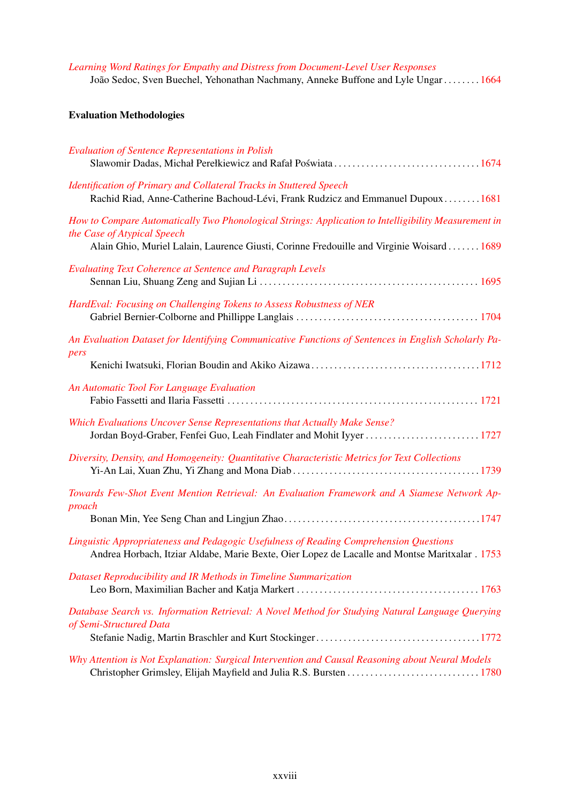*[Learning Word Ratings for Empathy and Distress from Document-Level User Responses](#page-0-0)* João Sedoc, Sven Buechel, Yehonathan Nachmany, Anneke Buffone and Lyle Ungar . . . . . . . . [1664](#page-0-0)

#### Evaluation Methodologies

| <b>Evaluation of Sentence Representations in Polish</b>                                                                                                                                                                         |
|---------------------------------------------------------------------------------------------------------------------------------------------------------------------------------------------------------------------------------|
| Identification of Primary and Collateral Tracks in Stuttered Speech<br>Rachid Riad, Anne-Catherine Bachoud-Lévi, Frank Rudzicz and Emmanuel Dupoux1681                                                                          |
| How to Compare Automatically Two Phonological Strings: Application to Intelligibility Measurement in<br>the Case of Atypical Speech<br>Alain Ghio, Muriel Lalain, Laurence Giusti, Corinne Fredouille and Virginie Woisard 1689 |
| <b>Evaluating Text Coherence at Sentence and Paragraph Levels</b>                                                                                                                                                               |
| HardEval: Focusing on Challenging Tokens to Assess Robustness of NER                                                                                                                                                            |
| An Evaluation Dataset for Identifying Communicative Functions of Sentences in English Scholarly Pa-<br>pers                                                                                                                     |
|                                                                                                                                                                                                                                 |
| An Automatic Tool For Language Evaluation                                                                                                                                                                                       |
| Which Evaluations Uncover Sense Representations that Actually Make Sense?<br>Jordan Boyd-Graber, Fenfei Guo, Leah Findlater and Mohit Iyyer  1727                                                                               |
| Diversity, Density, and Homogeneity: Quantitative Characteristic Metrics for Text Collections                                                                                                                                   |
| Towards Few-Shot Event Mention Retrieval: An Evaluation Framework and A Siamese Network Ap-<br>proach                                                                                                                           |
|                                                                                                                                                                                                                                 |
| Linguistic Appropriateness and Pedagogic Usefulness of Reading Comprehension Questions<br>Andrea Horbach, Itziar Aldabe, Marie Bexte, Oier Lopez de Lacalle and Montse Maritxalar . 1753                                        |
| Dataset Reproducibility and IR Methods in Timeline Summarization                                                                                                                                                                |
| Database Search vs. Information Retrieval: A Novel Method for Studying Natural Language Querying<br>of Semi-Structured Data                                                                                                     |
| Why Attention is Not Explanation: Surgical Intervention and Causal Reasoning about Neural Models                                                                                                                                |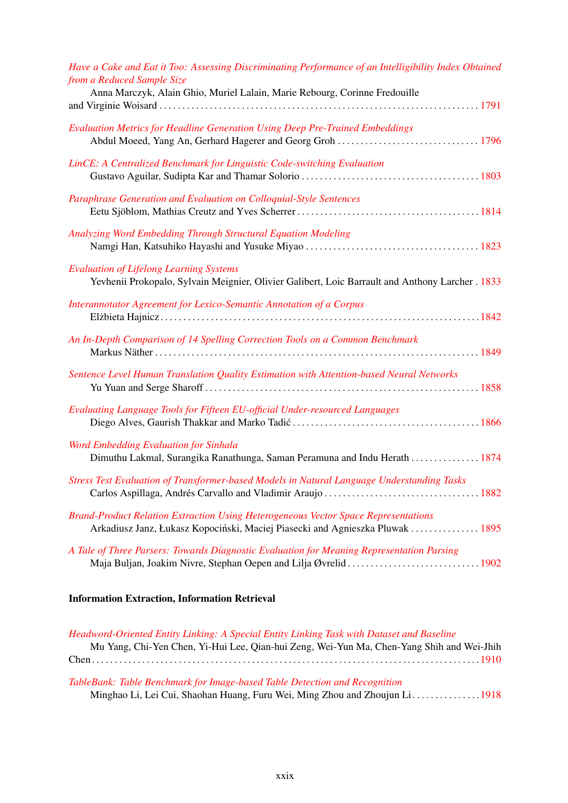| Have a Cake and Eat it Too: Assessing Discriminating Performance of an Intelligibility Index Obtained<br>from a Reduced Sample Size<br>Anna Marczyk, Alain Ghio, Muriel Lalain, Marie Rebourg, Corinne Fredouille |
|-------------------------------------------------------------------------------------------------------------------------------------------------------------------------------------------------------------------|
| <b>Evaluation Metrics for Headline Generation Using Deep Pre-Trained Embeddings</b><br>Abdul Moeed, Yang An, Gerhard Hagerer and Georg Groh  1796                                                                 |
| LinCE: A Centralized Benchmark for Linguistic Code-switching Evaluation                                                                                                                                           |
| Paraphrase Generation and Evaluation on Colloquial-Style Sentences                                                                                                                                                |
| Analyzing Word Embedding Through Structural Equation Modeling                                                                                                                                                     |
| <b>Evaluation of Lifelong Learning Systems</b><br>Yevhenii Prokopalo, Sylvain Meignier, Olivier Galibert, Loic Barrault and Anthony Larcher . 1833                                                                |
| Interannotator Agreement for Lexico-Semantic Annotation of a Corpus                                                                                                                                               |
| An In-Depth Comparison of 14 Spelling Correction Tools on a Common Benchmark                                                                                                                                      |
| Sentence Level Human Translation Quality Estimation with Attention-based Neural Networks                                                                                                                          |
| Evaluating Language Tools for Fifteen EU-official Under-resourced Languages                                                                                                                                       |
| Word Embedding Evaluation for Sinhala<br>Dimuthu Lakmal, Surangika Ranathunga, Saman Peramuna and Indu Herath  1874                                                                                               |
| Stress Test Evaluation of Transformer-based Models in Natural Language Understanding Tasks                                                                                                                        |
| <b>Brand-Product Relation Extraction Using Heterogeneous Vector Space Representations</b><br>Arkadiusz Janz, Łukasz Kopociński, Maciej Piasecki and Agnieszka Pluwak 1895                                         |
| A Tale of Three Parsers: Towards Diagnostic Evaluation for Meaning Representation Parsing                                                                                                                         |

## Information Extraction, Information Retrieval

| Headword-Oriented Entity Linking: A Special Entity Linking Task with Dataset and Baseline |
|-------------------------------------------------------------------------------------------|
| Mu Yang, Chi-Yen Chen, Yi-Hui Lee, Qian-hui Zeng, Wei-Yun Ma, Chen-Yang Shih and Wei-Jhih |
|                                                                                           |
|                                                                                           |

## *[TableBank: Table Benchmark for Image-based Table Detection and Recognition](#page-0-0)*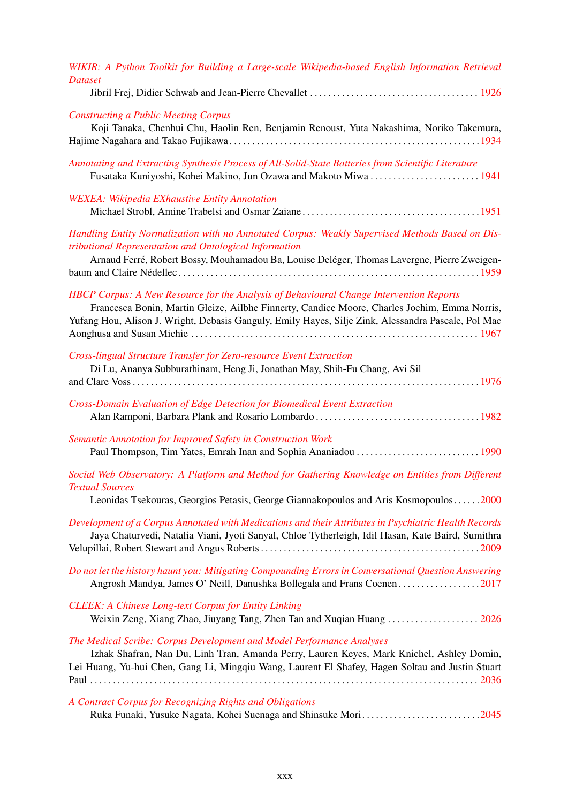| WIKIR: A Python Toolkit for Building a Large-scale Wikipedia-based English Information Retrieval<br><b>Dataset</b>                                                                                                                                                                                    |
|-------------------------------------------------------------------------------------------------------------------------------------------------------------------------------------------------------------------------------------------------------------------------------------------------------|
| <b>Constructing a Public Meeting Corpus</b><br>Koji Tanaka, Chenhui Chu, Haolin Ren, Benjamin Renoust, Yuta Nakashima, Noriko Takemura,                                                                                                                                                               |
| Annotating and Extracting Synthesis Process of All-Solid-State Batteries from Scientific Literature<br>Fusataka Kuniyoshi, Kohei Makino, Jun Ozawa and Makoto Miwa  1941                                                                                                                              |
| <b>WEXEA: Wikipedia EXhaustive Entity Annotation</b>                                                                                                                                                                                                                                                  |
| Handling Entity Normalization with no Annotated Corpus: Weakly Supervised Methods Based on Dis-<br>tributional Representation and Ontological Information<br>Arnaud Ferré, Robert Bossy, Mouhamadou Ba, Louise Deléger, Thomas Lavergne, Pierre Zweigen-                                              |
| <b>HBCP Corpus: A New Resource for the Analysis of Behavioural Change Intervention Reports</b><br>Francesca Bonin, Martin Gleize, Ailbhe Finnerty, Candice Moore, Charles Jochim, Emma Norris,<br>Yufang Hou, Alison J. Wright, Debasis Ganguly, Emily Hayes, Silje Zink, Alessandra Pascale, Pol Mac |
| Cross-lingual Structure Transfer for Zero-resource Event Extraction<br>Di Lu, Ananya Subburathinam, Heng Ji, Jonathan May, Shih-Fu Chang, Avi Sil                                                                                                                                                     |
| Cross-Domain Evaluation of Edge Detection for Biomedical Event Extraction                                                                                                                                                                                                                             |
| Semantic Annotation for Improved Safety in Construction Work<br>Paul Thompson, Tim Yates, Emrah Inan and Sophia Ananiadou  1990                                                                                                                                                                       |
| Social Web Observatory: A Platform and Method for Gathering Knowledge on Entities from Different<br><b>Textual Sources</b><br>Leonidas Tsekouras, Georgios Petasis, George Giannakopoulos and Aris Kosmopoulos2000                                                                                    |
| Development of a Corpus Annotated with Medications and their Attributes in Psychiatric Health Records<br>Jaya Chaturvedi, Natalia Viani, Jyoti Sanyal, Chloe Tytherleigh, Idil Hasan, Kate Baird, Sumithra                                                                                            |
| Do not let the history haunt you: Mitigating Compounding Errors in Conversational Question Answering<br>Angrosh Mandya, James O' Neill, Danushka Bollegala and Frans Coenen2017                                                                                                                       |
| <b>CLEEK: A Chinese Long-text Corpus for Entity Linking</b><br>Weixin Zeng, Xiang Zhao, Jiuyang Tang, Zhen Tan and Xuqian Huang  2026                                                                                                                                                                 |
| The Medical Scribe: Corpus Development and Model Performance Analyses<br>Izhak Shafran, Nan Du, Linh Tran, Amanda Perry, Lauren Keyes, Mark Knichel, Ashley Domin,<br>Lei Huang, Yu-hui Chen, Gang Li, Mingqiu Wang, Laurent El Shafey, Hagen Soltau and Justin Stuart                                |
| A Contract Corpus for Recognizing Rights and Obligations<br>Ruka Funaki, Yusuke Nagata, Kohei Suenaga and Shinsuke Mori2045                                                                                                                                                                           |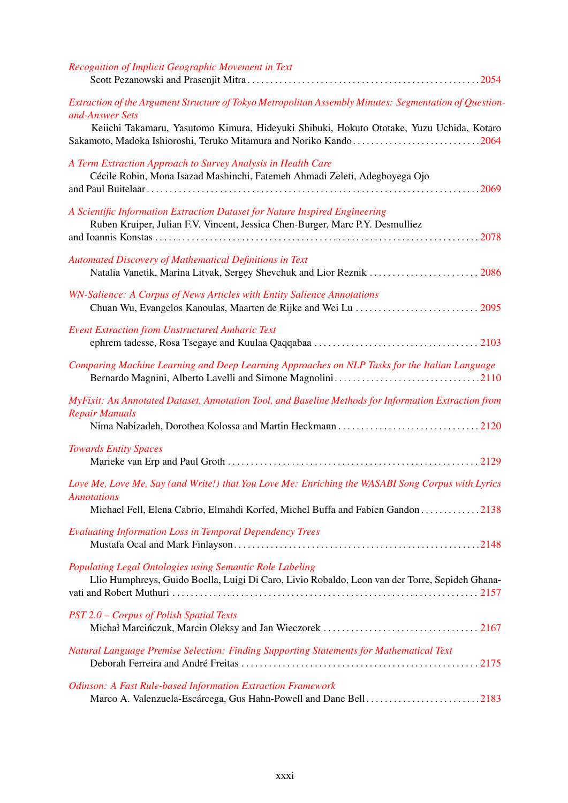| Recognition of Implicit Geographic Movement in Text                                                                                                                                                                                                                                        |
|--------------------------------------------------------------------------------------------------------------------------------------------------------------------------------------------------------------------------------------------------------------------------------------------|
| Extraction of the Argument Structure of Tokyo Metropolitan Assembly Minutes: Segmentation of Question-<br>and-Answer Sets<br>Keiichi Takamaru, Yasutomo Kimura, Hideyuki Shibuki, Hokuto Ototake, Yuzu Uchida, Kotaro<br>Sakamoto, Madoka Ishioroshi, Teruko Mitamura and Noriko Kando2064 |
| A Term Extraction Approach to Survey Analysis in Health Care<br>Cécile Robin, Mona Isazad Mashinchi, Fatemeh Ahmadi Zeleti, Adegboyega Ojo                                                                                                                                                 |
| A Scientific Information Extraction Dataset for Nature Inspired Engineering<br>Ruben Kruiper, Julian F.V. Vincent, Jessica Chen-Burger, Marc P.Y. Desmulliez                                                                                                                               |
| Automated Discovery of Mathematical Definitions in Text<br>Natalia Vanetik, Marina Litvak, Sergey Shevchuk and Lior Reznik  2086                                                                                                                                                           |
| WN-Salience: A Corpus of News Articles with Entity Salience Annotations                                                                                                                                                                                                                    |
| <b>Event Extraction from Unstructured Amharic Text</b>                                                                                                                                                                                                                                     |
| Comparing Machine Learning and Deep Learning Approaches on NLP Tasks for the Italian Language                                                                                                                                                                                              |
| MyFixit: An Annotated Dataset, Annotation Tool, and Baseline Methods for Information Extraction from<br><b>Repair Manuals</b>                                                                                                                                                              |
| <b>Towards Entity Spaces</b>                                                                                                                                                                                                                                                               |
| Love Me, Love Me, Say (and Write!) that You Love Me: Enriching the WASABI Song Corpus with Lyrics<br><b>Annotations</b><br>Michael Fell, Elena Cabrio, Elmahdi Korfed, Michel Buffa and Fabien Gandon 2138                                                                                 |
| <b>Evaluating Information Loss in Temporal Dependency Trees</b>                                                                                                                                                                                                                            |
| Populating Legal Ontologies using Semantic Role Labeling<br>Llio Humphreys, Guido Boella, Luigi Di Caro, Livio Robaldo, Leon van der Torre, Sepideh Ghana-                                                                                                                                 |
| PST 2.0 - Corpus of Polish Spatial Texts                                                                                                                                                                                                                                                   |
| Natural Language Premise Selection: Finding Supporting Statements for Mathematical Text                                                                                                                                                                                                    |
| Odinson: A Fast Rule-based Information Extraction Framework<br>Marco A. Valenzuela-Escárcega, Gus Hahn-Powell and Dane Bell2183                                                                                                                                                            |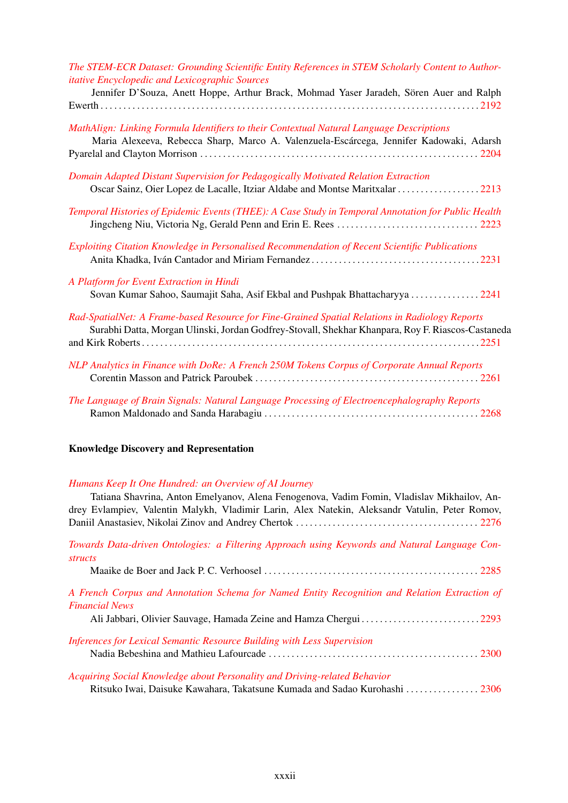| The STEM-ECR Dataset: Grounding Scientific Entity References in STEM Scholarly Content to Author-<br><i>itative Encyclopedic and Lexicographic Sources</i><br>Jennifer D'Souza, Anett Hoppe, Arthur Brack, Mohmad Yaser Jaradeh, Sören Auer and Ralph |
|-------------------------------------------------------------------------------------------------------------------------------------------------------------------------------------------------------------------------------------------------------|
|                                                                                                                                                                                                                                                       |
| MathAlign: Linking Formula Identifiers to their Contextual Natural Language Descriptions<br>Maria Alexeeva, Rebecca Sharp, Marco A. Valenzuela-Escárcega, Jennifer Kadowaki, Adarsh                                                                   |
| Domain Adapted Distant Supervision for Pedagogically Motivated Relation Extraction<br>Oscar Sainz, Oier Lopez de Lacalle, Itziar Aldabe and Montse Maritxalar 2213                                                                                    |
| Temporal Histories of Epidemic Events (THEE): A Case Study in Temporal Annotation for Public Health                                                                                                                                                   |
| Exploiting Citation Knowledge in Personalised Recommendation of Recent Scientific Publications                                                                                                                                                        |
| A Platform for Event Extraction in Hindi<br>Sovan Kumar Sahoo, Saumajit Saha, Asif Ekbal and Pushpak Bhattacharyya 2241                                                                                                                               |
| Rad-SpatialNet: A Frame-based Resource for Fine-Grained Spatial Relations in Radiology Reports<br>Surabhi Datta, Morgan Ulinski, Jordan Godfrey-Stovall, Shekhar Khanpara, Roy F. Riascos-Castaneda                                                   |
| NLP Analytics in Finance with DoRe: A French 250M Tokens Corpus of Corporate Annual Reports                                                                                                                                                           |
| The Language of Brain Signals: Natural Language Processing of Electroencephalography Reports                                                                                                                                                          |

## Knowledge Discovery and Representation

#### *[Humans Keep It One Hundred: an Overview of AI Journey](#page-0-0)*

| Tatiana Shavrina, Anton Emelyanov, Alena Fenogenova, Vadim Fomin, Vladislav Mikhailov, An-     |
|------------------------------------------------------------------------------------------------|
| drey Evlampiev, Valentin Malykh, Vladimir Larin, Alex Natekin, Aleksandr Vatulin, Peter Romov, |
|                                                                                                |
| Towards Data-driven Ontologies: a Filtering Approach using Keywords and Natural Language Con-  |
| <i>structs</i>                                                                                 |
|                                                                                                |
| A French Corpus and Annotation Schema for Named Entity Recognition and Relation Extraction of  |
| <b>Financial News</b>                                                                          |
|                                                                                                |
| Inferences for Lexical Semantic Resource Building with Less Supervision                        |
|                                                                                                |
| Acquiring Social Knowledge about Personality and Driving-related Behavior                      |
| Ritsuko Iwai, Daisuke Kawahara, Takatsune Kumada and Sadao Kurohashi  2306                     |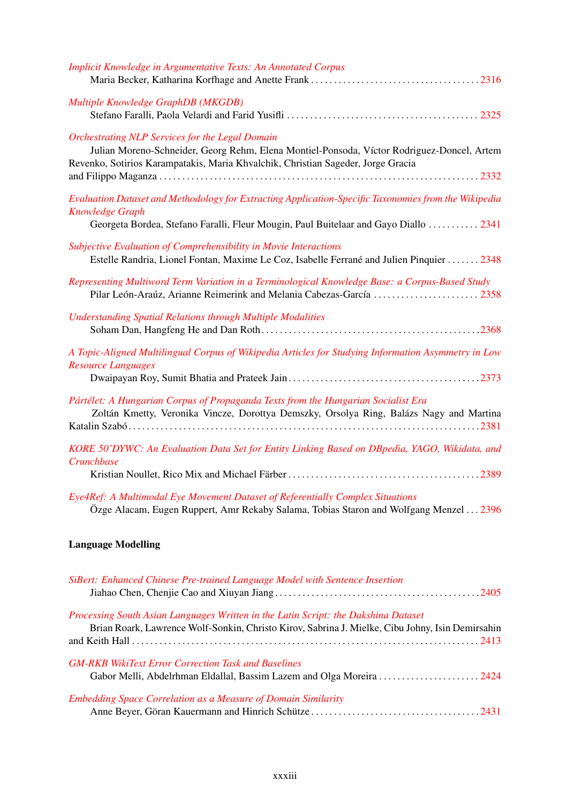| <b>Implicit Knowledge in Argumentative Texts: An Annotated Corpus</b>                                                                                                                                                                    |
|------------------------------------------------------------------------------------------------------------------------------------------------------------------------------------------------------------------------------------------|
| Multiple Knowledge GraphDB (MKGDB)                                                                                                                                                                                                       |
| <b>Orchestrating NLP Services for the Legal Domain</b><br>Julian Moreno-Schneider, Georg Rehm, Elena Montiel-Ponsoda, Víctor Rodriguez-Doncel, Artem<br>Revenko, Sotirios Karampatakis, Maria Khvalchik, Christian Sageder, Jorge Gracia |
| Evaluation Dataset and Methodology for Extracting Application-Specific Taxonomies from the Wikipedia<br><b>Knowledge Graph</b><br>Georgeta Bordea, Stefano Faralli, Fleur Mougin, Paul Buitelaar and Gayo Diallo  2341                   |
| Subjective Evaluation of Comprehensibility in Movie Interactions<br>Estelle Randria, Lionel Fontan, Maxime Le Coz, Isabelle Ferrané and Julien Pinquier  2348                                                                            |
| Representing Multiword Term Variation in a Terminological Knowledge Base: a Corpus-Based Study<br>Pilar León-Araúz, Arianne Reimerink and Melania Cabezas-García  2358                                                                   |
| <b>Understanding Spatial Relations through Multiple Modalities</b>                                                                                                                                                                       |
| A Topic-Aligned Multilingual Corpus of Wikipedia Articles for Studying Information Asymmetry in Low<br><b>Resource Languages</b>                                                                                                         |
| Pártélet: A Hungarian Corpus of Propaganda Texts from the Hungarian Socialist Era<br>Zoltán Kmetty, Veronika Vincze, Dorottya Demszky, Orsolya Ring, Balázs Nagy and Martina                                                             |
| KORE 50^DYWC: An Evaluation Data Set for Entity Linking Based on DBpedia, YAGO, Wikidata, and<br>Crunchbase                                                                                                                              |
| Eye4Ref: A Multimodal Eye Movement Dataset of Referentially Complex Situations<br>Özge Alacam, Eugen Ruppert, Amr Rekaby Salama, Tobias Staron and Wolfgang Menzel 2396                                                                  |
| <b>Language Modelling</b>                                                                                                                                                                                                                |
| SiBert: Enhanced Chinese Pre-trained Language Model with Sentence Insertion                                                                                                                                                              |
| Processing South Asian Languages Written in the Latin Script: the Dakshina Dataset                                                                                                                                                       |

| <b>Embedding Space Correlation as a Measure of Domain Similarity</b> |  |
|----------------------------------------------------------------------|--|
|                                                                      |  |
|                                                                      |  |
|                                                                      |  |
|                                                                      |  |

*[GM-RKB WikiText Error Correction Task and Baselines](#page-0-0)*

Brian Roark, Lawrence Wolf-Sonkin, Christo Kirov, Sabrina J. Mielke, Cibu Johny, Isin Demirsahin and Keith Hall . . . . . . . . . . . . . . . . . . . . . . . . . . . . . . . . . . . . . . . . . . . . . . . . . . . . . . . . . . . . . . . . . . . . . . . . . . . . [2413](#page-0-0)

Gabor Melli, Abdelrhman Eldallal, Bassim Lazem and Olga Moreira . . . . . . . . . . . . . . . . . . . . . . [2424](#page-0-0)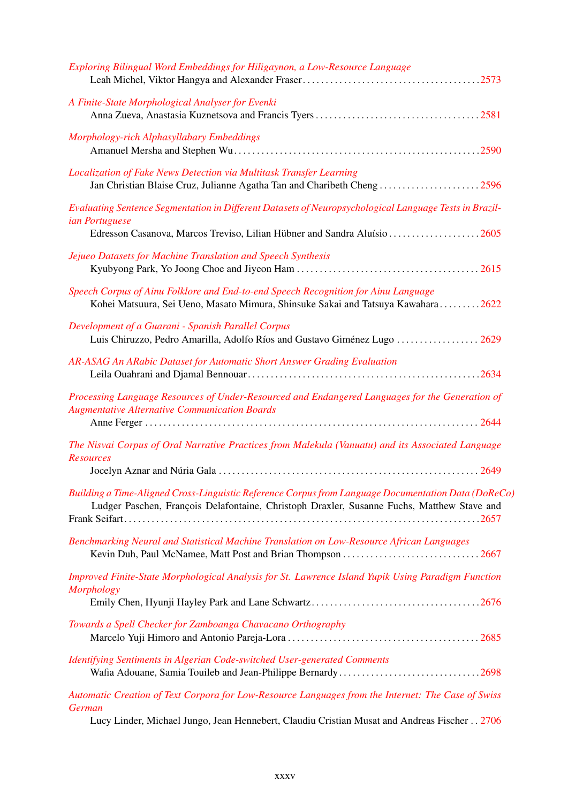| Exploring Bilingual Word Embeddings for Hiligaynon, a Low-Resource Language                                                                                                                       |
|---------------------------------------------------------------------------------------------------------------------------------------------------------------------------------------------------|
| A Finite-State Morphological Analyser for Evenki                                                                                                                                                  |
| Morphology-rich Alphasyllabary Embeddings                                                                                                                                                         |
| Localization of Fake News Detection via Multitask Transfer Learning                                                                                                                               |
| Evaluating Sentence Segmentation in Different Datasets of Neuropsychological Language Tests in Brazil-<br><i>ian Portuguese</i>                                                                   |
| Edresson Casanova, Marcos Treviso, Lilian Hübner and Sandra Aluísio 2605                                                                                                                          |
| Jejueo Datasets for Machine Translation and Speech Synthesis                                                                                                                                      |
| Speech Corpus of Ainu Folklore and End-to-end Speech Recognition for Ainu Language<br>Kohei Matsuura, Sei Ueno, Masato Mimura, Shinsuke Sakai and Tatsuya Kawahara2622                            |
| Development of a Guarani - Spanish Parallel Corpus<br>Luis Chiruzzo, Pedro Amarilla, Adolfo Ríos and Gustavo Giménez Lugo  2629                                                                   |
| AR-ASAG An ARabic Dataset for Automatic Short Answer Grading Evaluation                                                                                                                           |
| Processing Language Resources of Under-Resourced and Endangered Languages for the Generation of<br><b>Augmentative Alternative Communication Boards</b>                                           |
| The Nisvai Corpus of Oral Narrative Practices from Malekula (Vanuatu) and its Associated Language<br><b>Resources</b>                                                                             |
| Building a Time-Aligned Cross-Linguistic Reference Corpus from Language Documentation Data (DoReCo)<br>Ludger Paschen, François Delafontaine, Christoph Draxler, Susanne Fuchs, Matthew Stave and |
| Benchmarking Neural and Statistical Machine Translation on Low-Resource African Languages                                                                                                         |
| Improved Finite-State Morphological Analysis for St. Lawrence Island Yupik Using Paradigm Function<br>Morphology                                                                                  |
|                                                                                                                                                                                                   |
| Towards a Spell Checker for Zamboanga Chavacano Orthography                                                                                                                                       |
| Identifying Sentiments in Algerian Code-switched User-generated Comments<br>Wafia Adouane, Samia Touileb and Jean-Philippe Bernardy2698                                                           |
| Automatic Creation of Text Corpora for Low-Resource Languages from the Internet: The Case of Swiss<br>German                                                                                      |

Lucy Linder, Michael Jungo, Jean Hennebert, Claudiu Cristian Musat and Andreas Fischer . . [2706](#page-0-0)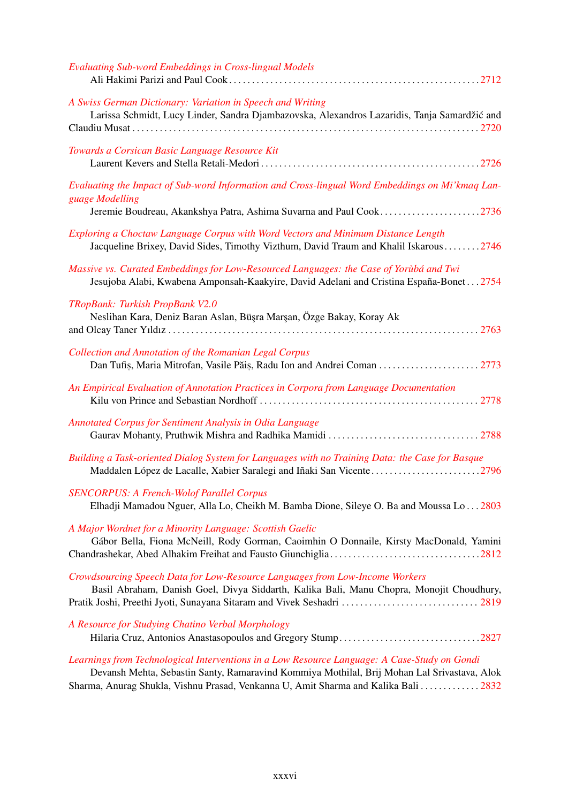| <b>Evaluating Sub-word Embeddings in Cross-lingual Models</b>                                                                                                                                                                                                                      |
|------------------------------------------------------------------------------------------------------------------------------------------------------------------------------------------------------------------------------------------------------------------------------------|
| A Swiss German Dictionary: Variation in Speech and Writing<br>Larissa Schmidt, Lucy Linder, Sandra Djambazovska, Alexandros Lazaridis, Tanja Samardžić and                                                                                                                         |
| Towards a Corsican Basic Language Resource Kit                                                                                                                                                                                                                                     |
| Evaluating the Impact of Sub-word Information and Cross-lingual Word Embeddings on Mi'kmaq Lan-<br>guage Modelling                                                                                                                                                                 |
| Jeremie Boudreau, Akankshya Patra, Ashima Suvarna and Paul Cook2736                                                                                                                                                                                                                |
| Exploring a Choctaw Language Corpus with Word Vectors and Minimum Distance Length<br>Jacqueline Brixey, David Sides, Timothy Vizthum, David Traum and Khalil Iskarous 2746                                                                                                         |
| Massive vs. Curated Embeddings for Low-Resourced Languages: the Case of Yorubá and Twi<br>Jesujoba Alabi, Kwabena Amponsah-Kaakyire, David Adelani and Cristina España-Bonet2754                                                                                                   |
| TRopBank: Turkish PropBank V2.0                                                                                                                                                                                                                                                    |
| Neslihan Kara, Deniz Baran Aslan, Büşra Marşan, Özge Bakay, Koray Ak                                                                                                                                                                                                               |
|                                                                                                                                                                                                                                                                                    |
| <b>Collection and Annotation of the Romanian Legal Corpus</b>                                                                                                                                                                                                                      |
| An Empirical Evaluation of Annotation Practices in Corpora from Language Documentation                                                                                                                                                                                             |
| Annotated Corpus for Sentiment Analysis in Odia Language                                                                                                                                                                                                                           |
| Building a Task-oriented Dialog System for Languages with no Training Data: the Case for Basque<br>Maddalen López de Lacalle, Xabier Saralegi and Iñaki San Vicente2796                                                                                                            |
| <b>SENCORPUS: A French-Wolof Parallel Corpus</b><br>Elhadji Mamadou Nguer, Alla Lo, Cheikh M. Bamba Dione, Sileye O. Ba and Moussa Lo 2803                                                                                                                                         |
| A Major Wordnet for a Minority Language: Scottish Gaelic<br>Gábor Bella, Fiona McNeill, Rody Gorman, Caoimhin O Donnaile, Kirsty MacDonald, Yamini                                                                                                                                 |
|                                                                                                                                                                                                                                                                                    |
| Crowdsourcing Speech Data for Low-Resource Languages from Low-Income Workers<br>Basil Abraham, Danish Goel, Divya Siddarth, Kalika Bali, Manu Chopra, Monojit Choudhury,<br>Pratik Joshi, Preethi Jyoti, Sunayana Sitaram and Vivek Seshadri  2819                                 |
| A Resource for Studying Chatino Verbal Morphology<br>Hilaria Cruz, Antonios Anastasopoulos and Gregory Stump2827                                                                                                                                                                   |
| Learnings from Technological Interventions in a Low Resource Language: A Case-Study on Gondi<br>Devansh Mehta, Sebastin Santy, Ramaravind Kommiya Mothilal, Brij Mohan Lal Srivastava, Alok<br>Sharma, Anurag Shukla, Vishnu Prasad, Venkanna U, Amit Sharma and Kalika Bali  2832 |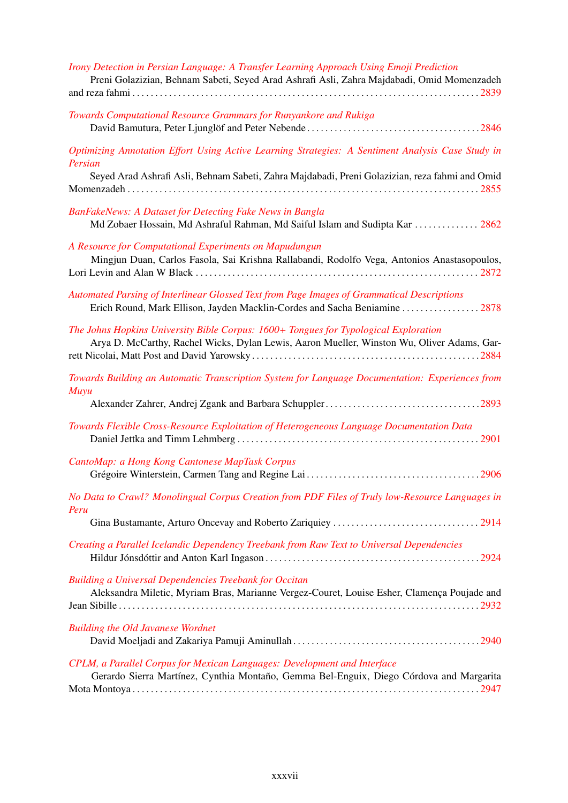| Irony Detection in Persian Language: A Transfer Learning Approach Using Emoji Prediction<br>Preni Golazizian, Behnam Sabeti, Seyed Arad Ashrafi Asli, Zahra Majdabadi, Omid Momenzadeh |
|----------------------------------------------------------------------------------------------------------------------------------------------------------------------------------------|
| Towards Computational Resource Grammars for Runyankore and Rukiga                                                                                                                      |
| Optimizing Annotation Effort Using Active Learning Strategies: A Sentiment Analysis Case Study in                                                                                      |
| Persian<br>Seyed Arad Ashrafi Asli, Behnam Sabeti, Zahra Majdabadi, Preni Golazizian, reza fahmi and Omid                                                                              |
| BanFakeNews: A Dataset for Detecting Fake News in Bangla<br>Md Zobaer Hossain, Md Ashraful Rahman, Md Saiful Islam and Sudipta Kar  2862                                               |
| A Resource for Computational Experiments on Mapudungun<br>Mingjun Duan, Carlos Fasola, Sai Krishna Rallabandi, Rodolfo Vega, Antonios Anastasopoulos,                                  |
| Automated Parsing of Interlinear Glossed Text from Page Images of Grammatical Descriptions<br>Erich Round, Mark Ellison, Jayden Macklin-Cordes and Sacha Beniamine  2878               |
| The Johns Hopkins University Bible Corpus: 1600+ Tongues for Typological Exploration<br>Arya D. McCarthy, Rachel Wicks, Dylan Lewis, Aaron Mueller, Winston Wu, Oliver Adams, Gar-     |
| Towards Building an Automatic Transcription System for Language Documentation: Experiences from<br>Muyu                                                                                |
|                                                                                                                                                                                        |
| Towards Flexible Cross-Resource Exploitation of Heterogeneous Language Documentation Data                                                                                              |
| CantoMap: a Hong Kong Cantonese MapTask Corpus                                                                                                                                         |
| No Data to Crawl? Monolingual Corpus Creation from PDF Files of Truly low-Resource Languages in<br>Peru                                                                                |
|                                                                                                                                                                                        |
| Creating a Parallel Icelandic Dependency Treebank from Raw Text to Universal Dependencies                                                                                              |
| Building a Universal Dependencies Treebank for Occitan<br>Aleksandra Miletic, Myriam Bras, Marianne Vergez-Couret, Louise Esher, Clamença Poujade and                                  |
| <b>Building the Old Javanese Wordnet</b>                                                                                                                                               |
| CPLM, a Parallel Corpus for Mexican Languages: Development and Interface<br>Gerardo Sierra Martínez, Cynthia Montaño, Gemma Bel-Enguix, Diego Córdova and Margarita                    |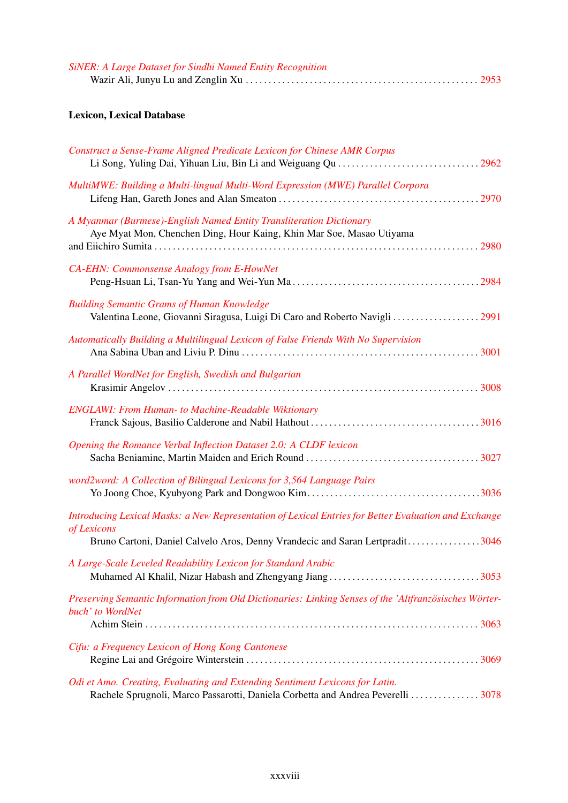| <b>SiNER: A Large Dataset for Sindhi Named Entity Recognition</b> |  |
|-------------------------------------------------------------------|--|
|                                                                   |  |

# Lexicon, Lexical Database

| Construct a Sense-Frame Aligned Predicate Lexicon for Chinese AMR Corpus                                                                                                                             |
|------------------------------------------------------------------------------------------------------------------------------------------------------------------------------------------------------|
| MultiMWE: Building a Multi-lingual Multi-Word Expression (MWE) Parallel Corpora                                                                                                                      |
| A Myanmar (Burmese)-English Named Entity Transliteration Dictionary<br>Aye Myat Mon, Chenchen Ding, Hour Kaing, Khin Mar Soe, Masao Utiyama                                                          |
| CA-EHN: Commonsense Analogy from E-HowNet                                                                                                                                                            |
| <b>Building Semantic Grams of Human Knowledge</b><br>Valentina Leone, Giovanni Siragusa, Luigi Di Caro and Roberto Navigli  2991                                                                     |
| Automatically Building a Multilingual Lexicon of False Friends With No Supervision                                                                                                                   |
| A Parallel WordNet for English, Swedish and Bulgarian                                                                                                                                                |
| <b>ENGLAWI: From Human- to Machine-Readable Wiktionary</b>                                                                                                                                           |
| Opening the Romance Verbal Inflection Dataset 2.0: A CLDF lexicon                                                                                                                                    |
| word2word: A Collection of Bilingual Lexicons for 3,564 Language Pairs                                                                                                                               |
| Introducing Lexical Masks: a New Representation of Lexical Entries for Better Evaluation and Exchange<br>of Lexicons<br>Bruno Cartoni, Daniel Calvelo Aros, Denny Vrandecic and Saran Lertpradit3046 |
| A Large-Scale Leveled Readability Lexicon for Standard Arabic                                                                                                                                        |
| Preserving Semantic Information from Old Dictionaries: Linking Senses of the 'Altfranzösisches Wörter-<br>buch' to WordNet                                                                           |
| Cifu: a Frequency Lexicon of Hong Kong Cantonese                                                                                                                                                     |
| Odi et Amo. Creating, Evaluating and Extending Sentiment Lexicons for Latin.<br>Rachele Sprugnoli, Marco Passarotti, Daniela Corbetta and Andrea Peverelli  3078                                     |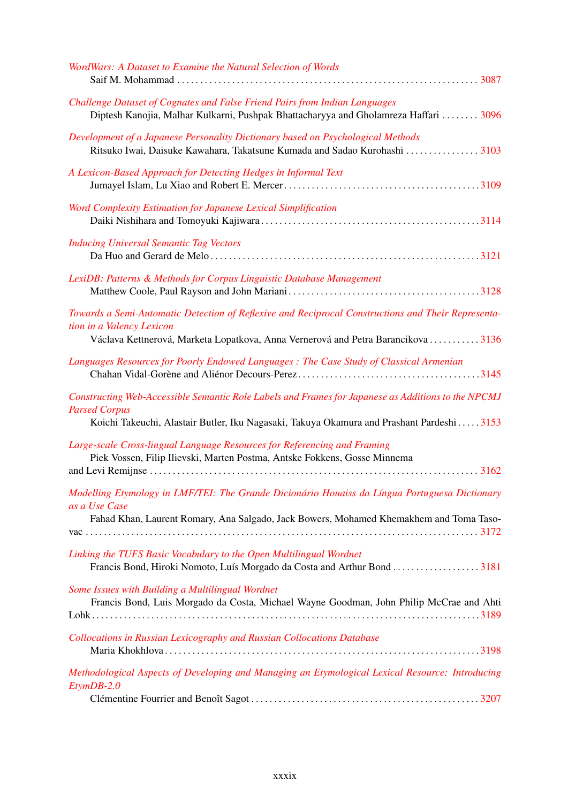| WordWars: A Dataset to Examine the Natural Selection of Words                                                                                                                                                          |
|------------------------------------------------------------------------------------------------------------------------------------------------------------------------------------------------------------------------|
| Challenge Dataset of Cognates and False Friend Pairs from Indian Languages<br>Diptesh Kanojia, Malhar Kulkarni, Pushpak Bhattacharyya and Gholamreza Haffari  3096                                                     |
| Development of a Japanese Personality Dictionary based on Psychological Methods<br>Ritsuko Iwai, Daisuke Kawahara, Takatsune Kumada and Sadao Kurohashi 3103                                                           |
| A Lexicon-Based Approach for Detecting Hedges in Informal Text                                                                                                                                                         |
| Word Complexity Estimation for Japanese Lexical Simplification                                                                                                                                                         |
| <b>Inducing Universal Semantic Tag Vectors</b>                                                                                                                                                                         |
| LexiDB: Patterns & Methods for Corpus Linguistic Database Management                                                                                                                                                   |
| Towards a Semi-Automatic Detection of Reflexive and Reciprocal Constructions and Their Representa-<br>tion in a Valency Lexicon<br>Václava Kettnerová, Marketa Lopatkova, Anna Vernerová and Petra Barancikova  3136   |
| Languages Resources for Poorly Endowed Languages : The Case Study of Classical Armenian                                                                                                                                |
| Constructing Web-Accessible Semantic Role Labels and Frames for Japanese as Additions to the NPCMJ<br><b>Parsed Corpus</b><br>Koichi Takeuchi, Alastair Butler, Iku Nagasaki, Takuya Okamura and Prashant Pardeshi3153 |
| Large-scale Cross-lingual Language Resources for Referencing and Framing<br>Piek Vossen, Filip Ilievski, Marten Postma, Antske Fokkens, Gosse Minnema                                                                  |
| Modelling Etymology in LMF/TEI: The Grande Dicionário Houaiss da Língua Portuguesa Dictionary<br>as a Use Case<br>Fahad Khan, Laurent Romary, Ana Salgado, Jack Bowers, Mohamed Khemakhem and Toma Taso-               |
|                                                                                                                                                                                                                        |
| Linking the TUFS Basic Vocabulary to the Open Multilingual Wordnet<br>Francis Bond, Hiroki Nomoto, Luís Morgado da Costa and Arthur Bond 3181                                                                          |
| Some Issues with Building a Multilingual Wordnet<br>Francis Bond, Luis Morgado da Costa, Michael Wayne Goodman, John Philip McCrae and Ahti                                                                            |
| Collocations in Russian Lexicography and Russian Collocations Database                                                                                                                                                 |
| Methodological Aspects of Developing and Managing an Etymological Lexical Resource: Introducing<br>$Et$ ym $DB$ -2.0                                                                                                   |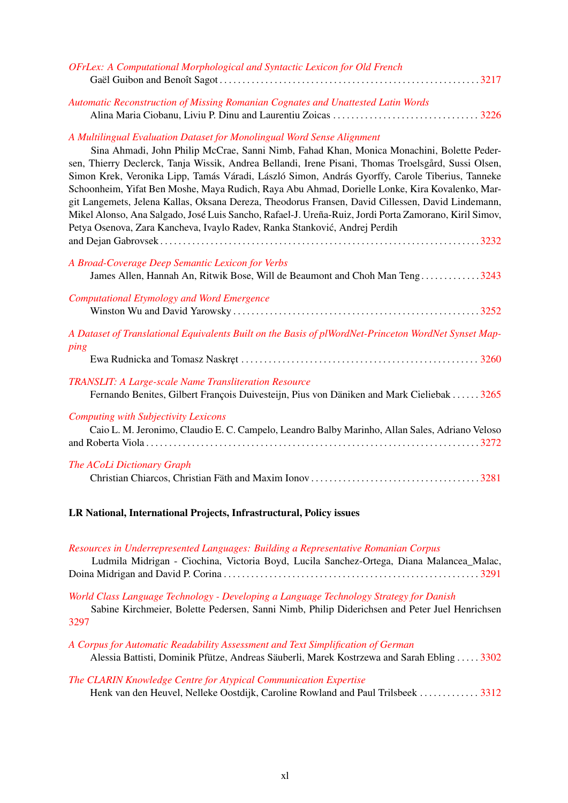| OFrLex: A Computational Morphological and Syntactic Lexicon for Old French                                                                                                                                                                                                                                                                                                                                                                                                                                                                                                                                                                                                                                                                                                  |
|-----------------------------------------------------------------------------------------------------------------------------------------------------------------------------------------------------------------------------------------------------------------------------------------------------------------------------------------------------------------------------------------------------------------------------------------------------------------------------------------------------------------------------------------------------------------------------------------------------------------------------------------------------------------------------------------------------------------------------------------------------------------------------|
| Automatic Reconstruction of Missing Romanian Cognates and Unattested Latin Words                                                                                                                                                                                                                                                                                                                                                                                                                                                                                                                                                                                                                                                                                            |
| A Multilingual Evaluation Dataset for Monolingual Word Sense Alignment<br>Sina Ahmadi, John Philip McCrae, Sanni Nimb, Fahad Khan, Monica Monachini, Bolette Peder-<br>sen, Thierry Declerck, Tanja Wissik, Andrea Bellandi, Irene Pisani, Thomas Troelsgård, Sussi Olsen,<br>Simon Krek, Veronika Lipp, Tamás Váradi, László Simon, András Gyorffy, Carole Tiberius, Tanneke<br>Schoonheim, Yifat Ben Moshe, Maya Rudich, Raya Abu Ahmad, Dorielle Lonke, Kira Kovalenko, Mar-<br>git Langemets, Jelena Kallas, Oksana Dereza, Theodorus Fransen, David Cillessen, David Lindemann,<br>Mikel Alonso, Ana Salgado, José Luis Sancho, Rafael-J. Ureña-Ruiz, Jordi Porta Zamorano, Kiril Simov,<br>Petya Osenova, Zara Kancheva, Ivaylo Radev, Ranka Stanković, Andrej Perdih |
| A Broad-Coverage Deep Semantic Lexicon for Verbs<br>James Allen, Hannah An, Ritwik Bose, Will de Beaumont and Choh Man Teng3243                                                                                                                                                                                                                                                                                                                                                                                                                                                                                                                                                                                                                                             |
| <b>Computational Etymology and Word Emergence</b>                                                                                                                                                                                                                                                                                                                                                                                                                                                                                                                                                                                                                                                                                                                           |
| A Dataset of Translational Equivalents Built on the Basis of plWordNet-Princeton WordNet Synset Map-<br>ping                                                                                                                                                                                                                                                                                                                                                                                                                                                                                                                                                                                                                                                                |
| <b>TRANSLIT: A Large-scale Name Transliteration Resource</b><br>Fernando Benites, Gilbert François Duivesteijn, Pius von Däniken and Mark Cieliebak  3265                                                                                                                                                                                                                                                                                                                                                                                                                                                                                                                                                                                                                   |
| <b>Computing with Subjectivity Lexicons</b><br>Caio L. M. Jeronimo, Claudio E. C. Campelo, Leandro Balby Marinho, Allan Sales, Adriano Veloso                                                                                                                                                                                                                                                                                                                                                                                                                                                                                                                                                                                                                               |
| The ACoLi Dictionary Graph                                                                                                                                                                                                                                                                                                                                                                                                                                                                                                                                                                                                                                                                                                                                                  |
| LR National, International Projects, Infrastructural, Policy issues                                                                                                                                                                                                                                                                                                                                                                                                                                                                                                                                                                                                                                                                                                         |
| Resources in Underrepresented Languages: Building a Representative Romanian Corpus                                                                                                                                                                                                                                                                                                                                                                                                                                                                                                                                                                                                                                                                                          |

| Ludmila Midrigan - Ciochina, Victoria Boyd, Lucila Sanchez-Ortega, Diana Malancea_Malac, |  |  |
|------------------------------------------------------------------------------------------|--|--|
|                                                                                          |  |  |

*[World Class Language Technology - Developing a Language Technology Strategy for Danish](#page-0-0)*

Sabine Kirchmeier, Bolette Pedersen, Sanni Nimb, Philip Diderichsen and Peter Juel Henrichsen [3297](#page-0-0)

| A Corpus for Automatic Readability Assessment and Text Simplification of German           |  |
|-------------------------------------------------------------------------------------------|--|
| Alessia Battisti, Dominik Pfütze, Andreas Säuberli, Marek Kostrzewa and Sarah Ebling 3302 |  |

|  | The CLARIN Knowledge Centre for Atypical Communication Expertise |  |  |  |  |                      |
|--|------------------------------------------------------------------|--|--|--|--|----------------------|
|  |                                                                  |  |  |  |  | $\sim$ $\sim$ $\sim$ |

Henk van den Heuvel, Nelleke Oostdijk, Caroline Rowland and Paul Trilsbeek . . . . . . . . . . . . . [3312](#page-0-0)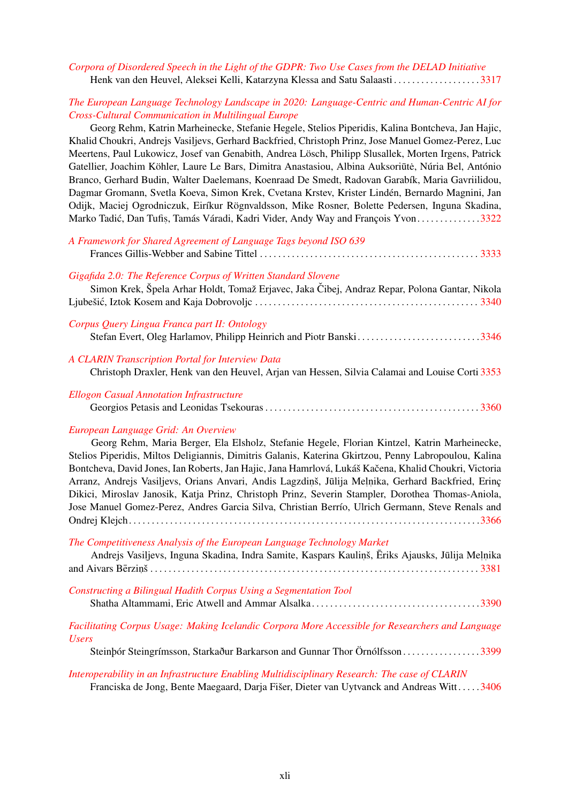#### *[Corpora of Disordered Speech in the Light of the GDPR: Two Use Cases from the DELAD Initiative](#page-0-0)* Henk van den Heuvel, Aleksei Kelli, Katarzyna Klessa and Satu Salaasti . . . . . . . . . . . . . . . . . . . [3317](#page-0-0)

#### *[The European Language Technology Landscape in 2020: Language-Centric and Human-Centric AI for](#page-0-0) [Cross-Cultural Communication in Multilingual Europe](#page-0-0)*

Georg Rehm, Katrin Marheinecke, Stefanie Hegele, Stelios Piperidis, Kalina Bontcheva, Jan Hajic, Khalid Choukri, Andrejs Vasiljevs, Gerhard Backfried, Christoph Prinz, Jose Manuel Gomez-Perez, Luc Meertens, Paul Lukowicz, Josef van Genabith, Andrea Lösch, Philipp Slusallek, Morten Irgens, Patrick Gatellier, Joachim Köhler, Laure Le Bars, Dimitra Anastasiou, Albina Auksoriūtė, Núria Bel, António Branco, Gerhard Budin, Walter Daelemans, Koenraad De Smedt, Radovan Garabík, Maria Gavriilidou, Dagmar Gromann, Svetla Koeva, Simon Krek, Cvetana Krstev, Krister Lindén, Bernardo Magnini, Jan Odijk, Maciej Ogrodniczuk, Eiríkur Rögnvaldsson, Mike Rosner, Bolette Pedersen, Inguna Skadina, Marko Tadić, Dan Tufiș, Tamás Váradi, Kadri Vider, Andy Way and François Yvon.............[3322](#page-0-0)

| A Framework for Shared Agreement of Language Tags beyond ISO 639                                                                                                |
|-----------------------------------------------------------------------------------------------------------------------------------------------------------------|
| Gigafida 2.0: The Reference Corpus of Written Standard Slovene<br>Simon Krek, Špela Arhar Holdt, Tomaž Erjavec, Jaka Čibej, Andraz Repar, Polona Gantar, Nikola |
| Corpus Query Lingua Franca part II: Ontology<br>Stefan Evert, Oleg Harlamov, Philipp Heinrich and Piotr Banski3346                                              |
| A CLARIN Transcription Portal for Interview Data<br>Christoph Draxler, Henk van den Heuvel, Arjan van Hessen, Silvia Calamai and Louise Corti 3353              |
| <b>Ellogon Casual Annotation Infrastructure</b>                                                                                                                 |

Georgios Petasis and Leonidas Tsekouras . . . . . . . . . . . . . . . . . . . . . . . . . . . . . . . . . . . . . . . . . . . . . . . [3360](#page-0-0)

#### *[European Language Grid: An Overview](#page-0-0)*

Georg Rehm, Maria Berger, Ela Elsholz, Stefanie Hegele, Florian Kintzel, Katrin Marheinecke, Stelios Piperidis, Miltos Deligiannis, Dimitris Galanis, Katerina Gkirtzou, Penny Labropoulou, Kalina Bontcheva, David Jones, Ian Roberts, Jan Hajic, Jana Hamrlová, Lukáš Kačena, Khalid Choukri, Victoria Arranz, Andrejs Vasiljevs, Orians Anvari, Andis Lagzdiņš, Jūlija Meļņika, Gerhard Backfried, Erinç Dikici, Miroslav Janosik, Katja Prinz, Christoph Prinz, Severin Stampler, Dorothea Thomas-Aniola, Jose Manuel Gomez-Perez, Andres Garcia Silva, Christian Berrío, Ulrich Germann, Steve Renals and Ondrej Klejch. . . . . . . . . . . . . . . . . . . . . . . . . . . . . . . . . . . . . . . . . . . . . . . . . . . . . . . . . . . . . . . . . . . . . . . . . . . . .[3366](#page-0-0)

#### *[The Competitiveness Analysis of the European Language Technology Market](#page-0-0)*

| Andrejs Vasiljevs, Inguna Skadina, Indra Samite, Kaspars Kauliņš, Ēriks Ajausks, Jūlija Meļņika |  |  |  |
|-------------------------------------------------------------------------------------------------|--|--|--|
|                                                                                                 |  |  |  |
|                                                                                                 |  |  |  |

*[Constructing a Bilingual Hadith Corpus Using a Segmentation Tool](#page-0-0)*

|--|

#### *[Facilitating Corpus Usage: Making Icelandic Corpora More Accessible for Researchers and Language](#page-0-0) [Users](#page-0-0)*

Steinþór Steingrímsson, Starkaður Barkarson and Gunnar Thor Örnólfsson . . . . . . . . . . . . . . . . . [3399](#page-0-0)

#### *[Interoperability in an Infrastructure Enabling Multidisciplinary Research: The case of CLARIN](#page-0-0)*

Franciska de Jong, Bente Maegaard, Darja Fišer, Dieter van Uytvanck and Andreas Witt. . . . .[3406](#page-0-0)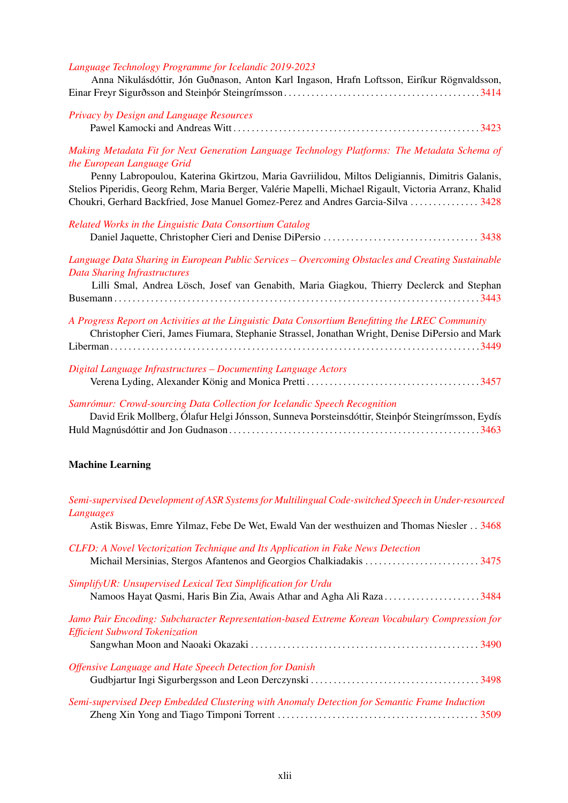#### *[Language Technology Programme for Icelandic 2019-2023](#page-0-0)*

|  |  |  |  | Anna Nikulásdóttir, Jón Guðnason, Anton Karl Ingason, Hrafn Loftsson, Eiríkur Rögnvaldsson, |
|--|--|--|--|---------------------------------------------------------------------------------------------|
|  |  |  |  |                                                                                             |

| Privacy by Design and Language Resources |  |
|------------------------------------------|--|
|                                          |  |

*[Making Metadata Fit for Next Generation Language Technology Platforms: The Metadata Schema of](#page-0-0) [the European Language Grid](#page-0-0)*

Penny Labropoulou, Katerina Gkirtzou, Maria Gavriilidou, Miltos Deligiannis, Dimitris Galanis, Stelios Piperidis, Georg Rehm, Maria Berger, Valérie Mapelli, Michael Rigault, Victoria Arranz, Khalid Choukri, Gerhard Backfried, Jose Manuel Gomez-Perez and Andres Garcia-Silva . . . . . . . . . . . . . . . [3428](#page-0-0)

| Related Works in the Linguistic Data Consortium Catalog                                                                                                                                                                                                                                                                                                       |
|---------------------------------------------------------------------------------------------------------------------------------------------------------------------------------------------------------------------------------------------------------------------------------------------------------------------------------------------------------------|
| Language Data Sharing in European Public Services – Overcoming Obstacles and Creating Sustainable<br><b>Data Sharing Infrastructures</b>                                                                                                                                                                                                                      |
| Lilli Smal, Andrea Lösch, Josef van Genabith, Maria Giagkou, Thierry Declerck and Stephan                                                                                                                                                                                                                                                                     |
| A Progress Report on Activities at the Linguistic Data Consortium Benefitting the LREC Community<br>Christopher Cieri, James Fiumara, Stephanie Strassel, Jonathan Wright, Denise DiPersio and Mark                                                                                                                                                           |
|                                                                                                                                                                                                                                                                                                                                                               |
| Digital Language Infrastructures - Documenting Language Actors                                                                                                                                                                                                                                                                                                |
| $\alpha$ , $\alpha$ , $\alpha$ , $\alpha$ , $\alpha$ , $\alpha$ , $\alpha$ , $\alpha$ , $\alpha$ , $\alpha$ , $\alpha$ , $\alpha$ , $\alpha$ , $\alpha$ , $\alpha$ , $\alpha$ , $\alpha$ , $\alpha$ , $\alpha$ , $\alpha$ , $\alpha$ , $\alpha$ , $\alpha$ , $\alpha$ , $\alpha$ , $\alpha$ , $\alpha$ , $\alpha$ , $\alpha$ , $\alpha$ , $\alpha$ , $\alpha$ |

# *[Samrómur: Crowd-sourcing Data Collection for Icelandic Speech Recognition](#page-0-0)*

| David Erik Mollberg, Ölafur Helgi Jónsson, Sunneva Þorsteinsdóttir, Steinþór Steingrímsson, Eydís |  |
|---------------------------------------------------------------------------------------------------|--|
|                                                                                                   |  |

### Machine Learning

| Semi-supervised Development of ASR Systems for Multilingual Code-switched Speech in Under-resourced<br>Languages                         |  |
|------------------------------------------------------------------------------------------------------------------------------------------|--|
| Astik Biswas, Emre Yilmaz, Febe De Wet, Ewald Van der westhuizen and Thomas Niesler 3468                                                 |  |
| CLFD: A Novel Vectorization Technique and Its Application in Fake News Detection                                                         |  |
| SimplifyUR: Unsupervised Lexical Text Simplification for Urdu<br>Namoos Hayat Qasmi, Haris Bin Zia, Awais Athar and Agha Ali Raza3484    |  |
| Jamo Pair Encoding: Subcharacter Representation-based Extreme Korean Vocabulary Compression for<br><b>Efficient Subword Tokenization</b> |  |
|                                                                                                                                          |  |
| Offensive Language and Hate Speech Detection for Danish                                                                                  |  |
| Semi-supervised Deep Embedded Clustering with Anomaly Detection for Semantic Frame Induction                                             |  |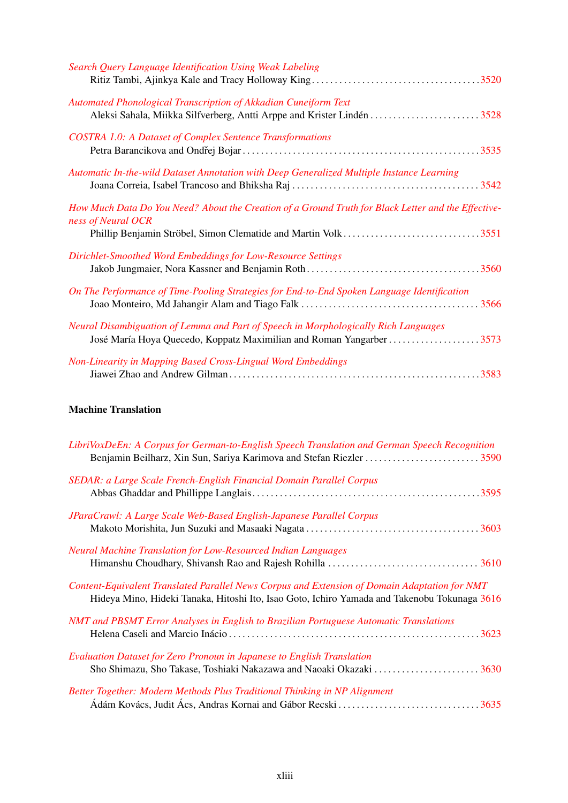| Search Query Language Identification Using Weak Labeling                                                                                                                                   |  |
|--------------------------------------------------------------------------------------------------------------------------------------------------------------------------------------------|--|
| Automated Phonological Transcription of Akkadian Cuneiform Text<br>Aleksi Sahala, Miikka Silfverberg, Antti Arppe and Krister Lindén 3528                                                  |  |
| <b>COSTRA 1.0: A Dataset of Complex Sentence Transformations</b>                                                                                                                           |  |
| Automatic In-the-wild Dataset Annotation with Deep Generalized Multiple Instance Learning                                                                                                  |  |
| How Much Data Do You Need? About the Creation of a Ground Truth for Black Letter and the Effective-<br>ness of Neural OCR<br>Phillip Benjamin Ströbel, Simon Clematide and Martin Volk3551 |  |
| Dirichlet-Smoothed Word Embeddings for Low-Resource Settings                                                                                                                               |  |
| On The Performance of Time-Pooling Strategies for End-to-End Spoken Language Identification                                                                                                |  |
| Neural Disambiguation of Lemma and Part of Speech in Morphologically Rich Languages<br>José María Hoya Quecedo, Koppatz Maximilian and Roman Yangarber 3573                                |  |
| Non-Linearity in Mapping Based Cross-Lingual Word Embeddings                                                                                                                               |  |

## Machine Translation

| LibriVoxDeEn: A Corpus for German-to-English Speech Translation and German Speech Recognition<br>Benjamin Beilharz, Xin Sun, Sariya Karimova and Stefan Riezler 3590                          |  |
|-----------------------------------------------------------------------------------------------------------------------------------------------------------------------------------------------|--|
| <b>SEDAR: a Large Scale French-English Financial Domain Parallel Corpus</b>                                                                                                                   |  |
| JParaCrawl: A Large Scale Web-Based English-Japanese Parallel Corpus                                                                                                                          |  |
| <b>Neural Machine Translation for Low-Resourced Indian Languages</b>                                                                                                                          |  |
| Content-Equivalent Translated Parallel News Corpus and Extension of Domain Adaptation for NMT<br>Hideya Mino, Hideki Tanaka, Hitoshi Ito, Isao Goto, Ichiro Yamada and Takenobu Tokunaga 3616 |  |
| NMT and PBSMT Error Analyses in English to Brazilian Portuguese Automatic Translations                                                                                                        |  |
| Evaluation Dataset for Zero Pronoun in Japanese to English Translation<br>Sho Shimazu, Sho Takase, Toshiaki Nakazawa and Naoaki Okazaki 3630                                                  |  |
| Better Together: Modern Methods Plus Traditional Thinking in NP Alignment<br>Ádám Kovács, Judit Ács, Andras Kornai and Gábor Recski 3635                                                      |  |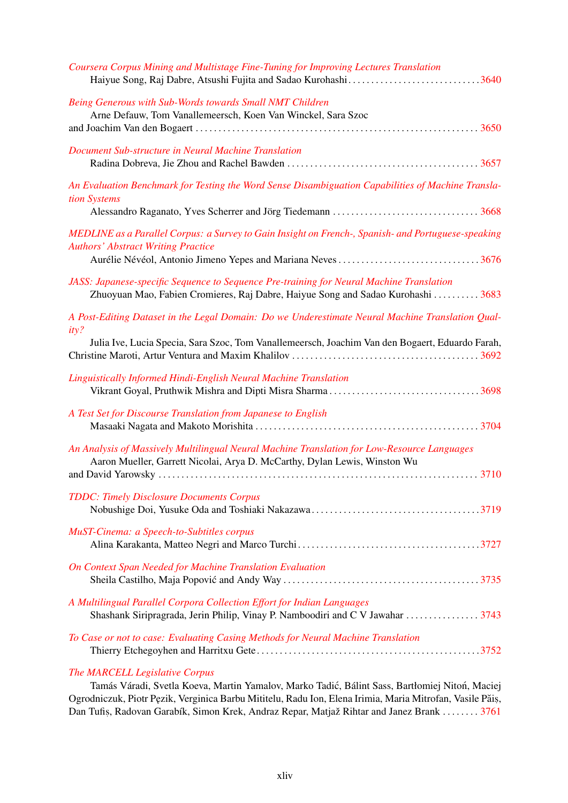| Coursera Corpus Mining and Multistage Fine-Tuning for Improving Lectures Translation<br>Haiyue Song, Raj Dabre, Atsushi Fujita and Sadao Kurohashi3640                                                          |
|-----------------------------------------------------------------------------------------------------------------------------------------------------------------------------------------------------------------|
| Being Generous with Sub-Words towards Small NMT Children<br>Arne Defauw, Tom Vanallemeersch, Koen Van Winckel, Sara Szoc                                                                                        |
| Document Sub-structure in Neural Machine Translation                                                                                                                                                            |
| An Evaluation Benchmark for Testing the Word Sense Disambiguation Capabilities of Machine Transla-<br>tion Systems                                                                                              |
| MEDLINE as a Parallel Corpus: a Survey to Gain Insight on French-, Spanish- and Portuguese-speaking<br><b>Authors' Abstract Writing Practice</b><br>Aurélie Névéol, Antonio Jimeno Yepes and Mariana Neves 3676 |
| JASS: Japanese-specific Sequence to Sequence Pre-training for Neural Machine Translation<br>Zhuoyuan Mao, Fabien Cromieres, Raj Dabre, Haiyue Song and Sadao Kurohashi 3683                                     |
| A Post-Editing Dataset in the Legal Domain: Do we Underestimate Neural Machine Translation Qual-<br>ity?<br>Julia Ive, Lucia Specia, Sara Szoc, Tom Vanallemeersch, Joachim Van den Bogaert, Eduardo Farah,     |
| Linguistically Informed Hindi-English Neural Machine Translation                                                                                                                                                |
| A Test Set for Discourse Translation from Japanese to English                                                                                                                                                   |
| An Analysis of Massively Multilingual Neural Machine Translation for Low-Resource Languages<br>Aaron Mueller, Garrett Nicolai, Arya D. McCarthy, Dylan Lewis, Winston Wu                                        |
| <b>TDDC: Timely Disclosure Documents Corpus</b>                                                                                                                                                                 |
| MuST-Cinema: a Speech-to-Subtitles corpus                                                                                                                                                                       |
| <b>On Context Span Needed for Machine Translation Evaluation</b>                                                                                                                                                |
| A Multilingual Parallel Corpora Collection Effort for Indian Languages<br>Shashank Siripragrada, Jerin Philip, Vinay P. Namboodiri and C V Jawahar  3743                                                        |
| To Case or not to case: Evaluating Casing Methods for Neural Machine Translation                                                                                                                                |

## *[The MARCELL Legislative Corpus](#page-0-0)*

Tamás Váradi, Svetla Koeva, Martin Yamalov, Marko Tadić, Bálint Sass, Bartłomiej Nitoń, Maciej Ogrodniczuk, Piotr Pęzik, Verginica Barbu Mititelu, Radu Ion, Elena Irimia, Maria Mitrofan, Vasile Păiș, Dan Tufiș, Radovan Garabík, Simon Krek, Andraz Repar, Matjaž Rihtar and Janez Brank . . . . . . . . [3761](#page-0-0)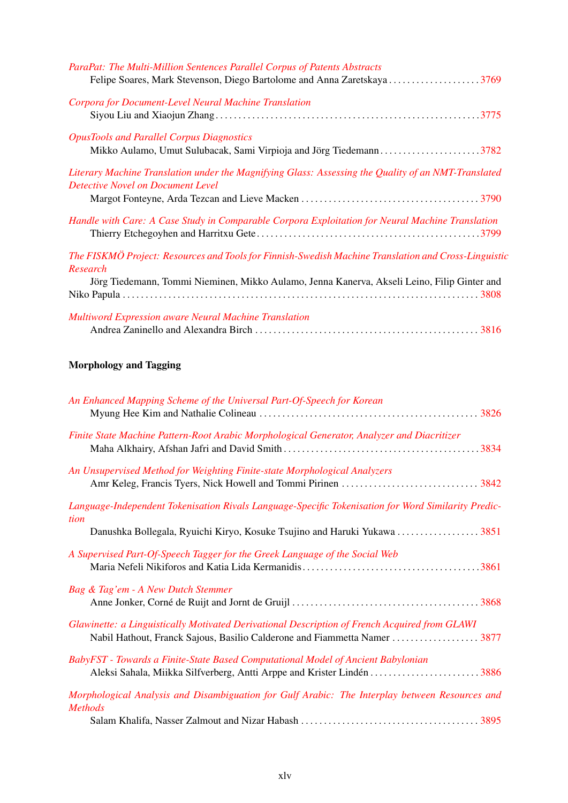| ParaPat: The Multi-Million Sentences Parallel Corpus of Patents Abstracts<br>Felipe Soares, Mark Stevenson, Diego Bartolome and Anna Zaretskaya3769 |
|-----------------------------------------------------------------------------------------------------------------------------------------------------|
| Corpora for Document-Level Neural Machine Translation                                                                                               |
| <b>OpusTools and Parallel Corpus Diagnostics</b><br>Mikko Aulamo, Umut Sulubacak, Sami Virpioja and Jörg Tiedemann3782                              |
| Literary Machine Translation under the Magnifying Glass: Assessing the Quality of an NMT-Translated<br><b>Detective Novel on Document Level</b>     |
| Handle with Care: A Case Study in Comparable Corpora Exploitation for Neural Machine Translation                                                    |
| The FISKMÖ Project: Resources and Tools for Finnish-Swedish Machine Translation and Cross-Linguistic<br>Research                                    |
| Jörg Tiedemann, Tommi Nieminen, Mikko Aulamo, Jenna Kanerva, Akseli Leino, Filip Ginter and                                                         |
| <b>Multiword Expression aware Neural Machine Translation</b>                                                                                        |

# Morphology and Tagging

| An Enhanced Mapping Scheme of the Universal Part-Of-Speech for Korean                                            |
|------------------------------------------------------------------------------------------------------------------|
| Finite State Machine Pattern-Root Arabic Morphological Generator, Analyzer and Diacritizer                       |
| An Unsupervised Method for Weighting Finite-state Morphological Analyzers                                        |
| Language-Independent Tokenisation Rivals Language-Specific Tokenisation for Word Similarity Predic-              |
| tion                                                                                                             |
| A Supervised Part-Of-Speech Tagger for the Greek Language of the Social Web                                      |
| Bag & Tag'em - A New Dutch Stemmer                                                                               |
| Glawinette: a Linguistically Motivated Derivational Description of French Acquired from GLAWI                    |
| BabyFST - Towards a Finite-State Based Computational Model of Ancient Babylonian                                 |
| Morphological Analysis and Disambiguation for Gulf Arabic: The Interplay between Resources and<br><b>Methods</b> |
|                                                                                                                  |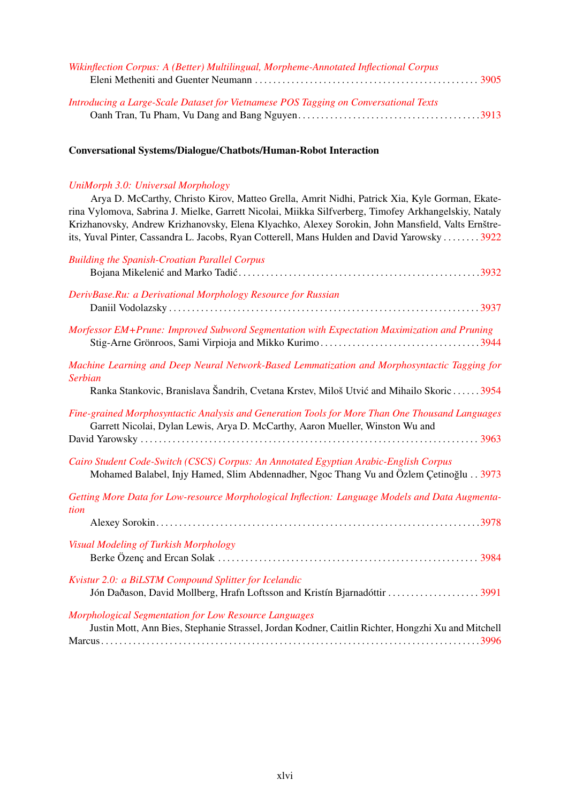| Wikinflection Corpus: A (Better) Multilingual, Morpheme-Annotated Inflectional Corpus |  |
|---------------------------------------------------------------------------------------|--|
|                                                                                       |  |
| Introducing a Large-Scale Dataset for Vietnamese POS Tagging on Conversational Texts  |  |
|                                                                                       |  |

#### Conversational Systems/Dialogue/Chatbots/Human-Robot Interaction

### *[UniMorph 3.0: Universal Morphology](#page-0-0)*

Arya D. McCarthy, Christo Kirov, Matteo Grella, Amrit Nidhi, Patrick Xia, Kyle Gorman, Ekaterina Vylomova, Sabrina J. Mielke, Garrett Nicolai, Miikka Silfverberg, Timofey Arkhangelskiy, Nataly Krizhanovsky, Andrew Krizhanovsky, Elena Klyachko, Alexey Sorokin, John Mansfield, Valts Ernštreits, Yuval Pinter, Cassandra L. Jacobs, Ryan Cotterell, Mans Hulden and David Yarowsky . . . . . . . . [3922](#page-0-0)

| <b>Building the Spanish-Croatian Parallel Corpus</b>                                                                                                                                                        |
|-------------------------------------------------------------------------------------------------------------------------------------------------------------------------------------------------------------|
| DerivBase.Ru: a Derivational Morphology Resource for Russian                                                                                                                                                |
| Morfessor EM+Prune: Improved Subword Segmentation with Expectation Maximization and Pruning                                                                                                                 |
| Machine Learning and Deep Neural Network-Based Lemmatization and Morphosyntactic Tagging for<br><b>Serbian</b><br>Ranka Stankovic, Branislava Šandrih, Cvetana Krstev, Miloš Utvić and Mihailo Skoric  3954 |
| Fine-grained Morphosyntactic Analysis and Generation Tools for More Than One Thousand Languages<br>Garrett Nicolai, Dylan Lewis, Arya D. McCarthy, Aaron Mueller, Winston Wu and                            |
| Cairo Student Code-Switch (CSCS) Corpus: An Annotated Egyptian Arabic-English Corpus<br>Mohamed Balabel, Injy Hamed, Slim Abdennadher, Ngoc Thang Vu and Özlem Çetinoğlu 3973                               |
| Getting More Data for Low-resource Morphological Inflection: Language Models and Data Augmenta-<br>tion                                                                                                     |
| Visual Modeling of Turkish Morphology                                                                                                                                                                       |
| Kvistur 2.0: a BiLSTM Compound Splitter for Icelandic<br>Jón Daðason, David Mollberg, Hrafn Loftsson and Kristín Bjarnadóttir 3991                                                                          |
| <b>Morphological Segmentation for Low Resource Languages</b><br>Justin Mott, Ann Bies, Stephanie Strassel, Jordan Kodner, Caitlin Richter, Hongzhi Xu and Mitchell                                          |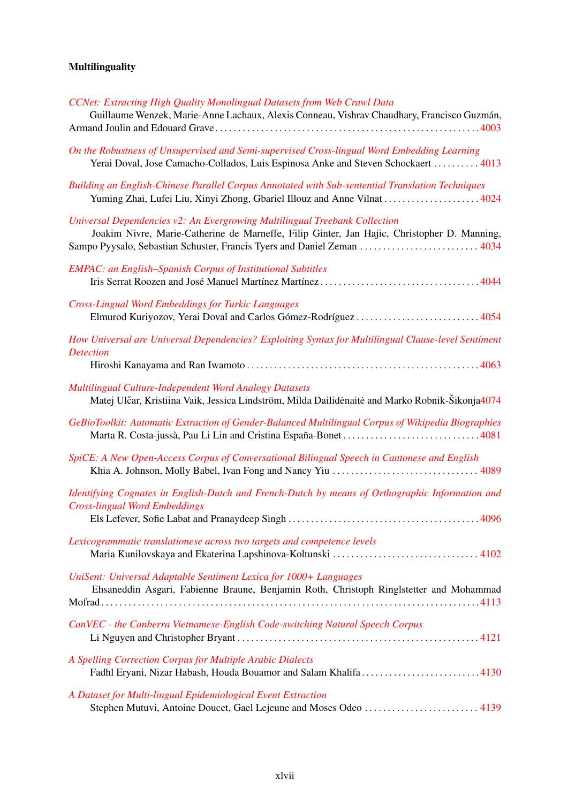# Multilinguality

| CCNet: Extracting High Quality Monolingual Datasets from Web Crawl Data<br>Guillaume Wenzek, Marie-Anne Lachaux, Alexis Conneau, Vishrav Chaudhary, Francisco Guzmán,                                                                                |
|------------------------------------------------------------------------------------------------------------------------------------------------------------------------------------------------------------------------------------------------------|
|                                                                                                                                                                                                                                                      |
| On the Robustness of Unsupervised and Semi-supervised Cross-lingual Word Embedding Learning<br>Yerai Doval, Jose Camacho-Collados, Luis Espinosa Anke and Steven Schockaert  4013                                                                    |
| Building an English-Chinese Parallel Corpus Annotated with Sub-sentential Translation Techniques<br>Yuming Zhai, Lufei Liu, Xinyi Zhong, Gbariel Illouz and Anne Vilnat  4024                                                                        |
| Universal Dependencies v2: An Evergrowing Multilingual Treebank Collection<br>Joakim Nivre, Marie-Catherine de Marneffe, Filip Ginter, Jan Hajic, Christopher D. Manning,<br>Sampo Pyysalo, Sebastian Schuster, Francis Tyers and Daniel Zeman  4034 |
| <b>EMPAC: an English-Spanish Corpus of Institutional Subtitles</b>                                                                                                                                                                                   |
| <b>Cross-Lingual Word Embeddings for Turkic Languages</b>                                                                                                                                                                                            |
| How Universal are Universal Dependencies? Exploiting Syntax for Multilingual Clause-level Sentiment<br><b>Detection</b>                                                                                                                              |
|                                                                                                                                                                                                                                                      |
| Multilingual Culture-Independent Word Analogy Datasets<br>Matej Ulčar, Kristiina Vaik, Jessica Lindström, Milda Dailidėnaitė and Marko Robnik-Šikonja4074                                                                                            |
| GeBioToolkit: Automatic Extraction of Gender-Balanced Multilingual Corpus of Wikipedia Biographies                                                                                                                                                   |
| SpiCE: A New Open-Access Corpus of Conversational Bilingual Speech in Cantonese and English                                                                                                                                                          |
| Identifying Cognates in English-Dutch and French-Dutch by means of Orthographic Information and<br><b>Cross-lingual Word Embeddings</b>                                                                                                              |
|                                                                                                                                                                                                                                                      |
| Lexicogrammatic translationese across two targets and competence levels                                                                                                                                                                              |
| UniSent: Universal Adaptable Sentiment Lexica for 1000+ Languages<br>Ehsaneddin Asgari, Fabienne Braune, Benjamin Roth, Christoph Ringlstetter and Mohammad                                                                                          |
| CanVEC - the Canberra Vietnamese-English Code-switching Natural Speech Corpus                                                                                                                                                                        |
| A Spelling Correction Corpus for Multiple Arabic Dialects<br>Fadhl Eryani, Nizar Habash, Houda Bouamor and Salam Khalifa4130                                                                                                                         |
| A Dataset for Multi-lingual Epidemiological Event Extraction<br>Stephen Mutuvi, Antoine Doucet, Gael Lejeune and Moses Odeo  4139                                                                                                                    |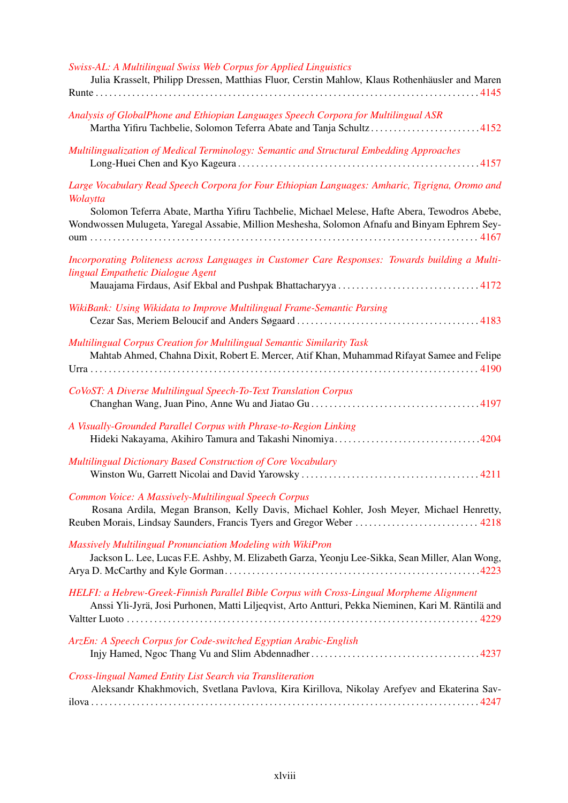| Swiss-AL: A Multilingual Swiss Web Corpus for Applied Linguistics<br>Julia Krasselt, Philipp Dressen, Matthias Fluor, Cerstin Mahlow, Klaus Rothenhäusler and Maren                                                                                                                                          |
|--------------------------------------------------------------------------------------------------------------------------------------------------------------------------------------------------------------------------------------------------------------------------------------------------------------|
| Analysis of GlobalPhone and Ethiopian Languages Speech Corpora for Multilingual ASR<br>Martha Yifiru Tachbelie, Solomon Teferra Abate and Tanja Schultz4152                                                                                                                                                  |
| Multilingualization of Medical Terminology: Semantic and Structural Embedding Approaches                                                                                                                                                                                                                     |
| Large Vocabulary Read Speech Corpora for Four Ethiopian Languages: Amharic, Tigrigna, Oromo and<br>Wolaytta<br>Solomon Teferra Abate, Martha Yifiru Tachbelie, Michael Melese, Hafte Abera, Tewodros Abebe,<br>Wondwossen Mulugeta, Yaregal Assabie, Million Meshesha, Solomon Afnafu and Binyam Ephrem Sey- |
| Incorporating Politeness across Languages in Customer Care Responses: Towards building a Multi-<br>lingual Empathetic Dialogue Agent                                                                                                                                                                         |
| WikiBank: Using Wikidata to Improve Multilingual Frame-Semantic Parsing                                                                                                                                                                                                                                      |
| Multilingual Corpus Creation for Multilingual Semantic Similarity Task<br>Mahtab Ahmed, Chahna Dixit, Robert E. Mercer, Atif Khan, Muhammad Rifayat Samee and Felipe                                                                                                                                         |
| CoVoST: A Diverse Multilingual Speech-To-Text Translation Corpus                                                                                                                                                                                                                                             |
| A Visually-Grounded Parallel Corpus with Phrase-to-Region Linking                                                                                                                                                                                                                                            |
| Multilingual Dictionary Based Construction of Core Vocabulary                                                                                                                                                                                                                                                |
| Common Voice: A Massively-Multilingual Speech Corpus<br>Rosana Ardila, Megan Branson, Kelly Davis, Michael Kohler, Josh Meyer, Michael Henretty,<br>Reuben Morais, Lindsay Saunders, Francis Tyers and Gregor Weber  4218                                                                                    |
| <b>Massively Multilingual Pronunciation Modeling with WikiPron</b><br>Jackson L. Lee, Lucas F.E. Ashby, M. Elizabeth Garza, Yeonju Lee-Sikka, Sean Miller, Alan Wong,                                                                                                                                        |
| HELFI: a Hebrew-Greek-Finnish Parallel Bible Corpus with Cross-Lingual Morpheme Alignment<br>Anssi Yli-Jyrä, Josi Purhonen, Matti Liljeqvist, Arto Antturi, Pekka Nieminen, Kari M. Räntilä and                                                                                                              |
| ArzEn: A Speech Corpus for Code-switched Egyptian Arabic-English                                                                                                                                                                                                                                             |
| Cross-lingual Named Entity List Search via Transliteration<br>Aleksandr Khakhmovich, Svetlana Pavlova, Kira Kirillova, Nikolay Arefyev and Ekaterina Sav-                                                                                                                                                    |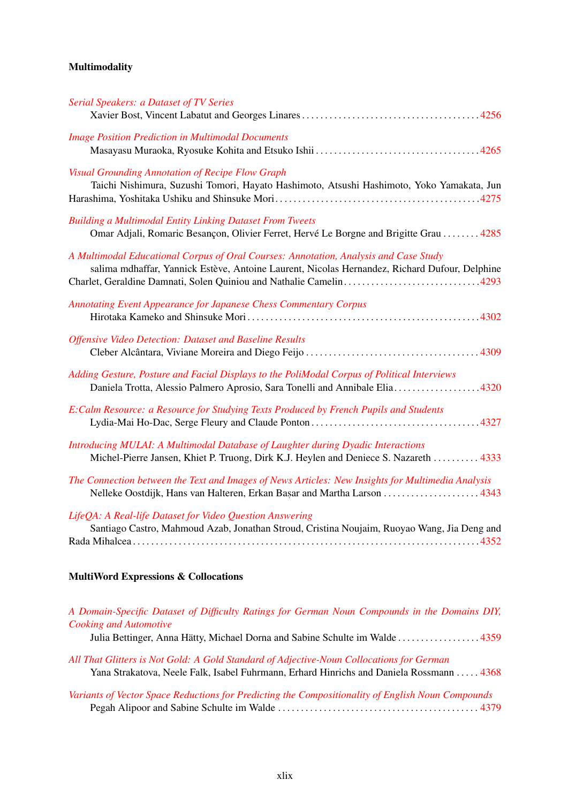# Multimodality

| <b>Serial Speakers: a Dataset of TV Series</b>                                                                                                                                                                                                              |
|-------------------------------------------------------------------------------------------------------------------------------------------------------------------------------------------------------------------------------------------------------------|
| <b>Image Position Prediction in Multimodal Documents</b>                                                                                                                                                                                                    |
| <b>Visual Grounding Annotation of Recipe Flow Graph</b><br>Taichi Nishimura, Suzushi Tomori, Hayato Hashimoto, Atsushi Hashimoto, Yoko Yamakata, Jun                                                                                                        |
| <b>Building a Multimodal Entity Linking Dataset From Tweets</b><br>Omar Adjali, Romaric Besançon, Olivier Ferret, Hervé Le Borgne and Brigitte Grau  4285                                                                                                   |
| A Multimodal Educational Corpus of Oral Courses: Annotation, Analysis and Case Study<br>salima mdhaffar, Yannick Estève, Antoine Laurent, Nicolas Hernandez, Richard Dufour, Delphine<br>Charlet, Geraldine Damnati, Solen Quiniou and Nathalie Camelin4293 |
| <b>Annotating Event Appearance for Japanese Chess Commentary Corpus</b>                                                                                                                                                                                     |
| <b>Offensive Video Detection: Dataset and Baseline Results</b>                                                                                                                                                                                              |
| Adding Gesture, Posture and Facial Displays to the PoliModal Corpus of Political Interviews<br>Daniela Trotta, Alessio Palmero Aprosio, Sara Tonelli and Annibale Elia4320                                                                                  |
| E:Calm Resource: a Resource for Studying Texts Produced by French Pupils and Students                                                                                                                                                                       |
| Introducing MULAI: A Multimodal Database of Laughter during Dyadic Interactions<br>Michel-Pierre Jansen, Khiet P. Truong, Dirk K.J. Heylen and Deniece S. Nazareth  4333                                                                                    |
| The Connection between the Text and Images of News Articles: New Insights for Multimedia Analysis<br>Nelleke Oostdijk, Hans van Halteren, Erkan Başar and Martha Larson  4343                                                                               |
| LifeQA: A Real-life Dataset for Video Question Answering<br>Santiago Castro, Mahmoud Azab, Jonathan Stroud, Cristina Noujaim, Ruoyao Wang, Jia Deng and                                                                                                     |
|                                                                                                                                                                                                                                                             |

# MultiWord Expressions & Collocations

| A Domain-Specific Dataset of Difficulty Ratings for German Noun Compounds in the Domains DIY,<br><b>Cooking and Automotive</b>                                                       |
|--------------------------------------------------------------------------------------------------------------------------------------------------------------------------------------|
|                                                                                                                                                                                      |
| All That Glitters is Not Gold: A Gold Standard of Adjective-Noun Collocations for German<br>Yana Strakatova, Neele Falk, Isabel Fuhrmann, Erhard Hinrichs and Daniela Rossmann  4368 |
| Variants of Vector Space Reductions for Predicting the Compositionality of English Noun Compounds                                                                                    |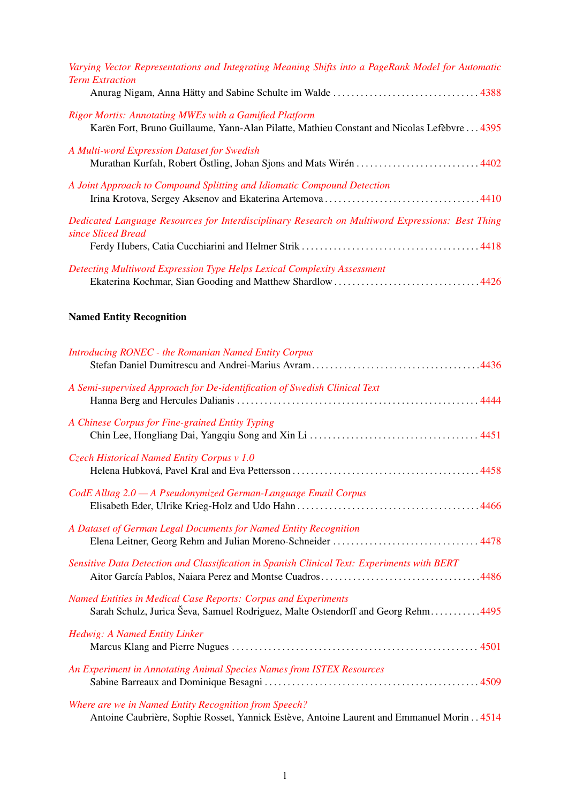| Varying Vector Representations and Integrating Meaning Shifts into a PageRank Model for Automatic<br><b>Term Extraction</b>                                 |
|-------------------------------------------------------------------------------------------------------------------------------------------------------------|
|                                                                                                                                                             |
| <b>Rigor Mortis: Annotating MWEs with a Gamified Platform</b><br>Karën Fort, Bruno Guillaume, Yann-Alan Pilatte, Mathieu Constant and Nicolas Lefèbvre 4395 |
| A Multi-word Expression Dataset for Swedish                                                                                                                 |
| A Joint Approach to Compound Splitting and Idiomatic Compound Detection                                                                                     |
| Dedicated Language Resources for Interdisciplinary Research on Multiword Expressions: Best Thing<br>since Sliced Bread                                      |
|                                                                                                                                                             |
| Detecting Multiword Expression Type Helps Lexical Complexity Assessment                                                                                     |

# Named Entity Recognition

| <b>Introducing RONEC - the Romanian Named Entity Corpus</b>                                                                                               |
|-----------------------------------------------------------------------------------------------------------------------------------------------------------|
| A Semi-supervised Approach for De-identification of Swedish Clinical Text                                                                                 |
| A Chinese Corpus for Fine-grained Entity Typing                                                                                                           |
| Czech Historical Named Entity Corpus v 1.0                                                                                                                |
| CodE Alltag 2.0 - A Pseudonymized German-Language Email Corpus                                                                                            |
| A Dataset of German Legal Documents for Named Entity Recognition                                                                                          |
| Sensitive Data Detection and Classification in Spanish Clinical Text: Experiments with BERT                                                               |
| <b>Named Entities in Medical Case Reports: Corpus and Experiments</b><br>Sarah Schulz, Jurica Ševa, Samuel Rodriguez, Malte Ostendorff and Georg Rehm4495 |
| Hedwig: A Named Entity Linker                                                                                                                             |
| An Experiment in Annotating Animal Species Names from ISTEX Resources                                                                                     |
| Where are we in Named Entity Recognition from Speech?<br>Antoine Caubrière, Sophie Rosset, Yannick Estève, Antoine Laurent and Emmanuel Morin 4514        |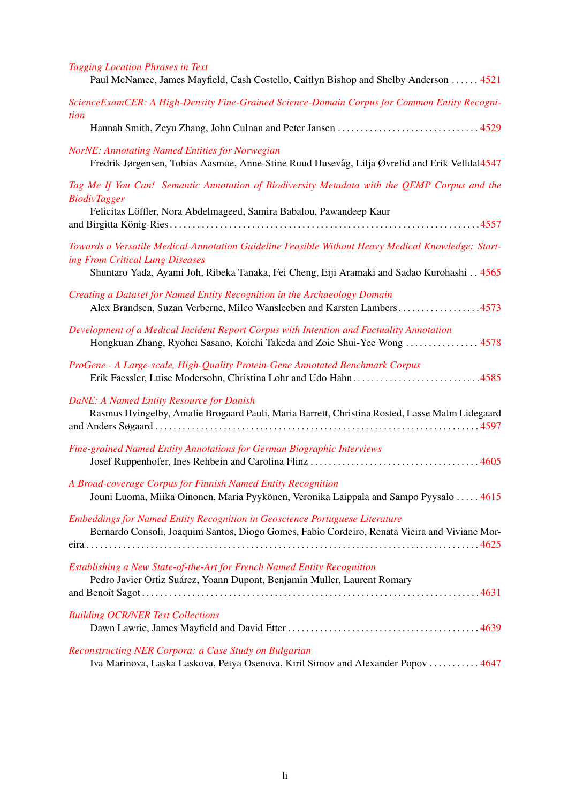| <b>Tagging Location Phrases in Text</b><br>Paul McNamee, James Mayfield, Cash Costello, Caitlyn Bishop and Shelby Anderson  4521                                             |
|------------------------------------------------------------------------------------------------------------------------------------------------------------------------------|
| ScienceExamCER: A High-Density Fine-Grained Science-Domain Corpus for Common Entity Recogni-<br>tion                                                                         |
|                                                                                                                                                                              |
| <b>NorNE: Annotating Named Entities for Norwegian</b><br>Fredrik Jørgensen, Tobias Aasmoe, Anne-Stine Ruud Husevåg, Lilja Øvrelid and Erik Velldal4547                       |
| Tag Me If You Can! Semantic Annotation of Biodiversity Metadata with the QEMP Corpus and the<br><b>BiodivTagger</b>                                                          |
| Felicitas Löffler, Nora Abdelmageed, Samira Babalou, Pawandeep Kaur                                                                                                          |
| Towards a Versatile Medical-Annotation Guideline Feasible Without Heavy Medical Knowledge: Start-<br>ing From Critical Lung Diseases                                         |
| Shuntaro Yada, Ayami Joh, Ribeka Tanaka, Fei Cheng, Eiji Aramaki and Sadao Kurohashi 4565                                                                                    |
| Creating a Dataset for Named Entity Recognition in the Archaeology Domain<br>Alex Brandsen, Suzan Verberne, Milco Wansleeben and Karsten Lambers4573                         |
| Development of a Medical Incident Report Corpus with Intention and Factuality Annotation<br>Hongkuan Zhang, Ryohei Sasano, Koichi Takeda and Zoie Shui-Yee Wong  4578        |
| ProGene - A Large-scale, High-Quality Protein-Gene Annotated Benchmark Corpus<br>Erik Faessler, Luise Modersohn, Christina Lohr and Udo Hahn4585                             |
| DaNE: A Named Entity Resource for Danish<br>Rasmus Hvingelby, Amalie Brogaard Pauli, Maria Barrett, Christina Rosted, Lasse Malm Lidegaard                                   |
| Fine-grained Named Entity Annotations for German Biographic Interviews                                                                                                       |
| A Broad-coverage Corpus for Finnish Named Entity Recognition<br>Jouni Luoma, Miika Oinonen, Maria Pyykönen, Veronika Laippala and Sampo Pyysalo  4615                        |
| Embeddings for Named Entity Recognition in Geoscience Portuguese Literature<br>Bernardo Consoli, Joaquim Santos, Diogo Gomes, Fabio Cordeiro, Renata Vieira and Viviane Mor- |
| Establishing a New State-of-the-Art for French Named Entity Recognition<br>Pedro Javier Ortiz Suárez, Yoann Dupont, Benjamin Muller, Laurent Romary                          |
| <b>Building OCR/NER Test Collections</b>                                                                                                                                     |
| Reconstructing NER Corpora: a Case Study on Bulgarian                                                                                                                        |

Iva Marinova, Laska Laskova, Petya Osenova, Kiril Simov and Alexander Popov . . . . . . . . . . . [4647](#page-0-0)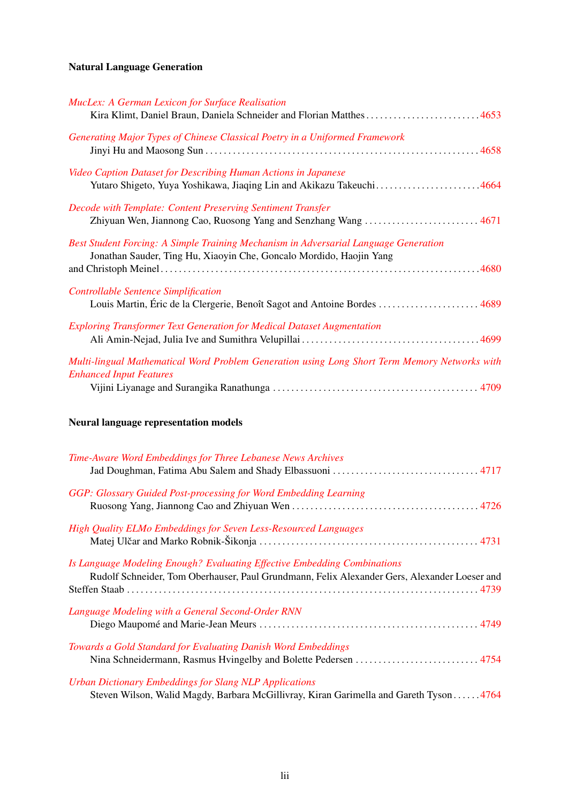# Natural Language Generation

| <b>MucLex: A German Lexicon for Surface Realisation</b>                                                                         |  |
|---------------------------------------------------------------------------------------------------------------------------------|--|
| Kira Klimt, Daniel Braun, Daniela Schneider and Florian Matthes4653                                                             |  |
| Generating Major Types of Chinese Classical Poetry in a Uniformed Framework                                                     |  |
|                                                                                                                                 |  |
| Video Caption Dataset for Describing Human Actions in Japanese                                                                  |  |
| Yutaro Shigeto, Yuya Yoshikawa, Jiaqing Lin and Akikazu Takeuchi4664                                                            |  |
| Decode with Template: Content Preserving Sentiment Transfer                                                                     |  |
| Zhiyuan Wen, Jiannong Cao, Ruosong Yang and Senzhang Wang  4671                                                                 |  |
| Best Student Forcing: A Simple Training Mechanism in Adversarial Language Generation                                            |  |
| Jonathan Sauder, Ting Hu, Xiaoyin Che, Goncalo Mordido, Haojin Yang                                                             |  |
|                                                                                                                                 |  |
| <b>Controllable Sentence Simplification</b><br>Louis Martin, Eric de la Clergerie, Benoît Sagot and Antoine Bordes  4689        |  |
|                                                                                                                                 |  |
| Exploring Transformer Text Generation for Medical Dataset Augmentation                                                          |  |
|                                                                                                                                 |  |
| Multi-lingual Mathematical Word Problem Generation using Long Short Term Memory Networks with<br><b>Enhanced Input Features</b> |  |
|                                                                                                                                 |  |
|                                                                                                                                 |  |

# Neural language representation models

| Time-Aware Word Embeddings for Three Lebanese News Archives                                                                                                              |
|--------------------------------------------------------------------------------------------------------------------------------------------------------------------------|
| GGP: Glossary Guided Post-processing for Word Embedding Learning                                                                                                         |
| <b>High Quality ELMo Embeddings for Seven Less-Resourced Languages</b>                                                                                                   |
| Is Language Modeling Enough? Evaluating Effective Embedding Combinations<br>Rudolf Schneider, Tom Oberhauser, Paul Grundmann, Felix Alexander Gers, Alexander Loeser and |
| Language Modeling with a General Second-Order RNN                                                                                                                        |
| Towards a Gold Standard for Evaluating Danish Word Embeddings<br>Nina Schneidermann, Rasmus Hvingelby and Bolette Pedersen  4754                                         |
| <b>Urban Dictionary Embeddings for Slang NLP Applications</b><br>Steven Wilson, Walid Magdy, Barbara McGillivray, Kiran Garimella and Gareth Tyson4764                   |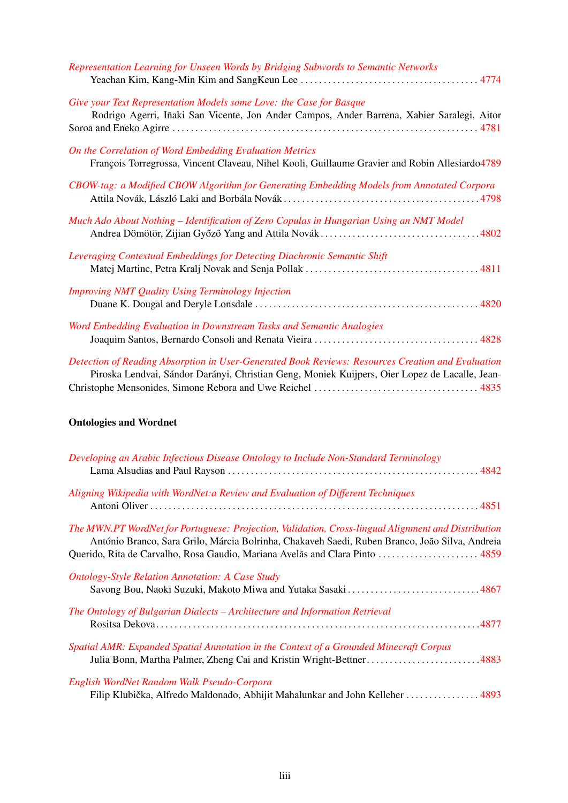| Representation Learning for Unseen Words by Bridging Subwords to Semantic Networks                                                                                                                  |
|-----------------------------------------------------------------------------------------------------------------------------------------------------------------------------------------------------|
| Give your Text Representation Models some Love: the Case for Basque<br>Rodrigo Agerri, Iñaki San Vicente, Jon Ander Campos, Ander Barrena, Xabier Saralegi, Aitor                                   |
| On the Correlation of Word Embedding Evaluation Metrics<br>François Torregrossa, Vincent Claveau, Nihel Kooli, Guillaume Gravier and Robin Allesiardo4789                                           |
| CBOW-tag: a Modified CBOW Algorithm for Generating Embedding Models from Annotated Corpora                                                                                                          |
| Much Ado About Nothing – Identification of Zero Copulas in Hungarian Using an NMT Model                                                                                                             |
| Leveraging Contextual Embeddings for Detecting Diachronic Semantic Shift                                                                                                                            |
| <b>Improving NMT Quality Using Terminology Injection</b>                                                                                                                                            |
| Word Embedding Evaluation in Downstream Tasks and Semantic Analogies                                                                                                                                |
| Detection of Reading Absorption in User-Generated Book Reviews: Resources Creation and Evaluation<br>Piroska Lendvai, Sándor Darányi, Christian Geng, Moniek Kuijpers, Oier Lopez de Lacalle, Jean- |

# Ontologies and Wordnet

| Developing an Arabic Infectious Disease Ontology to Include Non-Standard Terminology                                                                                                                                                                                                  |  |
|---------------------------------------------------------------------------------------------------------------------------------------------------------------------------------------------------------------------------------------------------------------------------------------|--|
| Aligning Wikipedia with WordNet: a Review and Evaluation of Different Techniques                                                                                                                                                                                                      |  |
| The MWN.PT WordNet for Portuguese: Projection, Validation, Cross-lingual Alignment and Distribution<br>António Branco, Sara Grilo, Márcia Bolrinha, Chakaveh Saedi, Ruben Branco, João Silva, Andreia<br>Querido, Rita de Carvalho, Rosa Gaudio, Mariana Avelãs and Clara Pinto  4859 |  |
| <b>Ontology-Style Relation Annotation: A Case Study</b>                                                                                                                                                                                                                               |  |
| The Ontology of Bulgarian Dialects - Architecture and Information Retrieval                                                                                                                                                                                                           |  |
| Spatial AMR: Expanded Spatial Annotation in the Context of a Grounded Minecraft Corpus<br>Julia Bonn, Martha Palmer, Zheng Cai and Kristin Wright-Bettner4883                                                                                                                         |  |
| English WordNet Random Walk Pseudo-Corpora<br>Filip Klubička, Alfredo Maldonado, Abhijit Mahalunkar and John Kelleher  4893                                                                                                                                                           |  |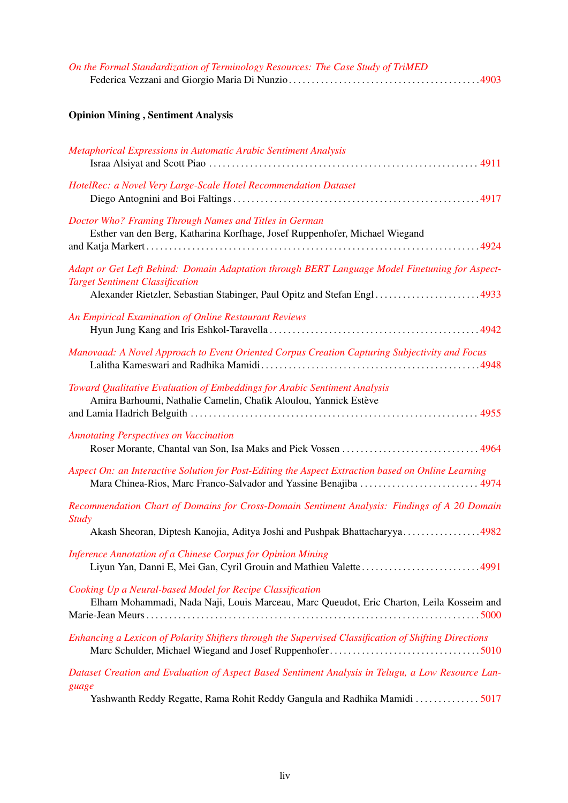| On the Formal Standardization of Terminology Resources: The Case Study of TriMED |  |
|----------------------------------------------------------------------------------|--|
|                                                                                  |  |

# Opinion Mining , Sentiment Analysis

| Metaphorical Expressions in Automatic Arabic Sentiment Analysis                                                                                                                                                      |
|----------------------------------------------------------------------------------------------------------------------------------------------------------------------------------------------------------------------|
| HotelRec: a Novel Very Large-Scale Hotel Recommendation Dataset                                                                                                                                                      |
| Doctor Who? Framing Through Names and Titles in German<br>Esther van den Berg, Katharina Korfhage, Josef Ruppenhofer, Michael Wiegand                                                                                |
| Adapt or Get Left Behind: Domain Adaptation through BERT Language Model Finetuning for Aspect-<br><b>Target Sentiment Classification</b><br>Alexander Rietzler, Sebastian Stabinger, Paul Opitz and Stefan Engl 4933 |
| An Empirical Examination of Online Restaurant Reviews                                                                                                                                                                |
| Manovaad: A Novel Approach to Event Oriented Corpus Creation Capturing Subjectivity and Focus                                                                                                                        |
| Toward Qualitative Evaluation of Embeddings for Arabic Sentiment Analysis<br>Amira Barhoumi, Nathalie Camelin, Chafik Aloulou, Yannick Estève                                                                        |
| <b>Annotating Perspectives on Vaccination</b>                                                                                                                                                                        |
| Aspect On: an Interactive Solution for Post-Editing the Aspect Extraction based on Online Learning                                                                                                                   |
| Recommendation Chart of Domains for Cross-Domain Sentiment Analysis: Findings of A 20 Domain<br><b>Study</b><br>Akash Sheoran, Diptesh Kanojia, Aditya Joshi and Pushpak Bhattacharyya4982                           |
| Inference Annotation of a Chinese Corpus for Opinion Mining<br>4991                                                                                                                                                  |
| Cooking Up a Neural-based Model for Recipe Classification<br>Elham Mohammadi, Nada Naji, Louis Marceau, Marc Queudot, Eric Charton, Leila Kosseim and                                                                |
| Enhancing a Lexicon of Polarity Shifters through the Supervised Classification of Shifting Directions                                                                                                                |
| Dataset Creation and Evaluation of Aspect Based Sentiment Analysis in Telugu, a Low Resource Lan-<br>guage<br>Yashwanth Reddy Regatte, Rama Rohit Reddy Gangula and Radhika Mamidi  5017                             |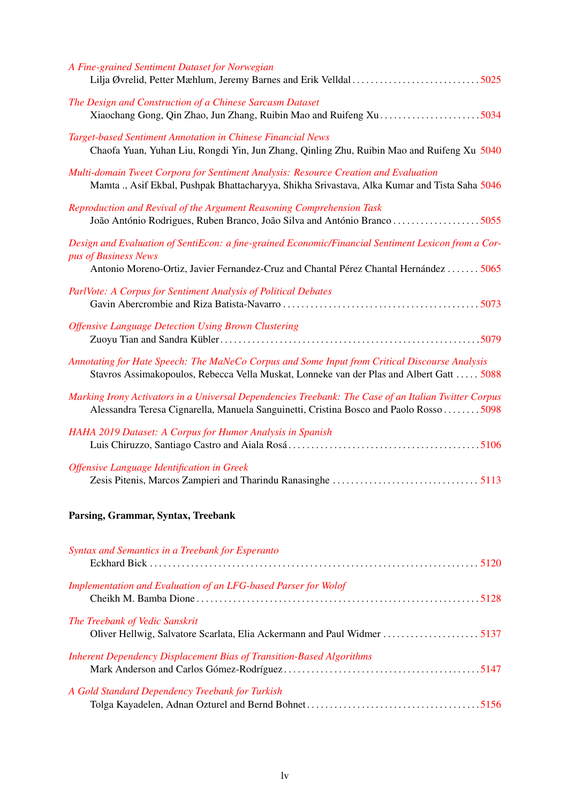| A Fine-grained Sentiment Dataset for Norwegian<br>Lilja Øvrelid, Petter Mæhlum, Jeremy Barnes and Erik Velldal 5025                                                                            |
|------------------------------------------------------------------------------------------------------------------------------------------------------------------------------------------------|
| The Design and Construction of a Chinese Sarcasm Dataset                                                                                                                                       |
| Target-based Sentiment Annotation in Chinese Financial News<br>Chaofa Yuan, Yuhan Liu, Rongdi Yin, Jun Zhang, Qinling Zhu, Ruibin Mao and Ruifeng Xu 5040                                      |
| Multi-domain Tweet Corpora for Sentiment Analysis: Resource Creation and Evaluation<br>Mamta ., Asif Ekbal, Pushpak Bhattacharyya, Shikha Srivastava, Alka Kumar and Tista Saha 5046           |
| Reproduction and Revival of the Argument Reasoning Comprehension Task<br>João António Rodrigues, Ruben Branco, João Silva and António Branco 5055                                              |
| Design and Evaluation of SentiEcon: a fine-grained Economic/Financial Sentiment Lexicon from a Cor-<br>pus of Business News                                                                    |
| Antonio Moreno-Ortiz, Javier Fernandez-Cruz and Chantal Pérez Chantal Hernández  5065                                                                                                          |
| ParlVote: A Corpus for Sentiment Analysis of Political Debates                                                                                                                                 |
| <b>Offensive Language Detection Using Brown Clustering</b>                                                                                                                                     |
| Annotating for Hate Speech: The MaNeCo Corpus and Some Input from Critical Discourse Analysis<br>Stavros Assimakopoulos, Rebecca Vella Muskat, Lonneke van der Plas and Albert Gatt  5088      |
| Marking Irony Activators in a Universal Dependencies Treebank: The Case of an Italian Twitter Corpus<br>Alessandra Teresa Cignarella, Manuela Sanguinetti, Cristina Bosco and Paolo Rosso 5098 |
| HAHA 2019 Dataset: A Corpus for Humor Analysis in Spanish                                                                                                                                      |
| Offensive Language Identification in Greek                                                                                                                                                     |
| Parsing, Grammar, Syntax, Treebank                                                                                                                                                             |

| Syntax and Semantics in a Treebank for Esperanto                            |  |
|-----------------------------------------------------------------------------|--|
| Implementation and Evaluation of an LFG-based Parser for Wolof              |  |
| The Treebank of Vedic Sanskrit                                              |  |
| <b>Inherent Dependency Displacement Bias of Transition-Based Algorithms</b> |  |
| A Gold Standard Dependency Treebank for Turkish                             |  |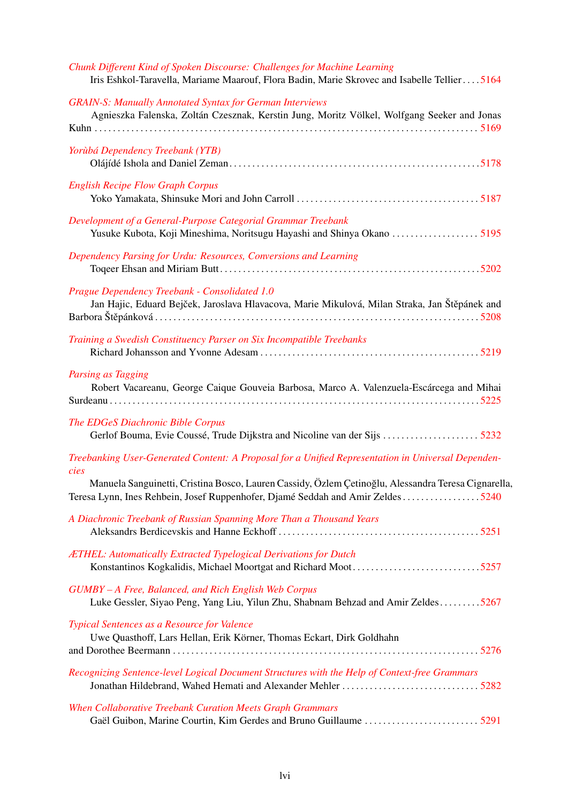| Chunk Different Kind of Spoken Discourse: Challenges for Machine Learning<br>Iris Eshkol-Taravella, Mariame Maarouf, Flora Badin, Marie Skrovec and Isabelle Tellier5164              |
|---------------------------------------------------------------------------------------------------------------------------------------------------------------------------------------|
| <b>GRAIN-S: Manually Annotated Syntax for German Interviews</b><br>Agnieszka Falenska, Zoltán Czesznak, Kerstin Jung, Moritz Völkel, Wolfgang Seeker and Jonas                        |
| Yorùbá Dependency Treebank (YTB)                                                                                                                                                      |
| <b>English Recipe Flow Graph Corpus</b>                                                                                                                                               |
| Development of a General-Purpose Categorial Grammar Treebank                                                                                                                          |
| Dependency Parsing for Urdu: Resources, Conversions and Learning                                                                                                                      |
| Prague Dependency Treebank - Consolidated 1.0<br>Jan Hajic, Eduard Bejček, Jaroslava Hlavacova, Marie Mikulová, Milan Straka, Jan Štěpánek and                                        |
| Training a Swedish Constituency Parser on Six Incompatible Treebanks                                                                                                                  |
| Parsing as Tagging<br>Robert Vacareanu, George Caique Gouveia Barbosa, Marco A. Valenzuela-Escárcega and Mihai                                                                        |
| The EDGeS Diachronic Bible Corpus                                                                                                                                                     |
| Treebanking User-Generated Content: A Proposal for a Unified Representation in Universal Dependen-<br>cies                                                                            |
| Manuela Sanguinetti, Cristina Bosco, Lauren Cassidy, Özlem Çetinoğlu, Alessandra Teresa Cignarella,<br>Teresa Lynn, Ines Rehbein, Josef Ruppenhofer, Djamé Seddah and Amir Zeldes5240 |
| A Diachronic Treebank of Russian Spanning More Than a Thousand Years                                                                                                                  |
| ÆTHEL: Automatically Extracted Typelogical Derivations for Dutch                                                                                                                      |
| GUMBY - A Free, Balanced, and Rich English Web Corpus<br>Luke Gessler, Siyao Peng, Yang Liu, Yilun Zhu, Shabnam Behzad and Amir Zeldes5267                                            |
| Typical Sentences as a Resource for Valence<br>Uwe Quasthoff, Lars Hellan, Erik Körner, Thomas Eckart, Dirk Goldhahn                                                                  |
| Recognizing Sentence-level Logical Document Structures with the Help of Context-free Grammars                                                                                         |
| When Collaborative Treebank Curation Meets Graph Grammars                                                                                                                             |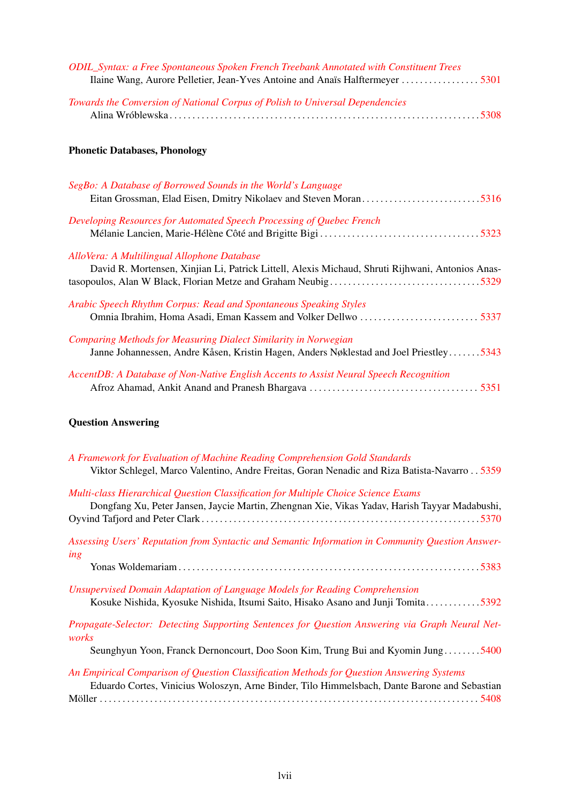| ODIL_Syntax: a Free Spontaneous Spoken French Treebank Annotated with Constituent Trees<br>Ilaine Wang, Aurore Pelletier, Jean-Yves Antoine and Anaïs Halftermeyer  5301 |  |
|--------------------------------------------------------------------------------------------------------------------------------------------------------------------------|--|
| Towards the Conversion of National Corpus of Polish to Universal Dependencies                                                                                            |  |
| <b>Phonetic Databases, Phonology</b>                                                                                                                                     |  |
| SegBo: A Database of Borrowed Sounds in the World's Language                                                                                                             |  |
| Developing Resources for Automated Speech Processing of Quebec French                                                                                                    |  |
| AlloVera: A Multilingual Allophone Database<br>David R. Mortensen, Xinjian Li, Patrick Littell, Alexis Michaud, Shruti Rijhwani, Antonios Anas-                          |  |
| Arabic Speech Rhythm Corpus: Read and Spontaneous Speaking Styles                                                                                                        |  |
| Comparing Methods for Measuring Dialect Similarity in Norwegian<br>Janne Johannessen, Andre Kåsen, Kristin Hagen, Anders Nøklestad and Joel Priestley5343                |  |
| AccentDB: A Database of Non-Native English Accents to Assist Neural Speech Recognition                                                                                   |  |

# Question Answering

| A Framework for Evaluation of Machine Reading Comprehension Gold Standards<br>Viktor Schlegel, Marco Valentino, Andre Freitas, Goran Nenadic and Riza Batista-Navarro 5359                 |
|--------------------------------------------------------------------------------------------------------------------------------------------------------------------------------------------|
| <b>Multi-class Hierarchical Question Classification for Multiple Choice Science Exams</b><br>Dongfang Xu, Peter Jansen, Jaycie Martin, Zhengnan Xie, Vikas Yadav, Harish Tayyar Madabushi, |
|                                                                                                                                                                                            |
| Assessing Users' Reputation from Syntactic and Semantic Information in Community Question Answer-<br>ing                                                                                   |
|                                                                                                                                                                                            |
| Unsupervised Domain Adaptation of Language Models for Reading Comprehension<br>Kosuke Nishida, Kyosuke Nishida, Itsumi Saito, Hisako Asano and Junji Tomita5392                            |
| Propagate-Selector: Detecting Supporting Sentences for Question Answering via Graph Neural Net-<br>works                                                                                   |
| Seunghyun Yoon, Franck Dernoncourt, Doo Soon Kim, Trung Bui and Kyomin Jung5400                                                                                                            |
| An Empirical Comparison of Question Classification Methods for Question Answering Systems<br>Eduardo Cortes, Vinicius Woloszyn, Arne Binder, Tilo Himmelsbach, Dante Barone and Sebastian  |
|                                                                                                                                                                                            |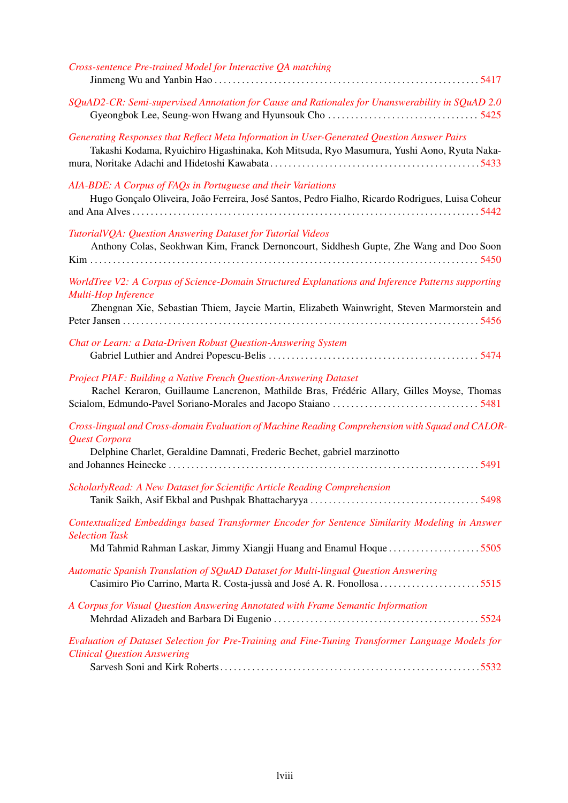| Cross-sentence Pre-trained Model for Interactive QA matching                                                                                                                                                            |
|-------------------------------------------------------------------------------------------------------------------------------------------------------------------------------------------------------------------------|
| SQuAD2-CR: Semi-supervised Annotation for Cause and Rationales for Unanswerability in SQuAD 2.0                                                                                                                         |
| Generating Responses that Reflect Meta Information in User-Generated Question Answer Pairs<br>Takashi Kodama, Ryuichiro Higashinaka, Koh Mitsuda, Ryo Masumura, Yushi Aono, Ryuta Naka-                                 |
| AIA-BDE: A Corpus of FAQs in Portuguese and their Variations<br>Hugo Gonçalo Oliveira, João Ferreira, José Santos, Pedro Fialho, Ricardo Rodrigues, Luisa Coheur                                                        |
| TutorialVQA: Question Answering Dataset for Tutorial Videos<br>Anthony Colas, Seokhwan Kim, Franck Dernoncourt, Siddhesh Gupte, Zhe Wang and Doo Soon                                                                   |
| WorldTree V2: A Corpus of Science-Domain Structured Explanations and Inference Patterns supporting<br>Multi-Hop Inference<br>Zhengnan Xie, Sebastian Thiem, Jaycie Martin, Elizabeth Wainwright, Steven Marmorstein and |
| Chat or Learn: a Data-Driven Robust Question-Answering System                                                                                                                                                           |
| Project PIAF: Building a Native French Question-Answering Dataset<br>Rachel Keraron, Guillaume Lancrenon, Mathilde Bras, Frédéric Allary, Gilles Moyse, Thomas                                                          |
| Cross-lingual and Cross-domain Evaluation of Machine Reading Comprehension with Squad and CALOR-<br>Quest Corpora<br>Delphine Charlet, Geraldine Damnati, Frederic Bechet, gabriel marzinotto                           |
| ScholarlyRead: A New Dataset for Scientific Article Reading Comprehension                                                                                                                                               |
| Contextualized Embeddings based Transformer Encoder for Sentence Similarity Modeling in Answer<br><b>Selection Task</b><br>Md Tahmid Rahman Laskar, Jimmy Xiangji Huang and Enamul Hoque 5505                           |
| Automatic Spanish Translation of SQuAD Dataset for Multi-lingual Question Answering<br>Casimiro Pio Carrino, Marta R. Costa-jussà and José A. R. Fonollosa 5515                                                         |
| A Corpus for Visual Question Answering Annotated with Frame Semantic Information                                                                                                                                        |
| Evaluation of Dataset Selection for Pre-Training and Fine-Tuning Transformer Language Models for<br><b>Clinical Question Answering</b>                                                                                  |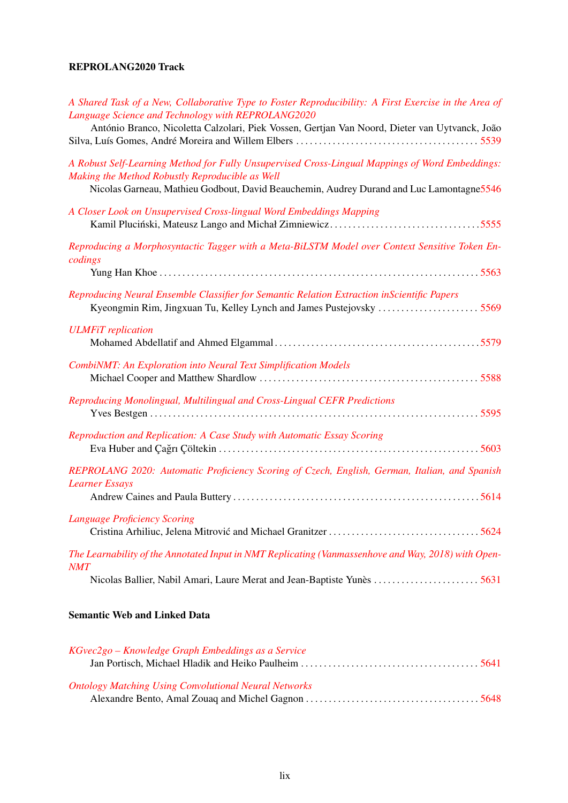### REPROLANG2020 Track

| A Shared Task of a New, Collaborative Type to Foster Reproducibility: A First Exercise in the Area of                                                               |
|---------------------------------------------------------------------------------------------------------------------------------------------------------------------|
| Language Science and Technology with REPROLANG2020<br>António Branco, Nicoletta Calzolari, Piek Vossen, Gertjan Van Noord, Dieter van Uytvanck, João                |
| A Robust Self-Learning Method for Fully Unsupervised Cross-Lingual Mappings of Word Embeddings:<br>Making the Method Robustly Reproducible as Well                  |
| Nicolas Garneau, Mathieu Godbout, David Beauchemin, Audrey Durand and Luc Lamontagne 5546                                                                           |
| A Closer Look on Unsupervised Cross-lingual Word Embeddings Mapping                                                                                                 |
| Reproducing a Morphosyntactic Tagger with a Meta-BiLSTM Model over Context Sensitive Token En-<br>codings                                                           |
|                                                                                                                                                                     |
| Reproducing Neural Ensemble Classifier for Semantic Relation Extraction inScientific Papers<br>Kyeongmin Rim, Jingxuan Tu, Kelley Lynch and James Pustejovsky  5569 |
| <b>ULMFiT</b> replication                                                                                                                                           |
| <b>CombiNMT: An Exploration into Neural Text Simplification Models</b>                                                                                              |
| Reproducing Monolingual, Multilingual and Cross-Lingual CEFR Predictions                                                                                            |
| Reproduction and Replication: A Case Study with Automatic Essay Scoring                                                                                             |
| REPROLANG 2020: Automatic Proficiency Scoring of Czech, English, German, Italian, and Spanish<br><b>Learner Essays</b>                                              |
|                                                                                                                                                                     |
| <b>Language Proficiency Scoring</b>                                                                                                                                 |
| The Learnability of the Annotated Input in NMT Replicating (Vanmassenhove and Way, 2018) with Open-<br><b>NMT</b>                                                   |
| Nicolas Ballier, Nabil Amari, Laure Merat and Jean-Baptiste Yunès  5631                                                                                             |
|                                                                                                                                                                     |

### Semantic Web and Linked Data

| KGvec2go – Knowledge Graph Embeddings as a Service           |  |
|--------------------------------------------------------------|--|
|                                                              |  |
| <b>Ontology Matching Using Convolutional Neural Networks</b> |  |
|                                                              |  |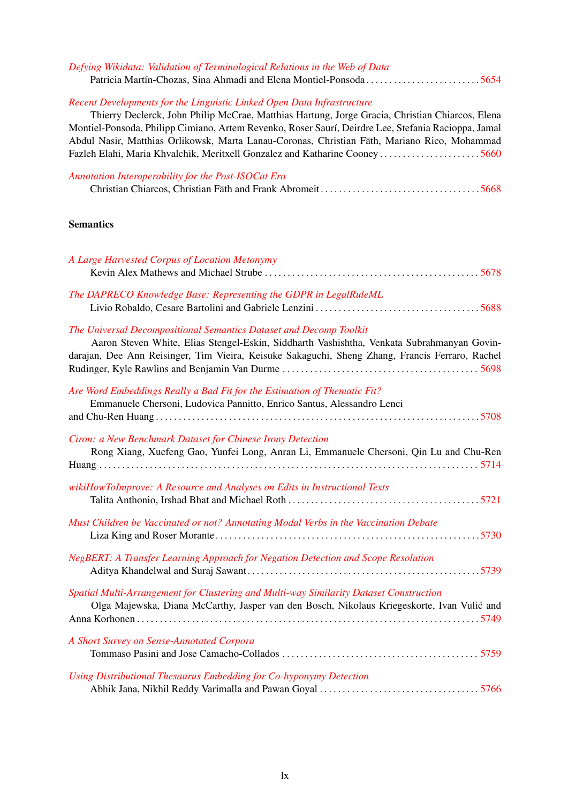| Defying Wikidata: Validation of Terminological Relations in the Web of Data<br>Patricia Martín-Chozas, Sina Ahmadi and Elena Montiel-Ponsoda5654                                                                                                                                                                                                                                 |
|----------------------------------------------------------------------------------------------------------------------------------------------------------------------------------------------------------------------------------------------------------------------------------------------------------------------------------------------------------------------------------|
| Recent Developments for the Linguistic Linked Open Data Infrastructure<br>Thierry Declerck, John Philip McCrae, Matthias Hartung, Jorge Gracia, Christian Chiarcos, Elena<br>Montiel-Ponsoda, Philipp Cimiano, Artem Revenko, Roser Saurí, Deirdre Lee, Stefania Racioppa, Jamal<br>Abdul Nasir, Matthias Orlikowsk, Marta Lanau-Coronas, Christian Fäth, Mariano Rico, Mohammad |
| Annotation Interoperability for the Post-ISOCat Era                                                                                                                                                                                                                                                                                                                              |
| <b>Semantics</b>                                                                                                                                                                                                                                                                                                                                                                 |
| A Large Harvested Corpus of Location Metonymy                                                                                                                                                                                                                                                                                                                                    |
| The DAPRECO Knowledge Base: Representing the GDPR in LegalRuleML                                                                                                                                                                                                                                                                                                                 |
| The Universal Decompositional Semantics Dataset and Decomp Toolkit<br>Aaron Steven White, Elias Stengel-Eskin, Siddharth Vashishtha, Venkata Subrahmanyan Govin-<br>darajan, Dee Ann Reisinger, Tim Vieira, Keisuke Sakaguchi, Sheng Zhang, Francis Ferraro, Rachel                                                                                                              |
| Are Word Embeddings Really a Bad Fit for the Estimation of Thematic Fit?<br>Emmanuele Chersoni, Ludovica Pannitto, Enrico Santus, Alessandro Lenci                                                                                                                                                                                                                               |
| Ciron: a New Benchmark Dataset for Chinese Irony Detection<br>Rong Xiang, Xuefeng Gao, Yunfei Long, Anran Li, Emmanuele Chersoni, Qin Lu and Chu-Ren                                                                                                                                                                                                                             |
| wikiHowToImprove: A Resource and Analyses on Edits in Instructional Texts                                                                                                                                                                                                                                                                                                        |
| Must Children be Vaccinated or not? Annotating Modal Verbs in the Vaccination Debate                                                                                                                                                                                                                                                                                             |
| NegBERT: A Transfer Learning Approach for Negation Detection and Scope Resolution                                                                                                                                                                                                                                                                                                |
| Spatial Multi-Arrangement for Clustering and Multi-way Similarity Dataset Construction<br>Olga Majewska, Diana McCarthy, Jasper van den Bosch, Nikolaus Kriegeskorte, Ivan Vulić and                                                                                                                                                                                             |
| A Short Survey on Sense-Annotated Corpora                                                                                                                                                                                                                                                                                                                                        |
| Using Distributional Thesaurus Embedding for Co-hyponymy Detection                                                                                                                                                                                                                                                                                                               |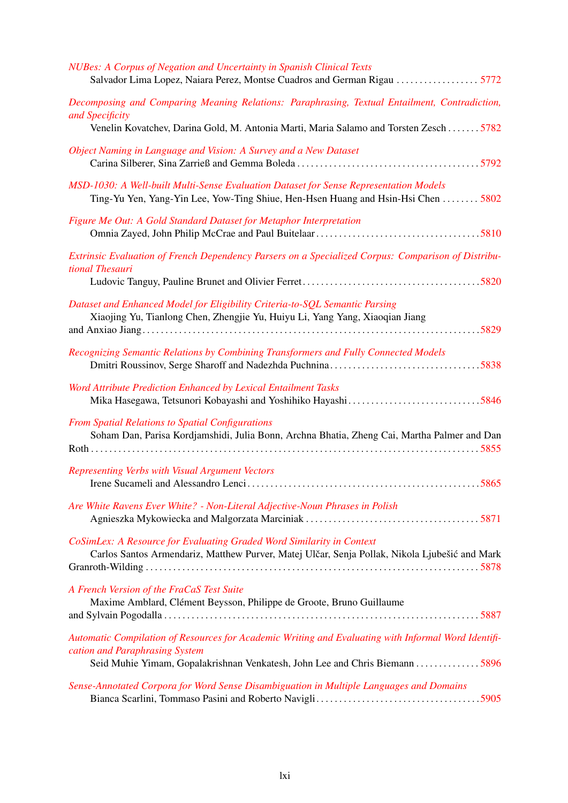| NUBes: A Corpus of Negation and Uncertainty in Spanish Clinical Texts<br>Salvador Lima Lopez, Naiara Perez, Montse Cuadros and German Rigau  5772                                                                    |
|----------------------------------------------------------------------------------------------------------------------------------------------------------------------------------------------------------------------|
| Decomposing and Comparing Meaning Relations: Paraphrasing, Textual Entailment, Contradiction,<br>and Specificity<br>Venelin Kovatchev, Darina Gold, M. Antonia Marti, Maria Salamo and Torsten Zesch 5782            |
| Object Naming in Language and Vision: A Survey and a New Dataset                                                                                                                                                     |
| MSD-1030: A Well-built Multi-Sense Evaluation Dataset for Sense Representation Models<br>Ting-Yu Yen, Yang-Yin Lee, Yow-Ting Shiue, Hen-Hsen Huang and Hsin-Hsi Chen  5802                                           |
| Figure Me Out: A Gold Standard Dataset for Metaphor Interpretation                                                                                                                                                   |
| Extrinsic Evaluation of French Dependency Parsers on a Specialized Corpus: Comparison of Distribu-<br>tional Thesauri                                                                                                |
| Dataset and Enhanced Model for Eligibility Criteria-to-SQL Semantic Parsing<br>Xiaojing Yu, Tianlong Chen, Zhengjie Yu, Huiyu Li, Yang Yang, Xiaoqian Jiang                                                          |
| Recognizing Semantic Relations by Combining Transformers and Fully Connected Models                                                                                                                                  |
| Word Attribute Prediction Enhanced by Lexical Entailment Tasks                                                                                                                                                       |
| From Spatial Relations to Spatial Configurations<br>Soham Dan, Parisa Kordjamshidi, Julia Bonn, Archna Bhatia, Zheng Cai, Martha Palmer and Dan                                                                      |
| Representing Verbs with Visual Argument Vectors                                                                                                                                                                      |
| Are White Ravens Ever White? - Non-Literal Adjective-Noun Phrases in Polish                                                                                                                                          |
| CoSimLex: A Resource for Evaluating Graded Word Similarity in Context<br>Carlos Santos Armendariz, Matthew Purver, Matej Ulčar, Senja Pollak, Nikola Ljubešić and Mark                                               |
| A French Version of the FraCaS Test Suite<br>Maxime Amblard, Clément Beysson, Philippe de Groote, Bruno Guillaume                                                                                                    |
| Automatic Compilation of Resources for Academic Writing and Evaluating with Informal Word Identifi-<br>cation and Paraphrasing System<br>Seid Muhie Yimam, Gopalakrishnan Venkatesh, John Lee and Chris Biemann 5896 |
| Sense-Annotated Corpora for Word Sense Disambiguation in Multiple Languages and Domains                                                                                                                              |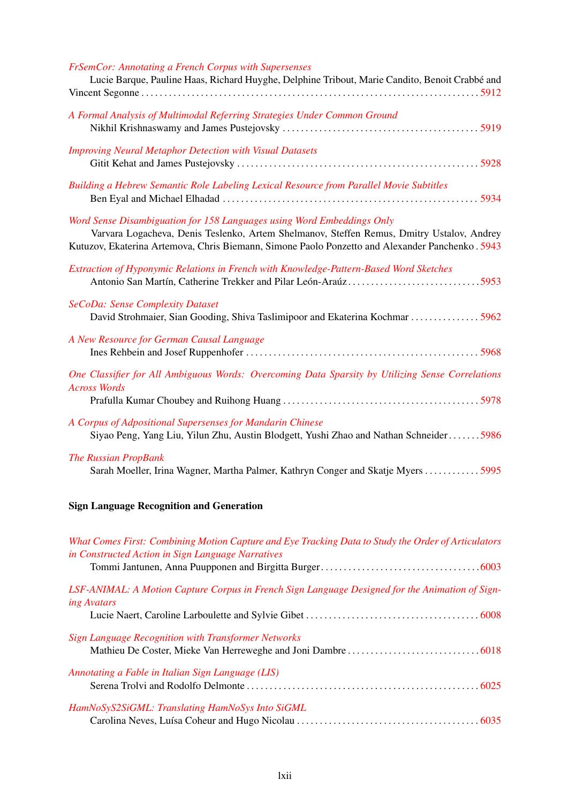| FrSemCor: Annotating a French Corpus with Supersenses<br>Lucie Barque, Pauline Haas, Richard Huyghe, Delphine Tribout, Marie Candito, Benoit Crabbé and                                                                                                                |
|------------------------------------------------------------------------------------------------------------------------------------------------------------------------------------------------------------------------------------------------------------------------|
| A Formal Analysis of Multimodal Referring Strategies Under Common Ground                                                                                                                                                                                               |
| <b>Improving Neural Metaphor Detection with Visual Datasets</b>                                                                                                                                                                                                        |
| Building a Hebrew Semantic Role Labeling Lexical Resource from Parallel Movie Subtitles                                                                                                                                                                                |
| Word Sense Disambiguation for 158 Languages using Word Embeddings Only<br>Varvara Logacheva, Denis Teslenko, Artem Shelmanov, Steffen Remus, Dmitry Ustalov, Andrey<br>Kutuzov, Ekaterina Artemova, Chris Biemann, Simone Paolo Ponzetto and Alexander Panchenko. 5943 |
| Extraction of Hyponymic Relations in French with Knowledge-Pattern-Based Word Sketches                                                                                                                                                                                 |
| SeCoDa: Sense Complexity Dataset<br>David Strohmaier, Sian Gooding, Shiva Taslimipoor and Ekaterina Kochmar  5962                                                                                                                                                      |
| A New Resource for German Causal Language                                                                                                                                                                                                                              |
| One Classifier for All Ambiguous Words: Overcoming Data Sparsity by Utilizing Sense Correlations<br><b>Across Words</b>                                                                                                                                                |
| A Corpus of Adpositional Supersenses for Mandarin Chinese<br>Siyao Peng, Yang Liu, Yilun Zhu, Austin Blodgett, Yushi Zhao and Nathan Schneider5986                                                                                                                     |
| <b>The Russian PropBank</b><br>Sarah Moeller, Irina Wagner, Martha Palmer, Kathryn Conger and Skatje Myers  5995                                                                                                                                                       |
| <b>Sign Language Recognition and Generation</b>                                                                                                                                                                                                                        |
| What Comes First: Combining Motion Capture and Eye Tracking Data to Study the Order of Articulators                                                                                                                                                                    |

| What Comes First: Combining Motion Capture and Eye Tracking Data to Study the Order of Articulators                   |  |
|-----------------------------------------------------------------------------------------------------------------------|--|
| in Constructed Action in Sign Language Narratives                                                                     |  |
|                                                                                                                       |  |
| LSF-ANIMAL: A Motion Capture Corpus in French Sign Language Designed for the Animation of Sign-<br><i>ing Avatars</i> |  |
|                                                                                                                       |  |
| <b>Sign Language Recognition with Transformer Networks</b>                                                            |  |
|                                                                                                                       |  |
| Annotating a Fable in Italian Sign Language (LIS)                                                                     |  |
|                                                                                                                       |  |
| HamNoSyS2SiGML: Translating HamNoSys Into SiGML                                                                       |  |
|                                                                                                                       |  |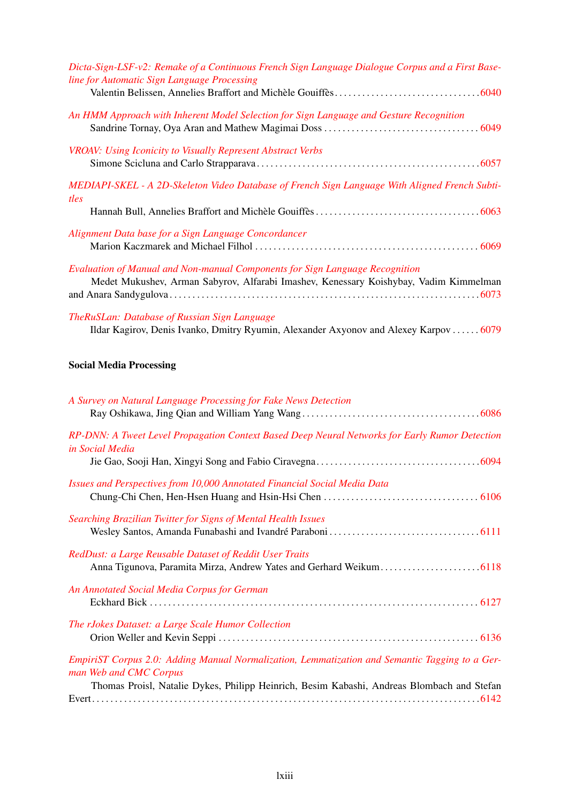| Dicta-Sign-LSF-v2: Remake of a Continuous French Sign Language Dialogue Corpus and a First Base-<br>line for Automatic Sign Language Processing                       |
|-----------------------------------------------------------------------------------------------------------------------------------------------------------------------|
| An HMM Approach with Inherent Model Selection for Sign Language and Gesture Recognition                                                                               |
| <b>VROAV: Using Iconicity to Visually Represent Abstract Verbs</b>                                                                                                    |
| MEDIAPI-SKEL - A 2D-Skeleton Video Database of French Sign Language With Aligned French Subti-<br>tles                                                                |
|                                                                                                                                                                       |
| Alignment Data base for a Sign Language Concordancer                                                                                                                  |
| Evaluation of Manual and Non-manual Components for Sign Language Recognition<br>Medet Mukushev, Arman Sabyrov, Alfarabi Imashev, Kenessary Koishybay, Vadim Kimmelman |
| TheRuSLan: Database of Russian Sign Language<br>Ildar Kagirov, Denis Ivanko, Dmitry Ryumin, Alexander Axyonov and Alexey Karpov  6079                                 |
| <b>Social Media Processing</b>                                                                                                                                        |
| A Survey on Natural Language Processing for Fake News Detection                                                                                                       |
| RP-DNN: A Tweet Level Propagation Context Based Deep Neural Networks for Early Rumor Detection<br>in Social Media                                                     |
| Issues and Perspectives from 10,000 Annotated Financial Social Media Data                                                                                             |
| Searching Brazilian Twitter for Signs of Mental Health Issues                                                                                                         |
| RedDust: a Large Reusable Dataset of Reddit User Traits                                                                                                               |
| An Annotated Social Media Corpus for German                                                                                                                           |
| The rJokes Dataset: a Large Scale Humor Collection                                                                                                                    |
| EmpiriST Corpus 2.0: Adding Manual Normalization, Lemmatization and Semantic Tagging to a Ger-<br>man Web and CMC Corpus                                              |

Thomas Proisl, Natalie Dykes, Philipp Heinrich, Besim Kabashi, Andreas Blombach and Stefan Evert. . . . . . . . . . . . . . . . . . . . . . . . . . . . . . . . . . . . . . . . . . . . . . . . . . . . . . . . . . . . . . . . . . . . . . . . . . . . . . . . . . . . .[6142](#page-0-0)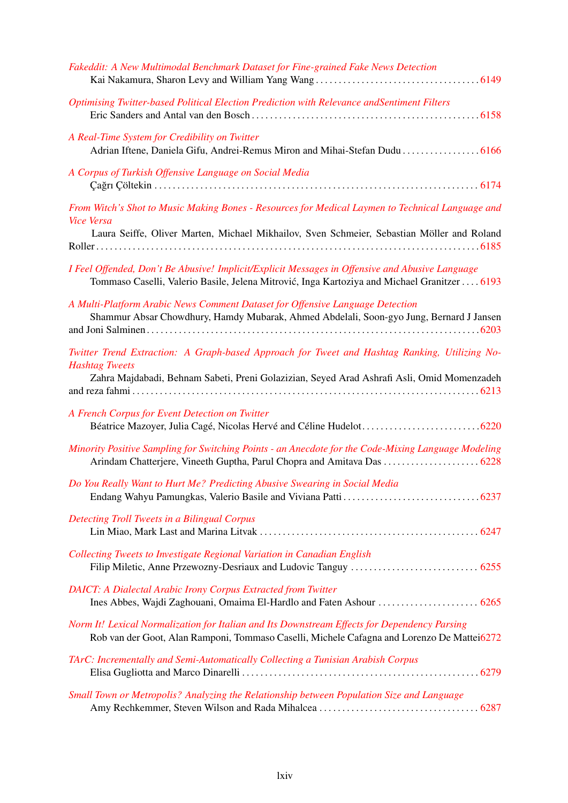| Fakeddit: A New Multimodal Benchmark Dataset for Fine-grained Fake News Detection                                                                                                                                    |
|----------------------------------------------------------------------------------------------------------------------------------------------------------------------------------------------------------------------|
| Optimising Twitter-based Political Election Prediction with Relevance andSentiment Filters                                                                                                                           |
| A Real-Time System for Credibility on Twitter<br>Adrian Iftene, Daniela Gifu, Andrei-Remus Miron and Mihai-Stefan Dudu  6166                                                                                         |
| A Corpus of Turkish Offensive Language on Social Media                                                                                                                                                               |
| From Witch's Shot to Music Making Bones - Resources for Medical Laymen to Technical Language and<br><b>Vice Versa</b>                                                                                                |
| Laura Seiffe, Oliver Marten, Michael Mikhailov, Sven Schmeier, Sebastian Möller and Roland                                                                                                                           |
| I Feel Offended, Don't Be Abusive! Implicit/Explicit Messages in Offensive and Abusive Language<br>Tommaso Caselli, Valerio Basile, Jelena Mitrović, Inga Kartoziya and Michael Granitzer  6193                      |
| A Multi-Platform Arabic News Comment Dataset for Offensive Language Detection<br>Shammur Absar Chowdhury, Hamdy Mubarak, Ahmed Abdelali, Soon-gyo Jung, Bernard J Jansen                                             |
| Twitter Trend Extraction: A Graph-based Approach for Tweet and Hashtag Ranking, Utilizing No-<br><b>Hashtag Tweets</b><br>Zahra Majdabadi, Behnam Sabeti, Preni Golazizian, Seyed Arad Ashrafi Asli, Omid Momenzadeh |
| A French Corpus for Event Detection on Twitter                                                                                                                                                                       |
| Minority Positive Sampling for Switching Points - an Anecdote for the Code-Mixing Language Modeling<br>Arindam Chatterjere, Vineeth Guptha, Parul Chopra and Amitava Das  6228                                       |
| Do You Really Want to Hurt Me? Predicting Abusive Swearing in Social Media                                                                                                                                           |
| Detecting Troll Tweets in a Bilingual Corpus                                                                                                                                                                         |
| Collecting Tweets to Investigate Regional Variation in Canadian English                                                                                                                                              |
| <b>DAICT:</b> A Dialectal Arabic Irony Corpus Extracted from Twitter                                                                                                                                                 |
| Norm It! Lexical Normalization for Italian and Its Downstream Effects for Dependency Parsing<br>Rob van der Goot, Alan Ramponi, Tommaso Caselli, Michele Cafagna and Lorenzo De Mattei6272                           |
| TArC: Incrementally and Semi-Automatically Collecting a Tunisian Arabish Corpus                                                                                                                                      |
| Small Town or Metropolis? Analyzing the Relationship between Population Size and Language                                                                                                                            |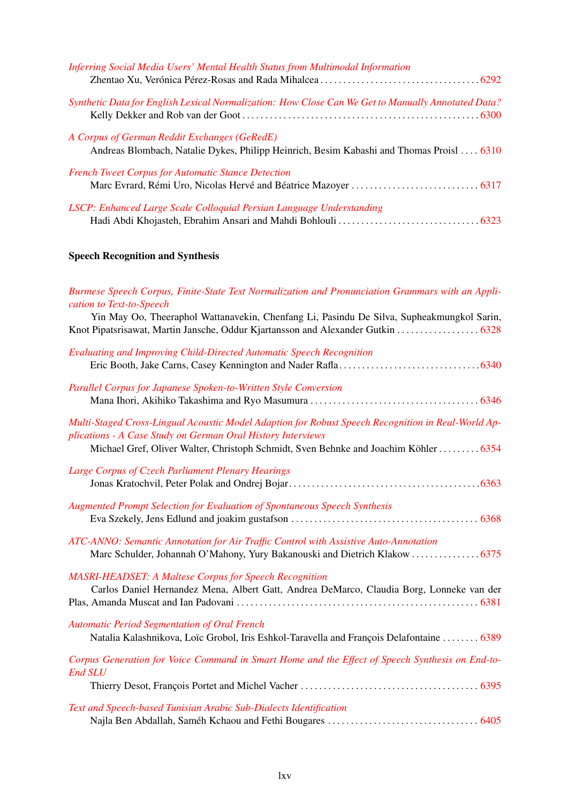| <b>Inferring Social Media Users' Mental Health Status from Multimodal Information</b>                                                    |  |
|------------------------------------------------------------------------------------------------------------------------------------------|--|
| Synthetic Data for English Lexical Normalization: How Close Can We Get to Manually Annotated Data?                                       |  |
| A Corpus of German Reddit Exchanges (GeRedE)<br>Andreas Blombach, Natalie Dykes, Philipp Heinrich, Besim Kabashi and Thomas Proisl  6310 |  |
| <b>French Tweet Corpus for Automatic Stance Detection</b>                                                                                |  |
| LSCP: Enhanced Large Scale Colloquial Persian Language Understanding                                                                     |  |

# Speech Recognition and Synthesis

| Burmese Speech Corpus, Finite-State Text Normalization and Pronunciation Grammars with an Appli-<br>cation to Text-to-Speech<br>Yin May Oo, Theeraphol Wattanavekin, Chenfang Li, Pasindu De Silva, Supheakmungkol Sarin,<br>Knot Pipatsrisawat, Martin Jansche, Oddur Kjartansson and Alexander Gutkin  6328 |
|---------------------------------------------------------------------------------------------------------------------------------------------------------------------------------------------------------------------------------------------------------------------------------------------------------------|
| <b>Evaluating and Improving Child-Directed Automatic Speech Recognition</b>                                                                                                                                                                                                                                   |
| Parallel Corpus for Japanese Spoken-to-Written Style Conversion                                                                                                                                                                                                                                               |
| Multi-Staged Cross-Lingual Acoustic Model Adaption for Robust Speech Recognition in Real-World Ap-<br>plications - A Case Study on German Oral History Interviews<br>Michael Gref, Oliver Walter, Christoph Schmidt, Sven Behnke and Joachim Köhler  6354                                                     |
| Large Corpus of Czech Parliament Plenary Hearings                                                                                                                                                                                                                                                             |
| <b>Augmented Prompt Selection for Evaluation of Spontaneous Speech Synthesis</b>                                                                                                                                                                                                                              |
| ATC-ANNO: Semantic Annotation for Air Traffic Control with Assistive Auto-Annotation                                                                                                                                                                                                                          |
| <b>MASRI-HEADSET: A Maltese Corpus for Speech Recognition</b><br>Carlos Daniel Hernandez Mena, Albert Gatt, Andrea DeMarco, Claudia Borg, Lonneke van der                                                                                                                                                     |
| <b>Automatic Period Segmentation of Oral French</b><br>Natalia Kalashnikova, Loïc Grobol, Iris Eshkol-Taravella and François Delafontaine  6389                                                                                                                                                               |
| Corpus Generation for Voice Command in Smart Home and the Effect of Speech Synthesis on End-to-<br><b>End SLU</b>                                                                                                                                                                                             |
| Text and Speech-based Tunisian Arabic Sub-Dialects Identification                                                                                                                                                                                                                                             |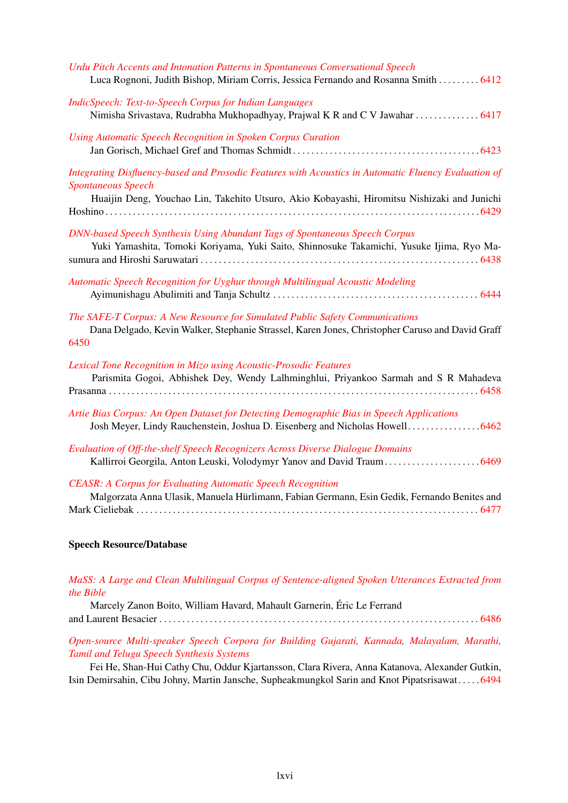| Urdu Pitch Accents and Intonation Patterns in Spontaneous Conversational Speech<br>Luca Rognoni, Judith Bishop, Miriam Corris, Jessica Fernando and Rosanna Smith  6412                                                          |
|----------------------------------------------------------------------------------------------------------------------------------------------------------------------------------------------------------------------------------|
| <b>IndicSpeech: Text-to-Speech Corpus for Indian Languages</b><br>Nimisha Srivastava, Rudrabha Mukhopadhyay, Prajwal K R and C V Jawahar  6417                                                                                   |
| Using Automatic Speech Recognition in Spoken Corpus Curation                                                                                                                                                                     |
| Integrating Disfluency-based and Prosodic Features with Acoustics in Automatic Fluency Evaluation of<br><b>Spontaneous Speech</b><br>Huaijin Deng, Youchao Lin, Takehito Utsuro, Akio Kobayashi, Hiromitsu Nishizaki and Junichi |
| DNN-based Speech Synthesis Using Abundant Tags of Spontaneous Speech Corpus<br>Yuki Yamashita, Tomoki Koriyama, Yuki Saito, Shinnosuke Takamichi, Yusuke Ijima, Ryo Ma-                                                          |
| Automatic Speech Recognition for Uyghur through Multilingual Acoustic Modeling                                                                                                                                                   |
| The SAFE-T Corpus: A New Resource for Simulated Public Safety Communications<br>Dana Delgado, Kevin Walker, Stephanie Strassel, Karen Jones, Christopher Caruso and David Graff<br>6450                                          |
| Lexical Tone Recognition in Mizo using Acoustic-Prosodic Features<br>Parismita Gogoi, Abhishek Dey, Wendy Lalhminghlui, Priyankoo Sarmah and S R Mahadeva                                                                        |
| Artie Bias Corpus: An Open Dataset for Detecting Demographic Bias in Speech Applications<br>Josh Meyer, Lindy Rauchenstein, Joshua D. Eisenberg and Nicholas Howell 6462                                                         |
| Evaluation of Off-the-shelf Speech Recognizers Across Diverse Dialogue Domains<br>Kallirroi Georgila, Anton Leuski, Volodymyr Yanov and David Traum 6469                                                                         |
| <b>CEASR: A Corpus for Evaluating Automatic Speech Recognition</b><br>Malgorzata Anna Ulasik, Manuela Hürlimann, Fabian Germann, Esin Gedik, Fernando Benites and                                                                |

#### Speech Resource/Database

| MaSS: A Large and Clean Multilingual Corpus of Sentence-aligned Spoken Utterances Extracted from |  |  |  |  |  |
|--------------------------------------------------------------------------------------------------|--|--|--|--|--|
| <i>the Bible</i>                                                                                 |  |  |  |  |  |

|  | Marcely Zanon Boito, William Havard, Mahault Garnerin, Éric Le Ferrand |  |  |  |
|--|------------------------------------------------------------------------|--|--|--|
|  |                                                                        |  |  |  |

*[Open-source Multi-speaker Speech Corpora for Building Gujarati, Kannada, Malayalam, Marathi,](#page-0-0) [Tamil and Telugu Speech Synthesis Systems](#page-0-0)*

Fei He, Shan-Hui Cathy Chu, Oddur Kjartansson, Clara Rivera, Anna Katanova, Alexander Gutkin, Isin Demirsahin, Cibu Johny, Martin Jansche, Supheakmungkol Sarin and Knot Pipatsrisawat. . . . .[6494](#page-0-0)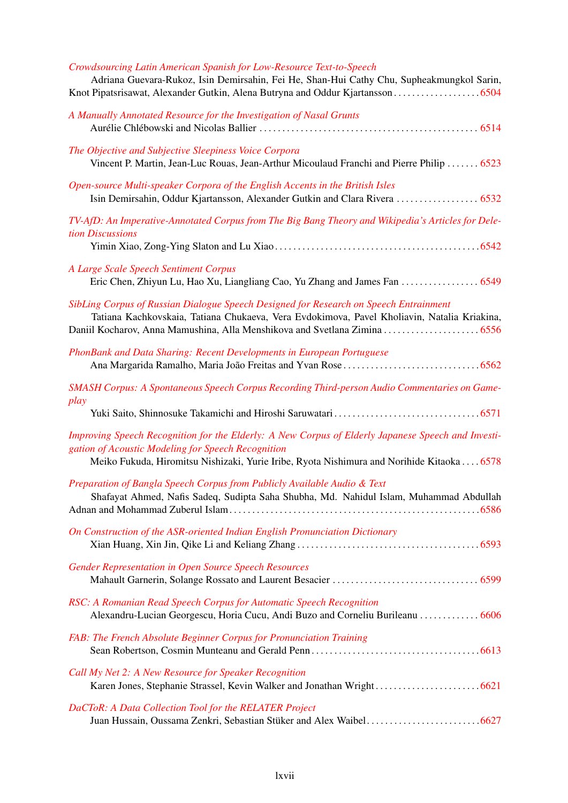| Crowdsourcing Latin American Spanish for Low-Resource Text-to-Speech<br>Adriana Guevara-Rukoz, Isin Demirsahin, Fei He, Shan-Hui Cathy Chu, Supheakmungkol Sarin,                                                                                                  |
|--------------------------------------------------------------------------------------------------------------------------------------------------------------------------------------------------------------------------------------------------------------------|
| A Manually Annotated Resource for the Investigation of Nasal Grunts                                                                                                                                                                                                |
| The Objective and Subjective Sleepiness Voice Corpora<br>Vincent P. Martin, Jean-Luc Rouas, Jean-Arthur Micoulaud Franchi and Pierre Philip  6523                                                                                                                  |
| Open-source Multi-speaker Corpora of the English Accents in the British Isles<br>Isin Demirsahin, Oddur Kjartansson, Alexander Gutkin and Clara Rivera  6532                                                                                                       |
| TV-AfD: An Imperative-Annotated Corpus from The Big Bang Theory and Wikipedia's Articles for Dele-<br>tion Discussions                                                                                                                                             |
| A Large Scale Speech Sentiment Corpus                                                                                                                                                                                                                              |
| SibLing Corpus of Russian Dialogue Speech Designed for Research on Speech Entrainment<br>Tatiana Kachkovskaia, Tatiana Chukaeva, Vera Evdokimova, Pavel Kholiavin, Natalia Kriakina,<br>Daniil Kocharov, Anna Mamushina, Alla Menshikova and Svetlana Zimina  6556 |
| PhonBank and Data Sharing: Recent Developments in European Portuguese                                                                                                                                                                                              |
| SMASH Corpus: A Spontaneous Speech Corpus Recording Third-person Audio Commentaries on Game-<br>play                                                                                                                                                               |
|                                                                                                                                                                                                                                                                    |
| Improving Speech Recognition for the Elderly: A New Corpus of Elderly Japanese Speech and Investi-<br>gation of Acoustic Modeling for Speech Recognition<br>Meiko Fukuda, Hiromitsu Nishizaki, Yurie Iribe, Ryota Nishimura and Norihide Kitaoka 6578              |
| Preparation of Bangla Speech Corpus from Publicly Available Audio & Text<br>Shafayat Ahmed, Nafis Sadeq, Sudipta Saha Shubha, Md. Nahidul Islam, Muhammad Abdullah                                                                                                 |
| On Construction of the ASR-oriented Indian English Pronunciation Dictionary                                                                                                                                                                                        |
| <b>Gender Representation in Open Source Speech Resources</b>                                                                                                                                                                                                       |
| RSC: A Romanian Read Speech Corpus for Automatic Speech Recognition<br>Alexandru-Lucian Georgescu, Horia Cucu, Andi Buzo and Corneliu Burileanu  6606                                                                                                              |
| FAB: The French Absolute Beginner Corpus for Pronunciation Training                                                                                                                                                                                                |
| Call My Net 2: A New Resource for Speaker Recognition                                                                                                                                                                                                              |
| DaCToR: A Data Collection Tool for the RELATER Project                                                                                                                                                                                                             |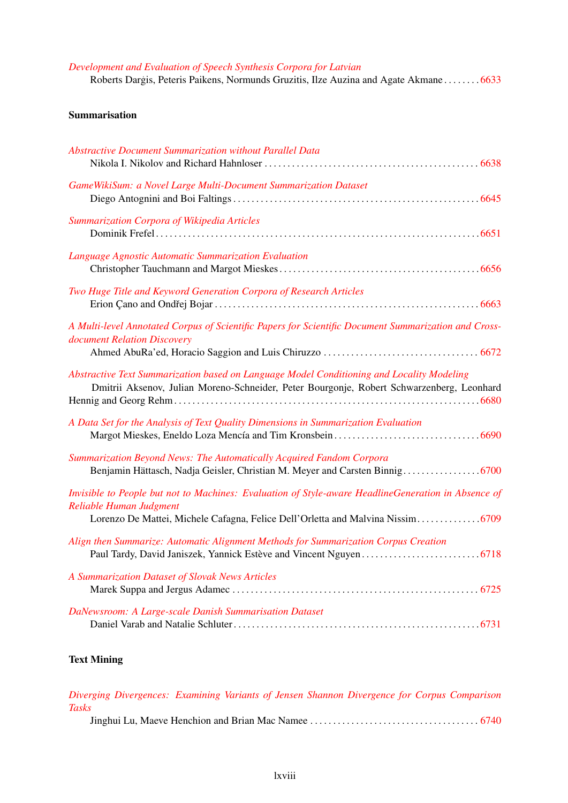## *[Development and Evaluation of Speech Synthesis Corpora for Latvian](#page-0-0)* Roberts Dargis, Peteris Paikens, Normunds Gruzitis, Ilze Auzina and Agate Akmane . . . . . . . . [6633](#page-0-0)

# Summarisation

| <b>Abstractive Document Summarization without Parallel Data</b>                                                                                                                        |
|----------------------------------------------------------------------------------------------------------------------------------------------------------------------------------------|
| GameWikiSum: a Novel Large Multi-Document Summarization Dataset                                                                                                                        |
| Summarization Corpora of Wikipedia Articles                                                                                                                                            |
| Language Agnostic Automatic Summarization Evaluation                                                                                                                                   |
| Two Huge Title and Keyword Generation Corpora of Research Articles                                                                                                                     |
| A Multi-level Annotated Corpus of Scientific Papers for Scientific Document Summarization and Cross-<br>document Relation Discovery                                                    |
| Abstractive Text Summarization based on Language Model Conditioning and Locality Modeling<br>Dmitrii Aksenov, Julian Moreno-Schneider, Peter Bourgonje, Robert Schwarzenberg, Leonhard |
| A Data Set for the Analysis of Text Quality Dimensions in Summarization Evaluation                                                                                                     |
| Summarization Beyond News: The Automatically Acquired Fandom Corpora                                                                                                                   |
| Invisible to People but not to Machines: Evaluation of Style-aware HeadlineGeneration in Absence of<br>Reliable Human Judgment                                                         |
| Align then Summarize: Automatic Alignment Methods for Summarization Corpus Creation                                                                                                    |
| A Summarization Dataset of Slovak News Articles                                                                                                                                        |
| DaNewsroom: A Large-scale Danish Summarisation Dataset                                                                                                                                 |

# Text Mining

|              | Diverging Divergences: Examining Variants of Jensen Shannon Divergence for Corpus Comparison |  |  |  |  |
|--------------|----------------------------------------------------------------------------------------------|--|--|--|--|
| <b>Tasks</b> |                                                                                              |  |  |  |  |
|              |                                                                                              |  |  |  |  |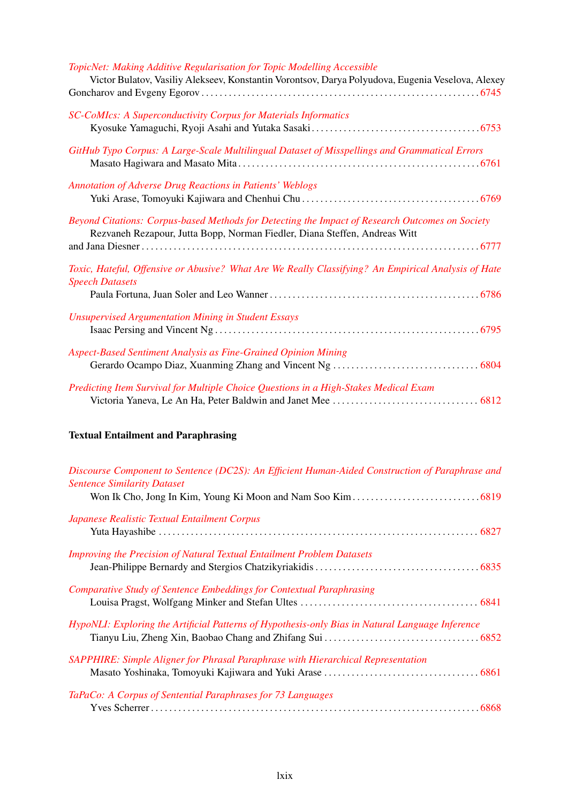| TopicNet: Making Additive Regularisation for Topic Modelling Accessible                                                                                                       |
|-------------------------------------------------------------------------------------------------------------------------------------------------------------------------------|
| Victor Bulatov, Vasiliy Alekseev, Konstantin Vorontsov, Darya Polyudova, Eugenia Veselova, Alexey                                                                             |
| <b>SC-CoMIcs: A Superconductivity Corpus for Materials Informatics</b>                                                                                                        |
|                                                                                                                                                                               |
| GitHub Typo Corpus: A Large-Scale Multilingual Dataset of Misspellings and Grammatical Errors                                                                                 |
| <b>Annotation of Adverse Drug Reactions in Patients' Weblogs</b>                                                                                                              |
|                                                                                                                                                                               |
| Beyond Citations: Corpus-based Methods for Detecting the Impact of Research Outcomes on Society<br>Rezvaneh Rezapour, Jutta Bopp, Norman Fiedler, Diana Steffen, Andreas Witt |
|                                                                                                                                                                               |
| Toxic, Hateful, Offensive or Abusive? What Are We Really Classifying? An Empirical Analysis of Hate<br><b>Speech Datasets</b>                                                 |
|                                                                                                                                                                               |
| <b>Unsupervised Argumentation Mining in Student Essays</b>                                                                                                                    |
|                                                                                                                                                                               |
| Aspect-Based Sentiment Analysis as Fine-Grained Opinion Mining                                                                                                                |
|                                                                                                                                                                               |
| Predicting Item Survival for Multiple Choice Questions in a High-Stakes Medical Exam                                                                                          |
|                                                                                                                                                                               |

# Textual Entailment and Paraphrasing

| Discourse Component to Sentence (DC2S): An Efficient Human-Aided Construction of Paraphrase and  |
|--------------------------------------------------------------------------------------------------|
| <b>Sentence Similarity Dataset</b>                                                               |
|                                                                                                  |
| Japanese Realistic Textual Entailment Corpus                                                     |
|                                                                                                  |
| <b>Improving the Precision of Natural Textual Entailment Problem Datasets</b>                    |
|                                                                                                  |
| Comparative Study of Sentence Embeddings for Contextual Paraphrasing                             |
|                                                                                                  |
| HypoNLI: Exploring the Artificial Patterns of Hypothesis-only Bias in Natural Language Inference |
|                                                                                                  |
| SAPPHIRE: Simple Aligner for Phrasal Paraphrase with Hierarchical Representation                 |
|                                                                                                  |
| TaPaCo: A Corpus of Sentential Paraphrases for 73 Languages                                      |
|                                                                                                  |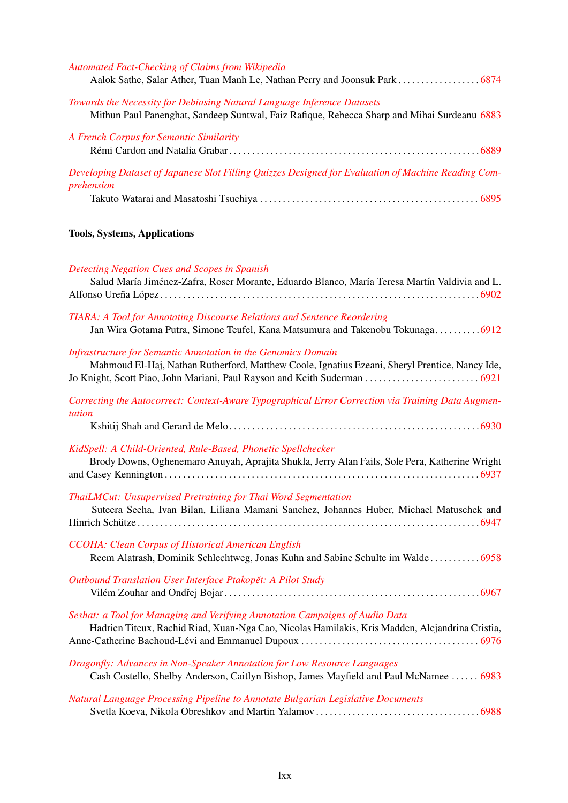| <b>Automated Fact-Checking of Claims from Wikipedia</b>                                                                                                                                                                                             |
|-----------------------------------------------------------------------------------------------------------------------------------------------------------------------------------------------------------------------------------------------------|
| Towards the Necessity for Debiasing Natural Language Inference Datasets<br>Mithun Paul Panenghat, Sandeep Suntwal, Faiz Rafique, Rebecca Sharp and Mihai Surdeanu 6883                                                                              |
| A French Corpus for Semantic Similarity                                                                                                                                                                                                             |
| Developing Dataset of Japanese Slot Filling Quizzes Designed for Evaluation of Machine Reading Com-<br>prehension                                                                                                                                   |
| <b>Tools, Systems, Applications</b>                                                                                                                                                                                                                 |
| <b>Detecting Negation Cues and Scopes in Spanish</b><br>Salud María Jiménez-Zafra, Roser Morante, Eduardo Blanco, María Teresa Martín Valdivia and L.                                                                                               |
| TIARA: A Tool for Annotating Discourse Relations and Sentence Reordering<br>Jan Wira Gotama Putra, Simone Teufel, Kana Matsumura and Takenobu Tokunaga6912                                                                                          |
| <b>Infrastructure for Semantic Annotation in the Genomics Domain</b><br>Mahmoud El-Haj, Nathan Rutherford, Matthew Coole, Ignatius Ezeani, Sheryl Prentice, Nancy Ide,<br>Jo Knight, Scott Piao, John Mariani, Paul Rayson and Keith Suderman  6921 |
| Correcting the Autocorrect: Context-Aware Typographical Error Correction via Training Data Augmen-<br>tation                                                                                                                                        |
| KidSpell: A Child-Oriented, Rule-Based, Phonetic Spellchecker<br>Brody Downs, Oghenemaro Anuyah, Aprajita Shukla, Jerry Alan Fails, Sole Pera, Katherine Wright                                                                                     |
| ThaiLMCut: Unsupervised Pretraining for Thai Word Segmentation<br>Suteera Seeha, Ivan Bilan, Liliana Mamani Sanchez, Johannes Huber, Michael Matuschek and                                                                                          |
| CCOHA: Clean Corpus of Historical American English<br>Reem Alatrash, Dominik Schlechtweg, Jonas Kuhn and Sabine Schulte im Walde 6958                                                                                                               |
| Outbound Translation User Interface Ptakopět: A Pilot Study                                                                                                                                                                                         |
| Seshat: a Tool for Managing and Verifying Annotation Campaigns of Audio Data<br>Hadrien Titeux, Rachid Riad, Xuan-Nga Cao, Nicolas Hamilakis, Kris Madden, Alejandrina Cristia,                                                                     |
| Dragonfly: Advances in Non-Speaker Annotation for Low Resource Languages<br>Cash Costello, Shelby Anderson, Caitlyn Bishop, James Mayfield and Paul McNamee  6983                                                                                   |
| Natural Language Processing Pipeline to Annotate Bulgarian Legislative Documents                                                                                                                                                                    |